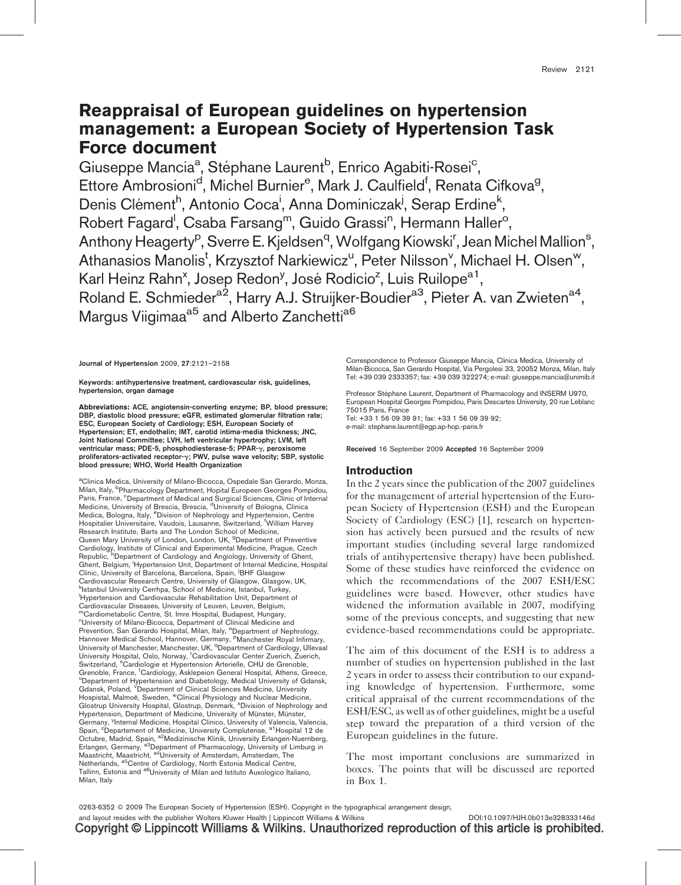# Reappraisal of European guidelines on hypertension management: a European Society of Hypertension Task Force document

Giuseppe Mancia<sup>a</sup>, Stéphane Laurent<sup>b</sup>, Enrico Agabiti-Rosei<sup>c</sup>, Ettore Ambrosioni<sup>d</sup>, Michel Burnier<sup>e</sup>, Mark J. Caulfield<sup>f</sup>, Renata Cifkova<sup>g</sup>, Denis Clément<sup>h</sup>, Antonio Coca<sup>i</sup>, Anna Dominiczak<sup>j</sup>, Serap Erdine<sup>k</sup>, Robert Fagard<sup>I</sup>, Csaba Farsang<sup>m</sup>, Guido Grassi<sup>n</sup>, Hermann Haller<sup>o</sup>, Anthony Heagerty<sup>p</sup>, Sverre E. Kjeldsen<sup>q</sup>, Wolfgang Kiowski<sup>r</sup>, Jean Michel Mallion<sup>s</sup>, Athanasios Manolis<sup>t</sup>, Krzysztof Narkiewicz<sup>u</sup>, Peter Nilsson<sup>v</sup>, Michael H. Olsen<sup>w</sup>, Karl Heinz Rahn<sup>x</sup>, Josep Redon<sup>y</sup>, José Rodicio<sup>z</sup>, Luis Ruilope<sup>a1</sup>, Roland E. Schmieder<sup>a2</sup>, Harry A.J. Struijker-Boudier<sup>a3</sup>, Pieter A. van Zwieten<sup>a4</sup>, Margus Viigimaa<sup>a5</sup> and Alberto Zanchetti<sup>a6</sup>

Journal of Hypertension 2009, 27:2121–2158

Keywords: antihypertensive treatment, cardiovascular risk, guidelines, hypertension, organ damage

Abbreviations: ACE, angiotensin-converting enzyme; BP, blood pressure; DBP, diastolic blood pressure; eGFR, estimated glomerular filtration rate; ESC, European Society of Cardiology; ESH, European Society of Hypertension; ET, endothelin; IMT, carotid intima-media thickness; JNC, Joint National Committee; LVH, left ventricular hypertrophy; LVM, left ventricular mass; PDE-5, phosphodiesterase-5; PPAR-g, peroxisome proliferators-activated receptor-g; PWV, pulse wave velocity; SBP, systolic blood pressure; WHO, World Health Organization

<sup>a</sup>Clinica Medica, University of Milano-Bicocca, Ospedale San Gerardo, Monza, Milan, Italy, <sup>b</sup>Pharmacology Department, Hopital Europeen Georges Pompidou, Paris, France, <sup>c</sup>Department of Medical and Surgical Sciences, Clinic of Internal<br>Medicine, University of Brescia, Brescia, <sup>d</sup>University of Bologna, Clinica Medica, Bologna, Italy, <sup>e</sup>Division of Nephrology and Hypertension, Centre Hospitalier Universitaire, Vaudois, Lausanne, Switzerland, <sup>f</sup> William Harvey Research Institute, Barts and The London School of Medicine, Queen Mary University of London, London, UK, <sup>g</sup>Department of Preventive Cardiology, Institute of Clinical and Experimental Medicine, Prague, Czech<br>Republic, <sup>h</sup>Department of Cardiology and Angiology, University of Ghent, Ghent, Belgium, <sup>i</sup> Hypertension Unit, Department of Internal Medicine, Hospital Clinic, University of Barcelona, Barcelona, Spain, <sup>J</sup>BHF Glasgow Cardiovascular Research Centre, University of Glasgow, Glasgow, UK, kIstanbul University Cerrhpa, School of Medicine, Istanbul, Turkey, <sup>1</sup>Hypertension and Cardiovascular Rehabilitation Unit, Department of Cardiovascular Diseases, University of Leuven, Leuven, Belgium, <sup>m</sup>Cardiometabolic Centre, St. Imre Hospital, Budapest, Hungary, University of Milano-Bicocca, Department of Clinical Medicine and Prevention, San Gerardo Hospital, Milan, Italy, <sup>o</sup>Department of Nephrology, Hannover Medical School, Hannover, Germany, <sup>P</sup>Manchester Royal Infirmary,<br>University of Manchester, Manchester, UK, <sup>q</sup>Department of Cardiology, Ullevaal University Hospital, Oslo, Norway, <sup>r</sup>Cardiovascular Center Zuerich, Zuerich, Switzerland, <sup>s</sup>Cardiologie et Hypertension Arterielle, CHU de Grenoble, Grenoble, France, <sup>t</sup>Cardiology, Asklepeion General Hospital, Athens, Greece, Department of Hypertension and Diabetology, Medical University of Gdansk, Gdansk, Poland, <sup>V</sup>Department of Clinical Sciences Medicine, University Hospistal, Malmoë, Sweden, "Clinical Physiology and Nuclear Medicine, Glostrup University Hospital, Glostrup, Denmark, <sup>x</sup>Division of Nephrology and Hypertension, Department of Medicine, University of Münster, Münster, Germany, <sup>y</sup>Internal Medicine, Hospital Clinico, University of Valencia, Valencia, Spain, <sup>z</sup>Departement of Medicine, University Complutense, <sup>a1</sup>Hospital 12 de Octubre, Madrid, Spain, a2Medizinische Klinik, University Erlangen-Nuernberg, Erlangen, Germany, <sup>a3</sup>Department of Pharmacology, University of Limburg in Maastricht, Maastricht, a4University of Amsterdam, Amsterdam, The Netherlands, <sup>a5</sup>Centre of Cardiology, North Estonia Medical Centre,<br>Tallinn, Estonia and <sup>a6</sup>University of Milan and Istituto Auxologico Italiano, Milan, Italy

Correspondence to Professor Giuseppe Mancia, Clinica Medica, University of Milan-Bicocca, San Gerardo Hospital, Via Pergolesi 33, 20052 Monza, Milan, Italy Tel: +39 039 2333357; fax: +39 039 322274; e-mail: [giuseppe.mancia@unimib.it](mailto:giuseppe.mancia@unimib.it)

Professor Stéphane Laurent, Department of Pharmacology and INSERM U970, European Hospital Georges Pompidou, Paris Descartes University, 20 rue Leblanc 75015 Paris, France Tel: +33 1 56 09 39 91; fax: +33 1 56 09 39 92; e-mail: [stephane.laurent@egp.ap-hop.-paris.fr](mailto:stephane.laurent@egp.ap-hop.-paris.fr)

Received 16 September 2009 Accepted 16 September 2009

## Introduction

In the 2 years since the publication of the 2007 guidelines for the management of arterial hypertension of the European Society of Hypertension (ESH) and the European Society of Cardiology (ESC) [\[1\]](#page-29-0), research on hypertension has actively been pursued and the results of new important studies (including several large randomized trials of antihypertensive therapy) have been published. Some of these studies have reinforced the evidence on which the recommendations of the 2007 ESH/ESC guidelines were based. However, other studies have widened the information available in 2007, modifying some of the previous concepts, and suggesting that new evidence-based recommendations could be appropriate.

The aim of this document of the ESH is to address a number of studies on hypertension published in the last 2 years in order to assess their contribution to our expanding knowledge of hypertension. Furthermore, some critical appraisal of the current recommendations of the ESH/ESC, as well as of other guidelines, might be a useful step toward the preparation of a third version of the European guidelines in the future.

The most important conclusions are summarized in boxes. The points that will be discussed are reported in [Box](#page-1-0) 1.

0263-6352 @ 2009 The European Society of Hypertension (ESH). Copyright in the typographical arrangement design,

and layout resides with the publisher Wolters Kluwer Health | Lippincott Williams & Wilkins DOI:[10.1097/HJH.0b013e328333146d](http://dx.doi.org/10.1097/HJH.0b013e328333146d)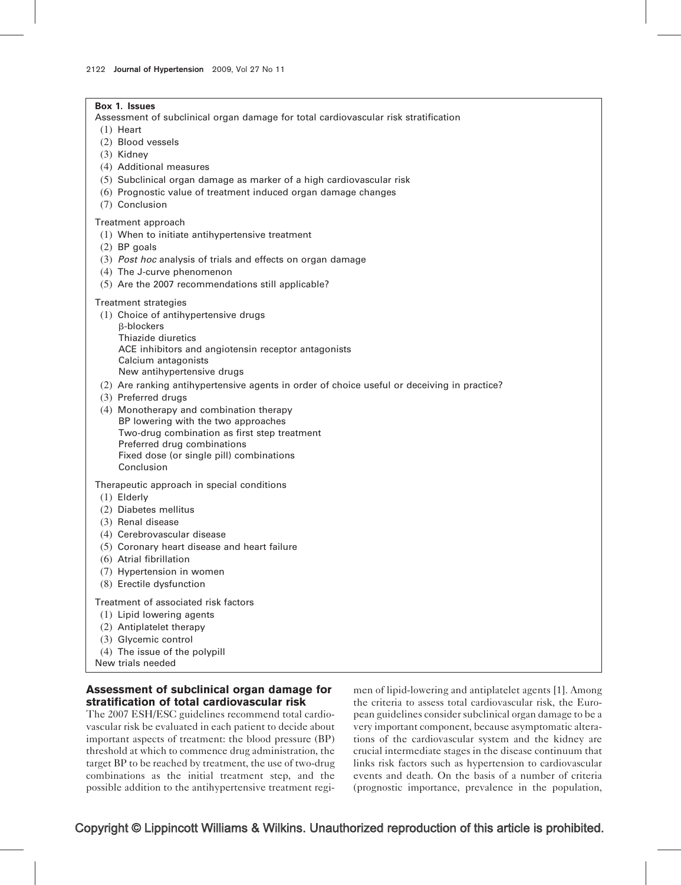### <span id="page-1-0"></span>Box 1. Issues

Assessment of subclinical organ damage for total cardiovascular risk stratification

- (1) Heart
- (2) Blood vessels
- (3) Kidney
- (4) Additional measures
- (5) Subclinical organ damage as marker of a high cardiovascular risk
- (6) Prognostic value of treatment induced organ damage changes
- (7) Conclusion

#### Treatment approach

- (1) When to initiate antihypertensive treatment
- (2) BP goals
- (3) Post hoc analysis of trials and effects on organ damage
- (5) Are the 2007 recommendations still applicable?

(4) The J-curve phenomenon

- Treatment strategies
- (1) Choice of antihypertensive drugs b-blockers Thiazide diuretics ACE inhibitors and angiotensin receptor antagonists Calcium antagonists New antihypertensive drugs
- (2) Are ranking antihypertensive agents in order of choice useful or deceiving in practice?
- (3) Preferred drugs
- (4) Monotherapy and combination therapy BP lowering with the two approaches Two-drug combination as first step treatment Preferred drug combinations Fixed dose (or single pill) combinations Conclusion

Therapeutic approach in special conditions

- (1) Elderly
- (2) Diabetes mellitus
- (3) Renal disease
- (4) Cerebrovascular disease
- (5) Coronary heart disease and heart failure
- (6) Atrial fibrillation
- (7) Hypertension in women
- (8) Erectile dysfunction

Treatment of associated risk factors

- (1) Lipid lowering agents
- (2) Antiplatelet therapy
- (3) Glycemic control
- (4) The issue of the polypill
- New trials needed

## Assessment of subclinical organ damage for stratification of total cardiovascular risk

The 2007 ESH/ESC guidelines recommend total cardiovascular risk be evaluated in each patient to decide about important aspects of treatment: the blood pressure (BP) threshold at which to commence drug administration, the target BP to be reached by treatment, the use of two-drug combinations as the initial treatment step, and the possible addition to the antihypertensive treatment regimen of lipid-lowering and antiplatelet agents [\[1\].](#page-29-0) Among the criteria to assess total cardiovascular risk, the European guidelines consider subclinical organ damage to be a very important component, because asymptomatic alterations of the cardiovascular system and the kidney are crucial intermediate stages in the disease continuum that links risk factors such as hypertension to cardiovascular events and death. On the basis of a number of criteria (prognostic importance, prevalence in the population,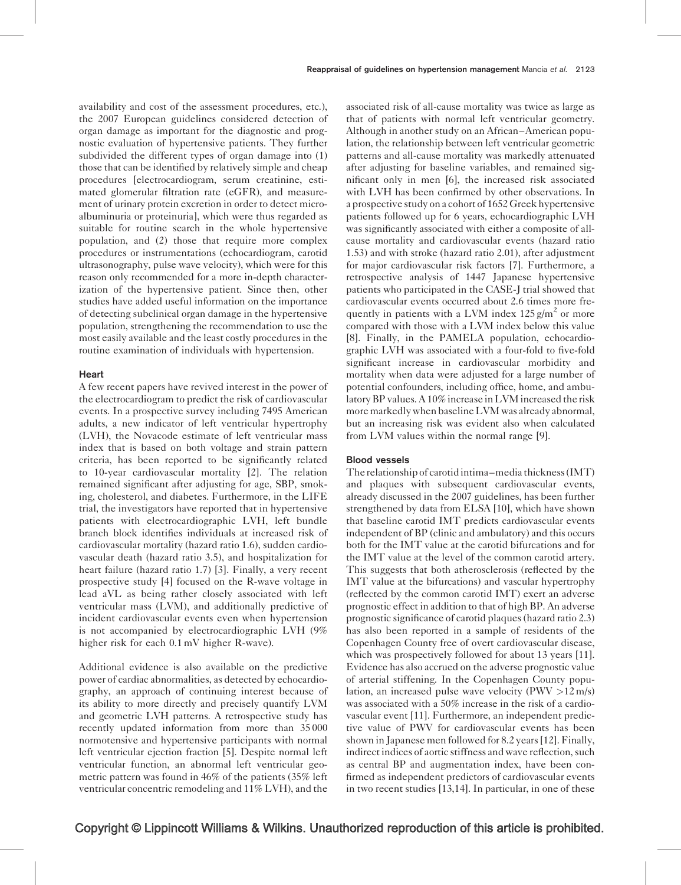availability and cost of the assessment procedures, etc.), the 2007 European guidelines considered detection of organ damage as important for the diagnostic and prognostic evaluation of hypertensive patients. They further subdivided the different types of organ damage into (1) those that can be identified by relatively simple and cheap procedures [electrocardiogram, serum creatinine, estimated glomerular filtration rate (eGFR), and measurement of urinary protein excretion in order to detect microalbuminuria or proteinuria], which were thus regarded as suitable for routine search in the whole hypertensive population, and (2) those that require more complex procedures or instrumentations (echocardiogram, carotid ultrasonography, pulse wave velocity), which were for this reason only recommended for a more in-depth characterization of the hypertensive patient. Since then, other studies have added useful information on the importance of detecting subclinical organ damage in the hypertensive population, strengthening the recommendation to use the most easily available and the least costly procedures in the routine examination of individuals with hypertension.

#### **Heart**

A few recent papers have revived interest in the power of the electrocardiogram to predict the risk of cardiovascular events. In a prospective survey including 7495 American adults, a new indicator of left ventricular hypertrophy (LVH), the Novacode estimate of left ventricular mass index that is based on both voltage and strain pattern criteria, has been reported to be significantly related to 10-year cardiovascular mortality [\[2\]](#page-29-0). The relation remained significant after adjusting for age, SBP, smoking, cholesterol, and diabetes. Furthermore, in the LIFE trial, the investigators have reported that in hypertensive patients with electrocardiographic LVH, left bundle branch block identifies individuals at increased risk of cardiovascular mortality (hazard ratio 1.6), sudden cardiovascular death (hazard ratio 3.5), and hospitalization for heart failure (hazard ratio 1.7) [\[3\].](#page-29-0) Finally, a very recent prospective study [\[4\]](#page-29-0) focused on the R-wave voltage in lead aVL as being rather closely associated with left ventricular mass (LVM), and additionally predictive of incident cardiovascular events even when hypertension is not accompanied by electrocardiographic LVH (9% higher risk for each 0.1 mV higher R-wave).

Additional evidence is also available on the predictive power of cardiac abnormalities, as detected by echocardiography, an approach of continuing interest because of its ability to more directly and precisely quantify LVM and geometric LVH patterns. A retrospective study has recently updated information from more than 35 000 normotensive and hypertensive participants with normal left ventricular ejection fraction [\[5\]](#page-29-0). Despite normal left ventricular function, an abnormal left ventricular geometric pattern was found in 46% of the patients (35% left ventricular concentric remodeling and 11% LVH), and the

associated risk of all-cause mortality was twice as large as that of patients with normal left ventricular geometry. Although in another study on an African–American population, the relationship between left ventricular geometric patterns and all-cause mortality was markedly attenuated after adjusting for baseline variables, and remained significant only in men [\[6\],](#page-29-0) the increased risk associated with LVH has been confirmed by other observations. In a prospective study on a cohort of 1652Greek hypertensive patients followed up for 6 years, echocardiographic LVH was significantly associated with either a composite of allcause mortality and cardiovascular events (hazard ratio 1.53) and with stroke (hazard ratio 2.01), after adjustment for major cardiovascular risk factors [\[7\].](#page-29-0) Furthermore, a retrospective analysis of 1447 Japanese hypertensive patients who participated in the CASE-J trial showed that cardiovascular events occurred about 2.6 times more frequently in patients with a LVM index  $125 \text{ g/m}^2$  or more compared with those with a LVM index below this value [\[8\]](#page-29-0). Finally, in the PAMELA population, echocardiographic LVH was associated with a four-fold to five-fold significant increase in cardiovascular morbidity and mortality when data were adjusted for a large number of potential confounders, including office, home, and ambulatory BP values. A 10% increase in LVM increased the risk more markedly when baseline LVM was already abnormal, but an increasing risk was evident also when calculated from LVM values within the normal range [\[9\].](#page-29-0)

### Blood vessels

The relationship of carotid intima–media thickness(IMT) and plaques with subsequent cardiovascular events, already discussed in the 2007 guidelines, has been further strengthened by data from ELSA [\[10\]](#page-29-0), which have shown that baseline carotid IMT predicts cardiovascular events independent of BP (clinic and ambulatory) and this occurs both for the IMT value at the carotid bifurcations and for the IMT value at the level of the common carotid artery. This suggests that both atherosclerosis (reflected by the IMT value at the bifurcations) and vascular hypertrophy (reflected by the common carotid IMT) exert an adverse prognostic effect in addition to that of high BP. An adverse prognostic significance of carotid plaques(hazard ratio 2.3) has also been reported in a sample of residents of the Copenhagen County free of overt cardiovascular disease, which was prospectively followed for about 13 years [\[11\]](#page-29-0). Evidence has also accrued on the adverse prognostic value of arterial stiffening. In the Copenhagen County population, an increased pulse wave velocity (PWV  $>12 \text{ m/s}$ ) was associated with a 50% increase in the risk of a cardiovascular event [\[11\]](#page-29-0). Furthermore, an independent predictive value of PWV for cardiovascular events has been shown in Japanese men followed for 8.2 years[\[12\].](#page-29-0) Finally, indirect indices of aortic stiffness and wave reflection, such as central BP and augmentation index, have been confirmed as independent predictors of cardiovascular events in two recent studies [\[13,14\]](#page-30-0). In particular, in one of these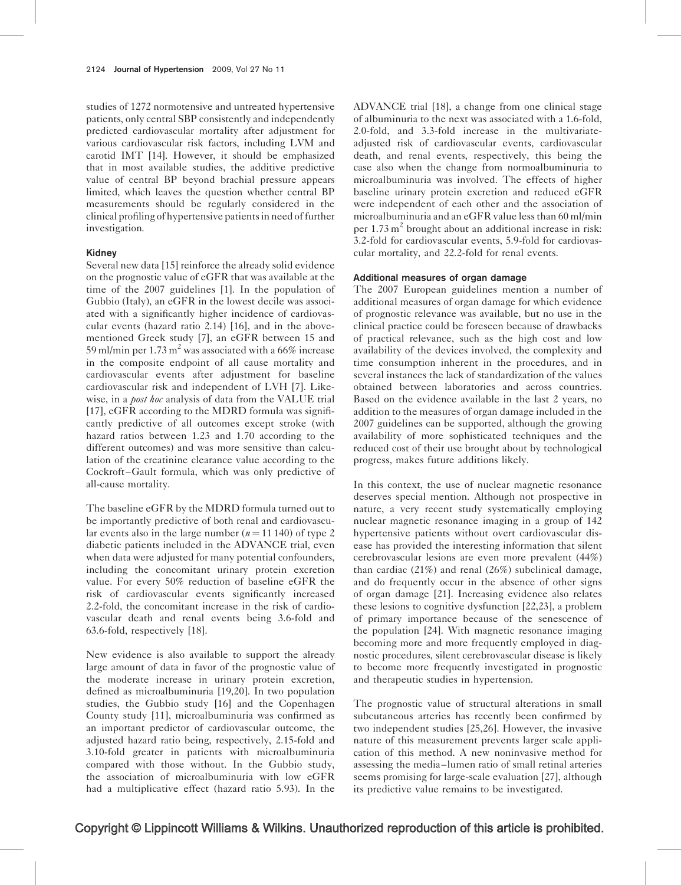studies of 1272 normotensive and untreated hypertensive patients, only central SBP consistently and independently predicted cardiovascular mortality after adjustment for various cardiovascular risk factors, including LVM and carotid IMT [\[14\].](#page-30-0) However, it should be emphasized that in most available studies, the additive predictive value of central BP beyond brachial pressure appears limited, which leaves the question whether central BP measurements should be regularly considered in the clinical profiling of hypertensive patientsin need offurther investigation.

#### Kidney

Several new data [\[15\]](#page-30-0) reinforce the already solid evidence on the prognostic value of eGFR that was available at the time of the 2007 guidelines [\[1\].](#page-29-0) In the population of Gubbio (Italy), an eGFR in the lowest decile was associated with a significantly higher incidence of cardiovascular events (hazard ratio 2.14) [\[16\],](#page-30-0) and in the abovementioned Greek study [\[7\],](#page-29-0) an eGFR between 15 and 59 ml/min per  $1.73 \text{ m}^2$  was associated with a 66% increase in the composite endpoint of all cause mortality and cardiovascular events after adjustment for baseline cardiovascular risk and independent of LVH [\[7\].](#page-29-0) Likewise, in a *post hoc* analysis of data from the VALUE trial [\[17\]](#page-30-0), eGFR according to the MDRD formula was significantly predictive of all outcomes except stroke (with hazard ratios between 1.23 and 1.70 according to the different outcomes) and was more sensitive than calculation of the creatinine clearance value according to the Cockroft–Gault formula, which was only predictive of all-cause mortality.

The baseline eGFR by the MDRD formula turned out to be importantly predictive of both renal and cardiovascular events also in the large number  $(n = 11140)$  of type 2 diabetic patients included in the ADVANCE trial, even when data were adjusted for many potential confounders, including the concomitant urinary protein excretion value. For every 50% reduction of baseline eGFR the risk of cardiovascular events significantly increased 2.2-fold, the concomitant increase in the risk of cardiovascular death and renal events being 3.6-fold and 63.6-fold, respectively [\[18\]](#page-30-0).

New evidence is also available to support the already large amount of data in favor of the prognostic value of the moderate increase in urinary protein excretion, defined as microalbuminuria [\[19,20\]](#page-30-0). In two population studies, the Gubbio study [\[16\]](#page-30-0) and the Copenhagen County study [\[11\]](#page-29-0), microalbuminuria was confirmed as an important predictor of cardiovascular outcome, the adjusted hazard ratio being, respectively, 2.15-fold and 3.10-fold greater in patients with microalbuminuria compared with those without. In the Gubbio study, the association of microalbuminuria with low eGFR had a multiplicative effect (hazard ratio 5.93). In the ADVANCE trial [\[18\],](#page-30-0) a change from one clinical stage of albuminuria to the next was associated with a 1.6-fold, 2.0-fold, and 3.3-fold increase in the multivariateadjusted risk of cardiovascular events, cardiovascular death, and renal events, respectively, this being the case also when the change from normoalbuminuria to microalbuminuria was involved. The effects of higher baseline urinary protein excretion and reduced eGFR were independent of each other and the association of microalbuminuria and an eGFR value lessthan 60 ml/min per  $1.73 \text{ m}^2$  brought about an additional increase in risk: 3.2-fold for cardiovascular events, 5.9-fold for cardiovascular mortality, and 22.2-fold for renal events.

### Additional measures of organ damage

The 2007 European guidelines mention a number of additional measures of organ damage for which evidence of prognostic relevance was available, but no use in the clinical practice could be foreseen because of drawbacks of practical relevance, such as the high cost and low availability of the devices involved, the complexity and time consumption inherent in the procedures, and in several instances the lack of standardization of the values obtained between laboratories and across countries. Based on the evidence available in the last 2 years, no addition to the measures of organ damage included in the 2007 guidelines can be supported, although the growing availability of more sophisticated techniques and the reduced cost of their use brought about by technological progress, makes future additions likely.

In this context, the use of nuclear magnetic resonance deserves special mention. Although not prospective in nature, a very recent study systematically employing nuclear magnetic resonance imaging in a group of 142 hypertensive patients without overt cardiovascular disease has provided the interesting information that silent cerebrovascular lesions are even more prevalent (44%) than cardiac (21%) and renal (26%) subclinical damage, and do frequently occur in the absence of other signs of organ damage [\[21\].](#page-30-0) Increasing evidence also relates these lesions to cognitive dysfunction [\[22,23\]](#page-30-0), a problem of primary importance because of the senescence of the population [\[24\].](#page-30-0) With magnetic resonance imaging becoming more and more frequently employed in diagnostic procedures, silent cerebrovascular disease is likely to become more frequently investigated in prognostic and therapeutic studies in hypertension.

The prognostic value of structural alterations in small subcutaneous arteries has recently been confirmed by two independent studies [\[25,26\].](#page-30-0) However, the invasive nature of this measurement prevents larger scale application of this method. A new noninvasive method for assessing the media–lumen ratio of small retinal arteries seems promising for large-scale evaluation [\[27\],](#page-30-0) although its predictive value remains to be investigated.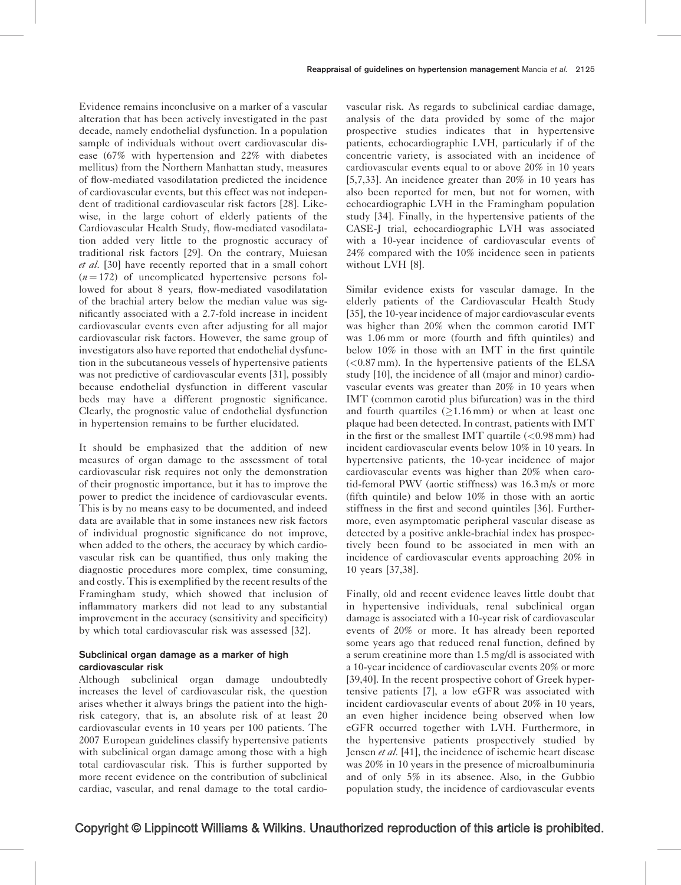Evidence remains inconclusive on a marker of a vascular alteration that has been actively investigated in the past decade, namely endothelial dysfunction. In a population sample of individuals without overt cardiovascular disease (67% with hypertension and 22% with diabetes mellitus) from the Northern Manhattan study, measures of flow-mediated vasodilatation predicted the incidence of cardiovascular events, but this effect was not independent of traditional cardiovascular risk factors [\[28\]](#page-30-0). Likewise, in the large cohort of elderly patients of the Cardiovascular Health Study, flow-mediated vasodilatation added very little to the prognostic accuracy of traditional risk factors [\[29\]](#page-30-0). On the contrary, Muiesan et al. [\[30\]](#page-30-0) have recently reported that in a small cohort  $(n = 172)$  of uncomplicated hypertensive persons followed for about 8 years, flow-mediated vasodilatation of the brachial artery below the median value was significantly associated with a 2.7-fold increase in incident cardiovascular events even after adjusting for all major cardiovascular risk factors. However, the same group of investigators also have reported that endothelial dysfunction in the subcutaneous vessels of hypertensive patients was not predictive of cardiovascular events [\[31\],](#page-30-0) possibly because endothelial dysfunction in different vascular beds may have a different prognostic significance. Clearly, the prognostic value of endothelial dysfunction in hypertension remains to be further elucidated.

It should be emphasized that the addition of new measures of organ damage to the assessment of total cardiovascular risk requires not only the demonstration of their prognostic importance, but it has to improve the power to predict the incidence of cardiovascular events. This is by no means easy to be documented, and indeed data are available that in some instances new risk factors of individual prognostic significance do not improve, when added to the others, the accuracy by which cardiovascular risk can be quantified, thus only making the diagnostic procedures more complex, time consuming, and costly. This is exemplified by the recent results of the Framingham study, which showed that inclusion of inflammatory markers did not lead to any substantial improvement in the accuracy (sensitivity and specificity) by which total cardiovascular risk was assessed [\[32\]](#page-30-0).

## Subclinical organ damage as a marker of high cardiovascular risk

Although subclinical organ damage undoubtedly increases the level of cardiovascular risk, the question arises whether it always brings the patient into the highrisk category, that is, an absolute risk of at least 20 cardiovascular events in 10 years per 100 patients. The 2007 European guidelines classify hypertensive patients with subclinical organ damage among those with a high total cardiovascular risk. This is further supported by more recent evidence on the contribution of subclinical cardiac, vascular, and renal damage to the total cardio-

vascular risk. As regards to subclinical cardiac damage, analysis of the data provided by some of the major prospective studies indicates that in hypertensive patients, echocardiographic LVH, particularly if of the concentric variety, is associated with an incidence of cardiovascular events equal to or above 20% in 10 years [\[5,7,33\]](#page-29-0). An incidence greater than 20% in 10 years has also been reported for men, but not for women, with echocardiographic LVH in the Framingham population study [\[34\].](#page-30-0) Finally, in the hypertensive patients of the CASE-J trial, echocardiographic LVH was associated with a 10-year incidence of cardiovascular events of 24% compared with the 10% incidence seen in patients without LVH [\[8\].](#page-29-0)

Similar evidence exists for vascular damage. In the elderly patients of the Cardiovascular Health Study [\[35\]](#page-30-0), the 10-year incidence of major cardiovascular events was higher than 20% when the common carotid IMT was 1.06 mm or more (fourth and fifth quintiles) and below 10% in those with an IMT in the first quintile (<0.87 mm). In the hypertensive patients of the ELSA study [\[10\]](#page-29-0), the incidence of all (major and minor) cardiovascular events was greater than 20% in 10 years when IMT (common carotid plus bifurcation) was in the third and fourth quartiles  $(≥1.16 \text{ mm})$  or when at least one plaque had been detected. In contrast, patients with IMT in the first or the smallest IMT quartile  $(<0.98$  mm) had incident cardiovascular events below 10% in 10 years. In hypertensive patients, the 10-year incidence of major cardiovascular events was higher than 20% when carotid-femoral PWV (aortic stiffness) was 16.3 m/s or more (fifth quintile) and below 10% in those with an aortic stiffness in the first and second quintiles [\[36\].](#page-30-0) Furthermore, even asymptomatic peripheral vascular disease as detected by a positive ankle-brachial index has prospectively been found to be associated in men with an incidence of cardiovascular events approaching 20% in 10 years [\[37,38\]](#page-30-0).

Finally, old and recent evidence leaves little doubt that in hypertensive individuals, renal subclinical organ damage is associated with a 10-year risk of cardiovascular events of 20% or more. It has already been reported some years ago that reduced renal function, defined by a serum creatinine more than 1.5 mg/dl is associated with a 10-year incidence of cardiovascular events 20% or more [\[39,40\].](#page-30-0) In the recent prospective cohort of Greek hypertensive patients [\[7\]](#page-29-0), a low eGFR was associated with incident cardiovascular events of about 20% in 10 years, an even higher incidence being observed when low eGFR occurred together with LVH. Furthermore, in the hypertensive patients prospectively studied by Jensen et al. [\[41\]](#page-30-0), the incidence of ischemic heart disease was 20% in 10 years in the presence of microalbuminuria and of only 5% in its absence. Also, in the Gubbio population study, the incidence of cardiovascular events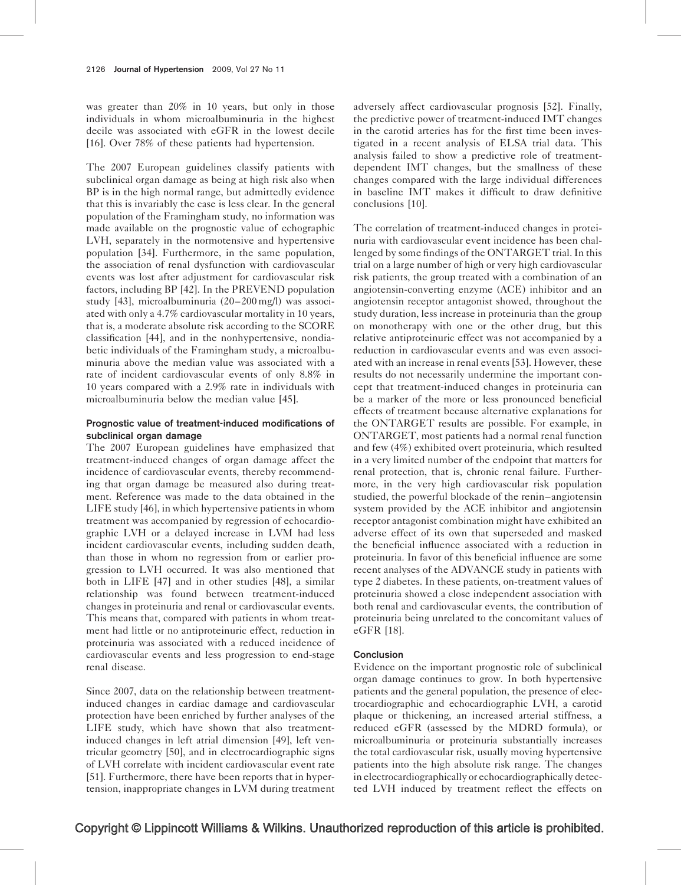was greater than 20% in 10 years, but only in those individuals in whom microalbuminuria in the highest decile was associated with eGFR in the lowest decile [\[16\]](#page-30-0). Over 78% of these patients had hypertension.

The 2007 European guidelines classify patients with subclinical organ damage as being at high risk also when BP is in the high normal range, but admittedly evidence that this is invariably the case is less clear. In the general population of the Framingham study, no information was made available on the prognostic value of echographic LVH, separately in the normotensive and hypertensive population [\[34\]](#page-30-0). Furthermore, in the same population, the association of renal dysfunction with cardiovascular events was lost after adjustment for cardiovascular risk factors, including BP [\[42\].](#page-30-0) In the PREVEND population study [\[43\],](#page-30-0) microalbuminuria (20–200 mg/l) was associated with only a 4.7% cardiovascular mortality in 10 years, that is, a moderate absolute risk according to the SCORE classification [\[44\],](#page-30-0) and in the nonhypertensive, nondiabetic individuals of the Framingham study, a microalbuminuria above the median value was associated with a rate of incident cardiovascular events of only 8.8% in 10 years compared with a 2.9% rate in individuals with microalbuminuria below the median value [\[45\].](#page-30-0)

## Prognostic value of treatment-induced modifications of subclinical organ damage

The 2007 European guidelines have emphasized that treatment-induced changes of organ damage affect the incidence of cardiovascular events, thereby recommending that organ damage be measured also during treatment. Reference was made to the data obtained in the LIFE study [\[46\]](#page-30-0), in which hypertensive patients in whom treatment was accompanied by regression of echocardiographic LVH or a delayed increase in LVM had less incident cardiovascular events, including sudden death, than those in whom no regression from or earlier progression to LVH occurred. It was also mentioned that both in LIFE [\[47\]](#page-30-0) and in other studies [\[48\]](#page-30-0), a similar relationship was found between treatment-induced changes in proteinuria and renal or cardiovascular events. This means that, compared with patients in whom treatment had little or no antiproteinuric effect, reduction in proteinuria was associated with a reduced incidence of cardiovascular events and less progression to end-stage renal disease.

Since 2007, data on the relationship between treatmentinduced changes in cardiac damage and cardiovascular protection have been enriched by further analyses of the LIFE study, which have shown that also treatmentinduced changes in left atrial dimension [\[49\],](#page-30-0) left ventricular geometry [\[50\],](#page-30-0) and in electrocardiographic signs of LVH correlate with incident cardiovascular event rate [\[51\]](#page-30-0). Furthermore, there have been reports that in hypertension, inappropriate changes in LVM during treatment adversely affect cardiovascular prognosis [\[52\]](#page-31-0). Finally, the predictive power of treatment-induced IMT changes in the carotid arteries has for the first time been investigated in a recent analysis of ELSA trial data. This analysis failed to show a predictive role of treatmentdependent IMT changes, but the smallness of these changes compared with the large individual differences in baseline IMT makes it difficult to draw definitive conclusions [\[10\].](#page-29-0)

The correlation of treatment-induced changes in proteinuria with cardiovascular event incidence has been challenged by some findings of the ONTARGET trial. In this trial on a large number of high or very high cardiovascular risk patients, the group treated with a combination of an angiotensin-converting enzyme (ACE) inhibitor and an angiotensin receptor antagonist showed, throughout the study duration, less increase in proteinuria than the group on monotherapy with one or the other drug, but this relative antiproteinuric effect was not accompanied by a reduction in cardiovascular events and was even associated with an increase in renal events [\[53\].](#page-31-0) However, these results do not necessarily undermine the important concept that treatment-induced changes in proteinuria can be a marker of the more or less pronounced beneficial effects of treatment because alternative explanations for the ONTARGET results are possible. For example, in ONTARGET, most patients had a normal renal function and few (4%) exhibited overt proteinuria, which resulted in a very limited number of the endpoint that matters for renal protection, that is, chronic renal failure. Furthermore, in the very high cardiovascular risk population studied, the powerful blockade of the renin–angiotensin system provided by the ACE inhibitor and angiotensin receptor antagonist combination might have exhibited an adverse effect of its own that superseded and masked the beneficial influence associated with a reduction in proteinuria. In favor of this beneficial influence are some recent analyses of the ADVANCE study in patients with type 2 diabetes. In these patients, on-treatment values of proteinuria showed a close independent association with both renal and cardiovascular events, the contribution of proteinuria being unrelated to the concomitant values of eGFR [\[18\]](#page-30-0).

## **Conclusion**

Evidence on the important prognostic role of subclinical organ damage continues to grow. In both hypertensive patients and the general population, the presence of electrocardiographic and echocardiographic LVH, a carotid plaque or thickening, an increased arterial stiffness, a reduced eGFR (assessed by the MDRD formula), or microalbuminuria or proteinuria substantially increases the total cardiovascular risk, usually moving hypertensive patients into the high absolute risk range. The changes in electrocardiographically or echocardiographically detected LVH induced by treatment reflect the effects on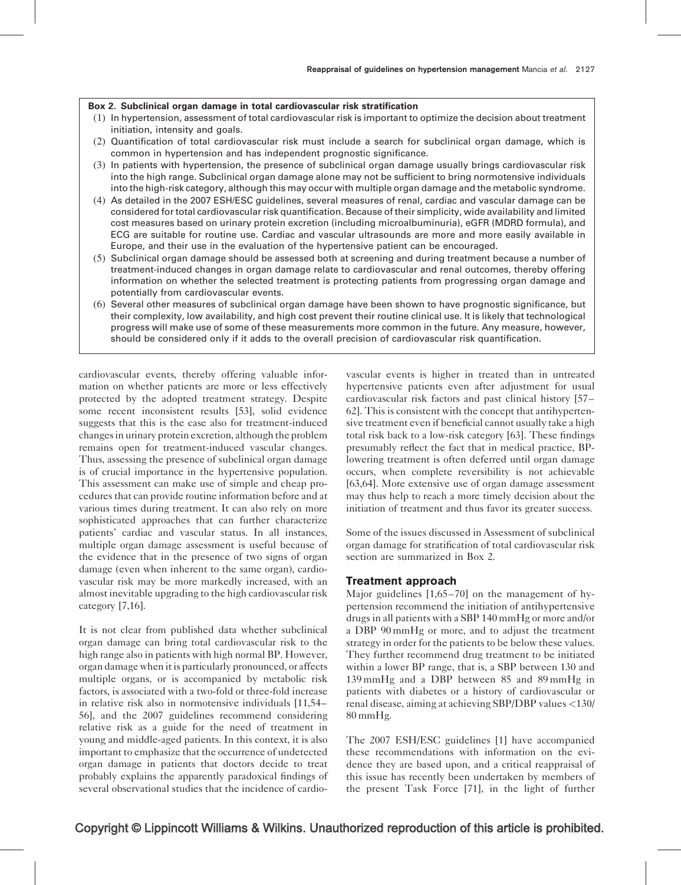#### Box 2. Subclinical organ damage in total cardiovascular risk stratification

- (1) In hypertension, assessment of total cardiovascular risk is important to optimize the decision about treatment initiation, intensity and goals.
- (2) Quantification of total cardiovascular risk must include a search for subclinical organ damage, which is common in hypertension and has independent prognostic significance.
- (3) In patients with hypertension, the presence of subclinical organ damage usually brings cardiovascular risk into the high range. Subclinical organ damage alone may not be sufficient to bring normotensive individuals into the high-risk category, although this may occur with multiple organ damage and the metabolic syndrome.
- (4) As detailed in the 2007 ESH/ESC guidelines, several measures of renal, cardiac and vascular damage can be considered for total cardiovascular risk quantification. Because of their simplicity, wide availability and limited cost measures based on urinary protein excretion (including microalbuminuria), eGFR (MDRD formula), and ECG are suitable for routine use. Cardiac and vascular ultrasounds are more and more easily available in Europe, and their use in the evaluation of the hypertensive patient can be encouraged.
- (5) Subclinical organ damage should be assessed both at screening and during treatment because a number of treatment-induced changes in organ damage relate to cardiovascular and renal outcomes, thereby offering information on whether the selected treatment is protecting patients from progressing organ damage and potentially from cardiovascular events.
- (6) Several other measures of subclinical organ damage have been shown to have prognostic significance, but their complexity, low availability, and high cost prevent their routine clinical use. It is likely that technological progress will make use of some of these measurements more common in the future. Any measure, however, should be considered only if it adds to the overall precision of cardiovascular risk quantification.

cardiovascular events, thereby offering valuable information on whether patients are more or less effectively protected by the adopted treatment strategy. Despite some recent inconsistent results [\[53\],](#page-31-0) solid evidence suggests that this is the case also for treatment-induced changesin urinary protein excretion, although the problem remains open for treatment-induced vascular changes. Thus, assessing the presence of subclinical organ damage is of crucial importance in the hypertensive population. This assessment can make use of simple and cheap procedures that can provide routine information before and at various times during treatment. It can also rely on more sophisticated approaches that can further characterize patients' cardiac and vascular status. In all instances, multiple organ damage assessment is useful because of the evidence that in the presence of two signs of organ damage (even when inherent to the same organ), cardiovascular risk may be more markedly increased, with an almost inevitable upgrading to the high cardiovascular risk category [\[7,16\].](#page-29-0)

It is not clear from published data whether subclinical organ damage can bring total cardiovascular risk to the high range also in patients with high normal BP. However, organ damage when itis particularly pronounced, or affects multiple organs, or is accompanied by metabolic risk factors, is associated with a two-fold or three-fold increase in relative risk also in normotensive individuals [\[11,54–](#page-29-0) [56\],](#page-29-0) and the 2007 guidelines recommend considering relative risk as a guide for the need of treatment in young and middle-aged patients. In this context, it is also important to emphasize that the occurrence of undetected organ damage in patients that doctors decide to treat probably explains the apparently paradoxical findings of several observational studies that the incidence of cardio-

vascular events is higher in treated than in untreated hypertensive patients even after adjustment for usual cardiovascular risk factors and past clinical history [\[57–](#page-31-0) [62\].](#page-31-0) This is consistent with the concept that antihypertensive treatment even if beneficial cannot usually take a high total risk back to a low-risk category [\[63\].](#page-31-0) These findings presumably reflect the fact that in medical practice, BPlowering treatment is often deferred until organ damage occurs, when complete reversibility is not achievable [\[63,64\].](#page-31-0) More extensive use of organ damage assessment may thus help to reach a more timely decision about the initiation of treatment and thus favor its greater success.

Some of the issues discussed in Assessment of subclinical organ damage for stratification of total cardiovascular risk section are summarized in Box 2.

### Treatment approach

Major guidelines [\[1,65–70\]](#page-29-0) on the management of hypertension recommend the initiation of antihypertensive drugs in all patients with a SBP 140 mmHg or more and/or a DBP 90 mmHg or more, and to adjust the treatment strategy in order for the patients to be below these values. They further recommend drug treatment to be initiated within a lower BP range, that is, a SBP between 130 and 139 mmHg and a DBP between 85 and 89 mmHg in patients with diabetes or a history of cardiovascular or renal disease, aiming at achieving SBP/DBP values <130/ 80 mmHg.

The 2007 ESH/ESC guidelines [\[1\]](#page-29-0) have accompanied these recommendations with information on the evidence they are based upon, and a critical reappraisal of this issue has recently been undertaken by members of the present Task Force [\[71\],](#page-31-0) in the light of further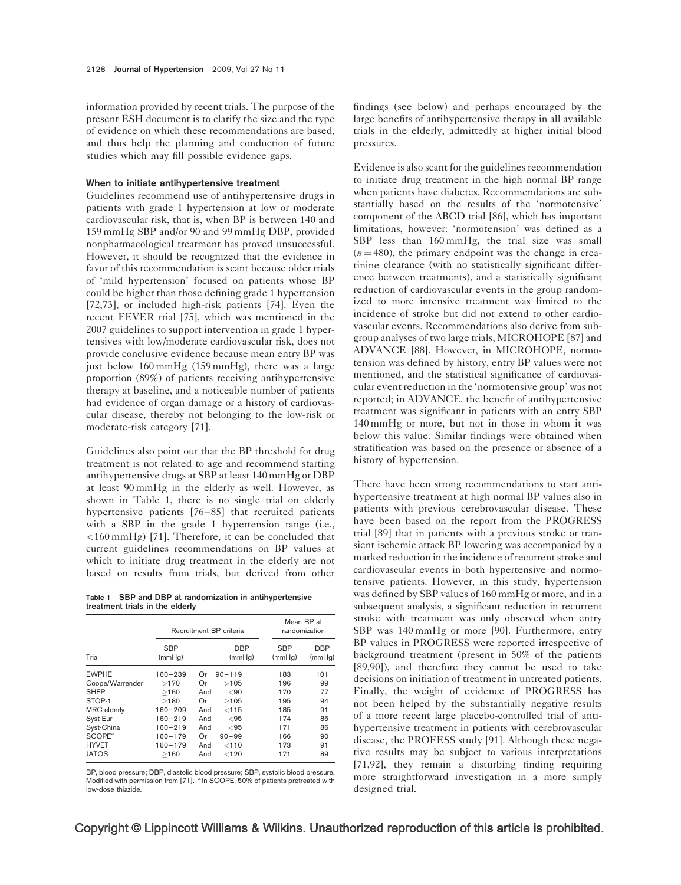information provided by recent trials. The purpose of the present ESH document is to clarify the size and the type of evidence on which these recommendations are based, and thus help the planning and conduction of future studies which may fill possible evidence gaps.

#### When to initiate antihypertensive treatment

Guidelines recommend use of antihypertensive drugs in patients with grade 1 hypertension at low or moderate cardiovascular risk, that is, when BP is between 140 and 159 mmHg SBP and/or 90 and 99 mmHg DBP, provided nonpharmacological treatment has proved unsuccessful. However, it should be recognized that the evidence in favor of this recommendation is scant because older trials of 'mild hypertension' focused on patients whose BP could be higher than those defining grade 1 hypertension [\[72,73\],](#page-31-0) or included high-risk patients [\[74\].](#page-31-0) Even the recent FEVER trial [\[75\],](#page-31-0) which was mentioned in the 2007 guidelines to support intervention in grade 1 hypertensives with low/moderate cardiovascular risk, does not provide conclusive evidence because mean entry BP was just below 160 mmHg (159 mmHg), there was a large proportion (89%) of patients receiving antihypertensive therapy at baseline, and a noticeable number of patients had evidence of organ damage or a history of cardiovascular disease, thereby not belonging to the low-risk or moderate-risk category [\[71\]](#page-31-0).

Guidelines also point out that the BP threshold for drug treatment is not related to age and recommend starting antihypertensive drugs at SBP at least 140 mmHg or DBP at least 90 mmHg in the elderly as well. However, as shown in Table 1, there is no single trial on elderly hypertensive patients [\[76–85\]](#page-31-0) that recruited patients with a SBP in the grade 1 hypertension range (i.e., <160 mmHg) [\[71\].](#page-31-0) Therefore, it can be concluded that current guidelines recommendations on BP values at which to initiate drug treatment in the elderly are not based on results from trials, but derived from other

Table 1 SBP and DBP at randomization in antihypertensive treatment trials in the elderly

|                    | Recruitment BP criteria |     |               |                      | Mean BP at<br>randomization |                      |
|--------------------|-------------------------|-----|---------------|----------------------|-----------------------------|----------------------|
| Trial              | <b>SBP</b><br>(mmHq)    |     | DBP<br>(mmHg) | <b>SBP</b><br>(mmHq) |                             | <b>DBP</b><br>(mmHg) |
| <b>EWPHE</b>       | $160 - 239$             | Or  | $90 - 119$    | 183                  |                             | 101                  |
| Coope/Warrender    | >170                    | Or  | >105          | 196                  |                             | 99                   |
| <b>SHEP</b>        | >160                    | And | <90           | 170                  |                             | 77                   |
| STOP-1             | >180                    | Or  | >105          | 195                  |                             | 94                   |
| <b>MRC-elderly</b> | $160 - 209$             | And | $<$ 115       | 185                  |                             | 91                   |
| Syst-Eur           | $160 - 219$             | And | < 95          | 174                  |                             | 85                   |
| Syst-China         | $160 - 219$             | And | < 95          | 171                  |                             | 86                   |
| SCOPE <sup>a</sup> | $160 - 179$             | Or  | $90 - 99$     | 166                  |                             | 90                   |
| <b>HYVET</b>       | $160 - 179$             | And | < 110         | 173                  |                             | 91                   |
| <b>JATOS</b>       | >160                    | And | $<$ 120       | 171                  |                             | 89                   |

BP, blood pressure; DBP, diastolic blood pressure; SBP, systolic blood pressure. Modified with permission from [\[71\]](#page-31-0). <sup>a</sup> In SCOPE, 50% of patients pretreated with low-dose thiazide.

findings (see below) and perhaps encouraged by the large benefits of antihypertensive therapy in all available trials in the elderly, admittedly at higher initial blood pressures.

Evidence is also scant for the guidelines recommendation to initiate drug treatment in the high normal BP range when patients have diabetes. Recommendations are substantially based on the results of the 'normotensive' component of the ABCD trial [\[86\],](#page-31-0) which has important limitations, however: 'normotension' was defined as a SBP less than 160 mmHg, the trial size was small  $(n = 480)$ , the primary endpoint was the change in creatinine clearance (with no statistically significant difference between treatments), and a statistically significant reduction of cardiovascular events in the group randomized to more intensive treatment was limited to the incidence of stroke but did not extend to other cardiovascular events. Recommendations also derive from subgroup analyses of two large trials, MICROHOPE [\[87\]](#page-32-0) and ADVANCE [\[88\].](#page-32-0) However, in MICROHOPE, normotension was defined by history, entry BP values were not mentioned, and the statistical significance of cardiovascular event reduction in the 'normotensive group' was not reported; in ADVANCE, the benefit of antihypertensive treatment was significant in patients with an entry SBP 140 mmHg or more, but not in those in whom it was below this value. Similar findings were obtained when stratification was based on the presence or absence of a history of hypertension.

There have been strong recommendations to start antihypertensive treatment at high normal BP values also in patients with previous cerebrovascular disease. These have been based on the report from the PROGRESS trial [\[89\]](#page-32-0) that in patients with a previous stroke or transient ischemic attack BP lowering was accompanied by a marked reduction in the incidence of recurrentstroke and cardiovascular events in both hypertensive and normotensive patients. However, in this study, hypertension was defined by SBP values of 160 mmHg or more, and in a subsequent analysis, a significant reduction in recurrent stroke with treatment was only observed when entry SBP was 140 mmHg or more [\[90\].](#page-32-0) Furthermore, entry BP values in PROGRESS were reported irrespective of background treatment (present in 50% of the patients [\[89,90\]\)](#page-32-0), and therefore they cannot be used to take decisions on initiation of treatment in untreated patients. Finally, the weight of evidence of PROGRESS has not been helped by the substantially negative results of a more recent large placebo-controlled trial of antihypertensive treatment in patients with cerebrovascular disease, the PROFESS study [\[91\]](#page-32-0). Although these negative results may be subject to various interpretations [\[71,92\],](#page-31-0) they remain a disturbing finding requiring more straightforward investigation in a more simply designed trial.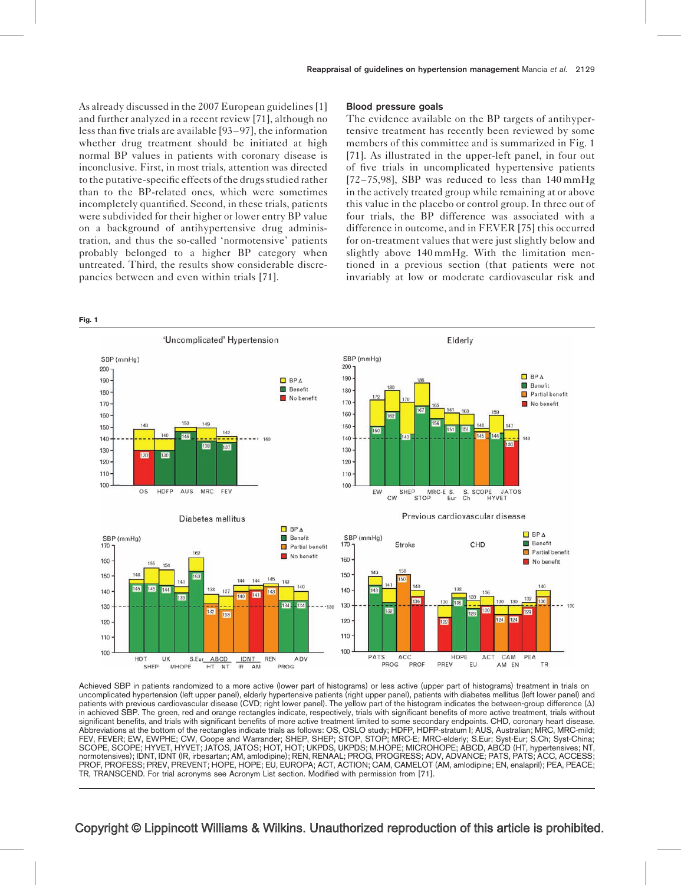<span id="page-8-0"></span>As already discussed in the 2007 European guidelines [\[1\]](#page-29-0) and further analyzed in a recent review [\[71\],](#page-31-0) although no less than five trials are available [\[93–97\]](#page-32-0), the information whether drug treatment should be initiated at high normal BP values in patients with coronary disease is inconclusive. First, in most trials, attention was directed to the putative-specific effects of the drugs studied rather than to the BP-related ones, which were sometimes incompletely quantified. Second, in these trials, patients were subdivided for their higher or lower entry BP value on a background of antihypertensive drug administration, and thus the so-called 'normotensive' patients probably belonged to a higher BP category when untreated. Third, the results show considerable discrepancies between and even within trials [\[71\].](#page-31-0)

### Blood pressure goals

The evidence available on the BP targets of antihypertensive treatment has recently been reviewed by some members of this committee and is summarized in Fig. 1 [\[71\].](#page-31-0) As illustrated in the upper-left panel, in four out of five trials in uncomplicated hypertensive patients [\[72–75,98\],](#page-31-0) SBP was reduced to less than 140 mmHg in the actively treated group while remaining at or above this value in the placebo or control group. In three out of four trials, the BP difference was associated with a difference in outcome, and in FEVER [\[75\]](#page-31-0) this occurred for on-treatment values that were just slightly below and slightly above 140 mmHg. With the limitation mentioned in a previous section (that patients were not invariably at low or moderate cardiovascular risk and



Achieved SBP in patients randomized to a more active (lower part of histograms) or less active (upper part of histograms) treatment in trials on uncomplicated hypertension (left upper panel), elderly hypertensive patients (right upper panel), patients with diabetes mellitus (left lower panel) and patients with previous cardiovascular disease (CVD; right lower panel). The yellow part of the histogram indicates the between-group difference  $(\Delta)$ in achieved SBP. The green, red and orange rectangles indicate, respectively, trials with significant benefits of more active treatment, trials without significant benefits, and trials with significant benefits of more active treatment limited to some secondary endpoints. CHD, coronary heart disease. Abbreviations at the bottom of the rectangles indicate trials as follows: OS, OSLO study; HDFP, HDFP-stratum I; AUS, Australian; MRC, MRC-mild; FEV, FEVER; EW, EWPHE; CW, Coope and Warrander; SHEP, SHEP; STOP, STOP; MRC-E; MRC-elderly; S.Eur; Syst-Eur; S.Ch; Syst-China; SCOPE, SCOPE; HYVET, HYVET; JATOS, JATOS; HOT, HOT; UKPDS, UKPDS; M.HOPE; MICROHOPE; ABCD, ABCD (HT, hypertensives; NT, normotensives); IDNT, IDNT (IR, irbesartan; AM, amlodipine); REN, RENAAL; PROG, PROGRESS; ADV, ADVANCE; PATS, PATS; ACC, ACCESS; PROF, PROFESS; PREV, PREVENT; HOPE, HOPE; EU, EUROPA; ACT, ACTION; CAM, CAMELOT (AM, amlodipine; EN, enalapril); PEA, PEACE; TR, TRANSCEND. For trial acronyms see Acronym List section. Modified with permission from [\[71\]](#page-31-0).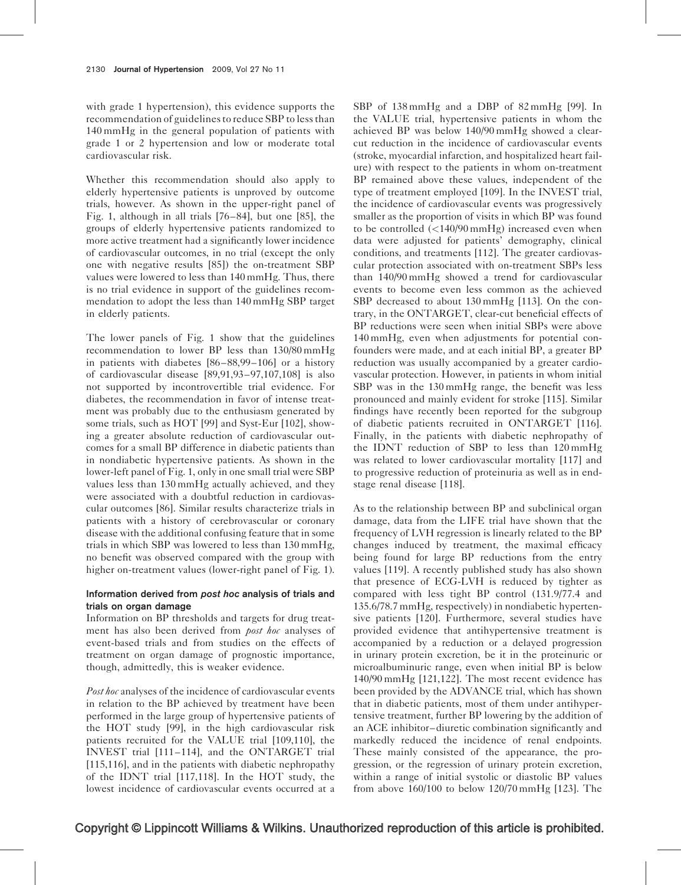with grade 1 hypertension), this evidence supports the recommendation of guidelines to reduce SBP to less than 140 mmHg in the general population of patients with grade 1 or 2 hypertension and low or moderate total cardiovascular risk.

Whether this recommendation should also apply to elderly hypertensive patients is unproved by outcome trials, however. As shown in the upper-right panel of [Fig.](#page-8-0) 1, although in all trials [\[76–84\],](#page-31-0) but one [\[85\],](#page-31-0) the groups of elderly hypertensive patients randomized to more active treatment had a significantly lower incidence of cardiovascular outcomes, in no trial (except the only one with negative results [\[85\]\)](#page-31-0) the on-treatment SBP values were lowered to less than 140 mmHg. Thus, there is no trial evidence in support of the guidelines recommendation to adopt the less than 140 mmHg SBP target in elderly patients.

The lower panels of [Fig.](#page-8-0) 1 show that the guidelines recommendation to lower BP less than 130/80 mmHg in patients with diabetes [\[86–88,99–106\]](#page-31-0) or a history of cardiovascular disease [\[89,91,93–97,107,108\]](#page-32-0) is also not supported by incontrovertible trial evidence. For diabetes, the recommendation in favor of intense treatment was probably due to the enthusiasm generated by some trials, such as HOT [\[99\]](#page-32-0) and Syst-Eur [\[102\],](#page-32-0) showing a greater absolute reduction of cardiovascular outcomes for a small BP difference in diabetic patients than in nondiabetic hypertensive patients. As shown in the lower-left panel of [Fig.](#page-8-0) 1, only in one small trial were SBP values less than 130 mmHg actually achieved, and they were associated with a doubtful reduction in cardiovascular outcomes [\[86\].](#page-31-0) Similar results characterize trials in patients with a history of cerebrovascular or coronary disease with the additional confusing feature that in some trials in which SBP was lowered to less than 130 mmHg, no benefit was observed compared with the group with higher on-treatment values (lower-right panel of [Fig.](#page-8-0) 1).

## Information derived from post hoc analysis of trials and trials on organ damage

Information on BP thresholds and targets for drug treatment has also been derived from *post hoc* analyses of event-based trials and from studies on the effects of treatment on organ damage of prognostic importance, though, admittedly, this is weaker evidence.

Post hoc analyses of the incidence of cardiovascular events in relation to the BP achieved by treatment have been performed in the large group of hypertensive patients of the HOT study [\[99\],](#page-32-0) in the high cardiovascular risk patients recruited for the VALUE trial [\[109,110\],](#page-32-0) the INVEST trial [\[111–114\]](#page-32-0), and the ONTARGET trial [\[115,116\],](#page-32-0) and in the patients with diabetic nephropathy of the IDNT trial [\[117,118\].](#page-32-0) In the HOT study, the lowest incidence of cardiovascular events occurred at a

SBP of 138 mmHg and a DBP of 82 mmHg [\[99\].](#page-32-0) In the VALUE trial, hypertensive patients in whom the achieved BP was below 140/90 mmHg showed a clearcut reduction in the incidence of cardiovascular events (stroke, myocardial infarction, and hospitalized heart failure) with respect to the patients in whom on-treatment BP remained above these values, independent of the type of treatment employed [\[109\].](#page-32-0) In the INVEST trial, the incidence of cardiovascular events was progressively smaller as the proportion of visits in which BP was found to be controlled (<140/90 mmHg) increased even when data were adjusted for patients' demography, clinical conditions, and treatments [\[112\].](#page-32-0) The greater cardiovascular protection associated with on-treatment SBPs less than 140/90 mmHg showed a trend for cardiovascular events to become even less common as the achieved SBP decreased to about 130 mmHg [\[113\].](#page-32-0) On the contrary, in the ONTARGET, clear-cut beneficial effects of BP reductions were seen when initial SBPs were above 140 mmHg, even when adjustments for potential confounders were made, and at each initial BP, a greater BP reduction was usually accompanied by a greater cardiovascular protection. However, in patients in whom initial SBP was in the 130 mmHg range, the benefit was less pronounced and mainly evident for stroke [\[115\]](#page-32-0). Similar findings have recently been reported for the subgroup of diabetic patients recruited in ONTARGET [\[116\]](#page-32-0). Finally, in the patients with diabetic nephropathy of the IDNT reduction of SBP to less than 120 mmHg was related to lower cardiovascular mortality [\[117\]](#page-32-0) and to progressive reduction of proteinuria as well as in endstage renal disease [\[118\].](#page-32-0)

As to the relationship between BP and subclinical organ damage, data from the LIFE trial have shown that the frequency of LVH regression is linearly related to the BP changes induced by treatment, the maximal efficacy being found for large BP reductions from the entry values [\[119\]](#page-33-0). A recently published study has also shown that presence of ECG-LVH is reduced by tighter as compared with less tight BP control (131.9/77.4 and 135.6/78.7 mmHg, respectively) in nondiabetic hypertensive patients [\[120\]](#page-33-0). Furthermore, several studies have provided evidence that antihypertensive treatment is accompanied by a reduction or a delayed progression in urinary protein excretion, be it in the proteinuric or microalbuminuric range, even when initial BP is below 140/90 mmHg [\[121,122\].](#page-33-0) The most recent evidence has been provided by the ADVANCE trial, which has shown that in diabetic patients, most of them under antihypertensive treatment, further BP lowering by the addition of an ACE inhibitor–diuretic combination significantly and markedly reduced the incidence of renal endpoints. These mainly consisted of the appearance, the progression, or the regression of urinary protein excretion, within a range of initial systolic or diastolic BP values from above 160/100 to below 120/70 mmHg [\[123\]](#page-33-0). The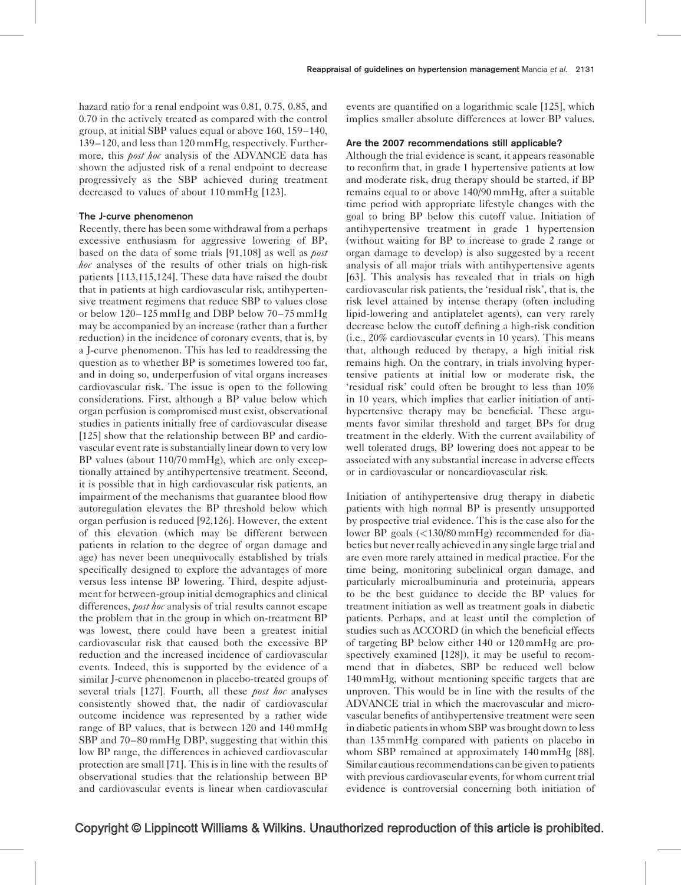hazard ratio for a renal endpoint was 0.81, 0.75, 0.85, and 0.70 in the actively treated as compared with the control group, at initial SBP values equal or above 160, 159–140, 139–120, and less than 120 mmHg, respectively. Furthermore, this post hoc analysis of the ADVANCE data has shown the adjusted risk of a renal endpoint to decrease progressively as the SBP achieved during treatment decreased to values of about 110 mmHg [\[123\]](#page-33-0).

#### The J-curve phenomenon

Recently, there has been some withdrawal from a perhaps excessive enthusiasm for aggressive lowering of BP, based on the data of some trials [\[91,108\]](#page-32-0) as well as post  $h$ oc analyses of the results of other trials on high-risk patients [\[113,115,124\].](#page-32-0) These data have raised the doubt that in patients at high cardiovascular risk, antihypertensive treatment regimens that reduce SBP to values close or below 120–125 mmHg and DBP below 70–75 mmHg may be accompanied by an increase (rather than a further reduction) in the incidence of coronary events, that is, by a J-curve phenomenon. This has led to readdressing the question as to whether BP is sometimes lowered too far, and in doing so, underperfusion of vital organs increases cardiovascular risk. The issue is open to the following considerations. First, although a BP value below which organ perfusion is compromised must exist, observational studies in patients initially free of cardiovascular disease [\[125\]](#page-33-0) show that the relationship between BP and cardiovascular event rate is substantially linear down to very low BP values (about 110/70 mmHg), which are only exceptionally attained by antihypertensive treatment. Second, it is possible that in high cardiovascular risk patients, an impairment of the mechanisms that guarantee blood flow autoregulation elevates the BP threshold below which organ perfusion is reduced [\[92,126\]](#page-32-0). However, the extent of this elevation (which may be different between patients in relation to the degree of organ damage and age) has never been unequivocally established by trials specifically designed to explore the advantages of more versus less intense BP lowering. Third, despite adjustment for between-group initial demographics and clinical differences, *post hoc* analysis of trial results cannot escape the problem that in the group in which on-treatment BP was lowest, there could have been a greatest initial cardiovascular risk that caused both the excessive BP reduction and the increased incidence of cardiovascular events. Indeed, this is supported by the evidence of a similar J-curve phenomenon in placebo-treated groups of several trials [\[127\].](#page-33-0) Fourth, all these *post hoc* analyses consistently showed that, the nadir of cardiovascular outcome incidence was represented by a rather wide range of BP values, that is between 120 and 140 mmHg SBP and 70–80 mmHg DBP, suggesting that within this low BP range, the differences in achieved cardiovascular protection are small [\[71\].](#page-31-0) This is in line with the results of observational studies that the relationship between BP and cardiovascular events is linear when cardiovascular

events are quantified on a logarithmic scale [\[125\]](#page-33-0), which implies smaller absolute differences at lower BP values.

## Are the 2007 recommendations still applicable?

Although the trial evidence is scant, it appears reasonable to reconfirm that, in grade 1 hypertensive patients at low and moderate risk, drug therapy should be started, if BP remains equal to or above 140/90 mmHg, after a suitable time period with appropriate lifestyle changes with the goal to bring BP below this cutoff value. Initiation of antihypertensive treatment in grade 1 hypertension (without waiting for BP to increase to grade 2 range or organ damage to develop) is also suggested by a recent analysis of all major trials with antihypertensive agents [\[63\]](#page-31-0). This analysis has revealed that in trials on high cardiovascular risk patients, the 'residual risk', that is, the risk level attained by intense therapy (often including lipid-lowering and antiplatelet agents), can very rarely decrease below the cutoff defining a high-risk condition (i.e., 20% cardiovascular events in 10 years). This means that, although reduced by therapy, a high initial risk remains high. On the contrary, in trials involving hypertensive patients at initial low or moderate risk, the 'residual risk' could often be brought to less than 10% in 10 years, which implies that earlier initiation of antihypertensive therapy may be beneficial. These arguments favor similar threshold and target BPs for drug treatment in the elderly. With the current availability of well tolerated drugs, BP lowering does not appear to be associated with any substantial increase in adverse effects or in cardiovascular or noncardiovascular risk.

Initiation of antihypertensive drug therapy in diabetic patients with high normal BP is presently unsupported by prospective trial evidence. This is the case also for the lower BP goals (<130/80 mmHg) recommended for diabetics but neverreally achieved in any single large trial and are even more rarely attained in medical practice. For the time being, monitoring subclinical organ damage, and particularly microalbuminuria and proteinuria, appears to be the best guidance to decide the BP values for treatment initiation as well as treatment goals in diabetic patients. Perhaps, and at least until the completion of studies such as ACCORD (in which the beneficial effects of targeting BP below either 140 or 120 mmHg are prospectively examined [\[128\]](#page-33-0)), it may be useful to recommend that in diabetes, SBP be reduced well below 140 mmHg, without mentioning specific targets that are unproven. This would be in line with the results of the ADVANCE trial in which the macrovascular and microvascular benefits of antihypertensive treatment were seen in diabetic patients in whom SBP was brought down to less than 135 mmHg compared with patients on placebo in whom SBP remained at approximately 140 mmHg [\[88\]](#page-32-0). Similar cautious recommendations can be given to patients with previous cardiovascular events, for whom current trial evidence is controversial concerning both initiation of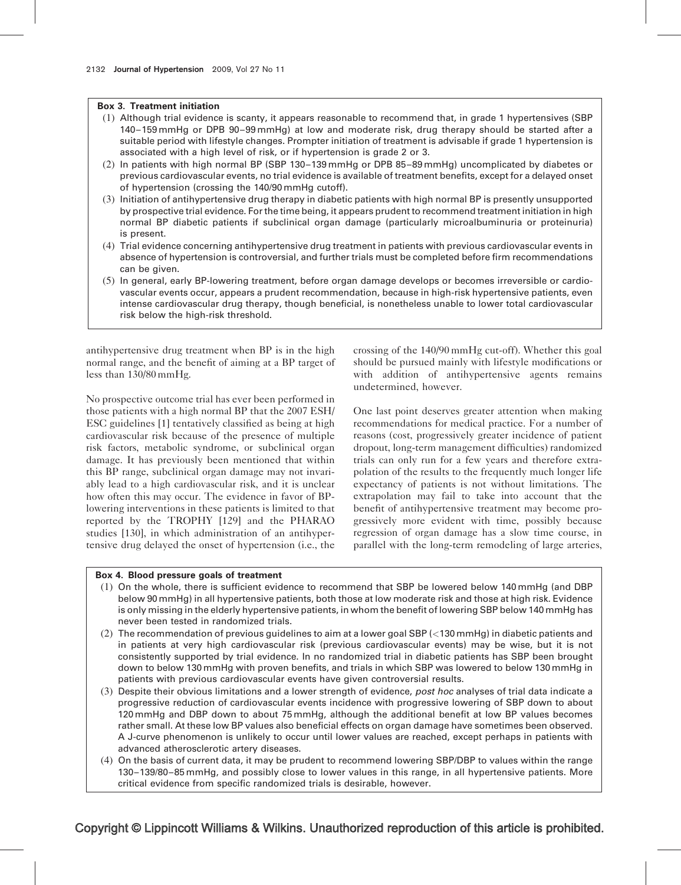#### <span id="page-11-0"></span>Box 3. Treatment initiation

- (1) Although trial evidence is scanty, it appears reasonable to recommend that, in grade 1 hypertensives (SBP 140–159 mmHg or DPB 90–99mmHg) at low and moderate risk, drug therapy should be started after a suitable period with lifestyle changes. Prompter initiation of treatment is advisable if grade 1 hypertension is associated with a high level of risk, or if hypertension is grade 2 or 3.
- (2) In patients with high normal BP (SBP 130–139 mmHg or DPB 85–89 mmHg) uncomplicated by diabetes or previous cardiovascular events, no trial evidence is available of treatment benefits, except for a delayed onset of hypertension (crossing the 140/90 mmHg cutoff).
- (3) Initiation of antihypertensive drug therapy in diabetic patients with high normal BP is presently unsupported by prospective trial evidence. Forthe time being, it appears prudent to recommend treatment initiation in high normal BP diabetic patients if subclinical organ damage (particularly microalbuminuria or proteinuria) is present.
- (4) Trial evidence concerning antihypertensive drug treatment in patients with previous cardiovascular events in absence of hypertension is controversial, and further trials must be completed before firm recommendations can be given.
- (5) In general, early BP-lowering treatment, before organ damage develops or becomes irreversible or cardiovascular events occur, appears a prudent recommendation, because in high-risk hypertensive patients, even intense cardiovascular drug therapy, though beneficial, is nonetheless unable to lower total cardiovascular risk below the high-risk threshold.

antihypertensive drug treatment when BP is in the high normal range, and the benefit of aiming at a BP target of less than 130/80 mmHg.

No prospective outcome trial has ever been performed in those patients with a high normal BP that the 2007 ESH/ ESC guidelines [\[1\]](#page-29-0) tentatively classified as being at high cardiovascular risk because of the presence of multiple risk factors, metabolic syndrome, or subclinical organ damage. It has previously been mentioned that within this BP range, subclinical organ damage may not invariably lead to a high cardiovascular risk, and it is unclear how often this may occur. The evidence in favor of BPlowering interventions in these patients is limited to that reported by the TROPHY [\[129\]](#page-33-0) and the PHARAO studies [\[130\]](#page-33-0), in which administration of an antihypertensive drug delayed the onset of hypertension (i.e., the crossing of the 140/90 mmHg cut-off). Whether this goal should be pursued mainly with lifestyle modifications or with addition of antihypertensive agents remains undetermined, however.

One last point deserves greater attention when making recommendations for medical practice. For a number of reasons (cost, progressively greater incidence of patient dropout, long-term management difficulties) randomized trials can only run for a few years and therefore extrapolation of the results to the frequently much longer life expectancy of patients is not without limitations. The extrapolation may fail to take into account that the benefit of antihypertensive treatment may become progressively more evident with time, possibly because regression of organ damage has a slow time course, in parallel with the long-term remodeling of large arteries,

#### Box 4. Blood pressure goals of treatment

- (1) On the whole, there is sufficient evidence to recommend that SBP be lowered below 140 mmHg (and DBP below 90 mmHg) in all hypertensive patients, both those at low moderate risk and those at high risk. Evidence is only missing in the elderly hypertensive patients, in whom the benefit of lowering SBP below 140 mmHg has never been tested in randomized trials.
- (2) The recommendation of previous guidelines to aim at a lower goal SBP (<130 mmHg) in diabetic patients and in patients at very high cardiovascular risk (previous cardiovascular events) may be wise, but it is not consistently supported by trial evidence. In no randomized trial in diabetic patients has SBP been brought down to below 130 mmHg with proven benefits, and trials in which SBP was lowered to below 130 mmHg in patients with previous cardiovascular events have given controversial results.
- (3) Despite their obvious limitations and a lower strength of evidence, post hoc analyses of trial data indicate a progressive reduction of cardiovascular events incidence with progressive lowering of SBP down to about 120 mmHg and DBP down to about 75 mmHg, although the additional benefit at low BP values becomes rather small. At these low BP values also beneficial effects on organ damage have sometimes been observed. A J-curve phenomenon is unlikely to occur until lower values are reached, except perhaps in patients with advanced atherosclerotic artery diseases.
- (4) On the basis of current data, it may be prudent to recommend lowering SBP/DBP to values within the range 130–139/80–85 mmHg, and possibly close to lower values in this range, in all hypertensive patients. More critical evidence from specific randomized trials is desirable, however.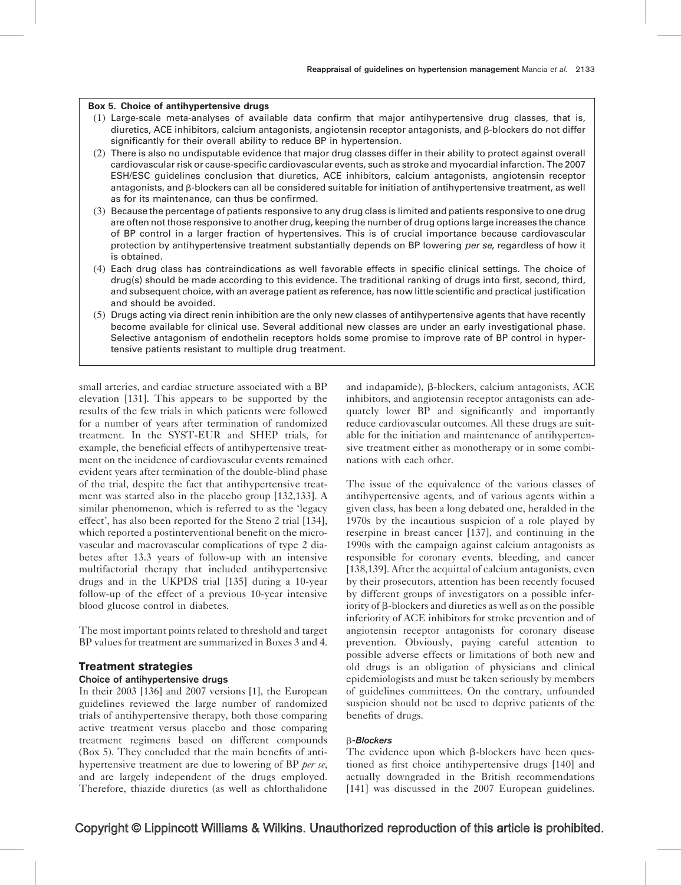#### Box 5. Choice of antihypertensive drugs

- (1) Large-scale meta-analyses of available data confirm that major antihypertensive drug classes, that is, diuretics, ACE inhibitors, calcium antagonists, angiotensin receptor antagonists, and  $\beta$ -blockers do not differ significantly for their overall ability to reduce BP in hypertension.
- (2) There is also no undisputable evidence that major drug classes differ in their ability to protect against overall cardiovascular risk or cause-specific cardiovascular events, such as stroke and myocardial infarction. The 2007 ESH/ESC guidelines conclusion that diuretics, ACE inhibitors, calcium antagonists, angiotensin receptor antagonists, and b-blockers can all be considered suitable for initiation of antihypertensive treatment, as well as for its maintenance, can thus be confirmed.
- (3) Because the percentage of patients responsive to any drug class is limited and patients responsive to one drug are often not those responsive to another drug, keeping the number of drug options large increases the chance of BP control in a larger fraction of hypertensives. This is of crucial importance because cardiovascular protection by antihypertensive treatment substantially depends on BP lowering per se, regardless of how it is obtained.
- (4) Each drug class has contraindications as well favorable effects in specific clinical settings. The choice of drug(s) should be made according to this evidence. The traditional ranking of drugs into first, second, third, and subsequent choice, with an average patient as reference, has now little scientific and practical justification and should be avoided.
- (5) Drugs acting via direct renin inhibition are the only new classes of antihypertensive agents that have recently become available for clinical use. Several additional new classes are under an early investigational phase. Selective antagonism of endothelin receptors holds some promise to improve rate of BP control in hypertensive patients resistant to multiple drug treatment.

small arteries, and cardiac structure associated with a BP elevation [\[131\]](#page-33-0). This appears to be supported by the results of the few trials in which patients were followed for a number of years after termination of randomized treatment. In the SYST-EUR and SHEP trials, for example, the beneficial effects of antihypertensive treatment on the incidence of cardiovascular events remained evident years after termination of the double-blind phase of the trial, despite the fact that antihypertensive treatment was started also in the placebo group [\[132,133\].](#page-33-0) A similar phenomenon, which is referred to as the 'legacy effect', has also been reported for the Steno 2 trial [\[134\]](#page-33-0), which reported a postinterventional benefit on the microvascular and macrovascular complications of type 2 diabetes after 13.3 years of follow-up with an intensive multifactorial therapy that included antihypertensive drugs and in the UKPDS trial [\[135\]](#page-33-0) during a 10-year follow-up of the effect of a previous 10-year intensive blood glucose control in diabetes.

The most important points related to threshold and target BP values for treatment are summarized in [Boxes](#page-11-0) 3 and 4.

#### Treatment strategies

#### Choice of antihypertensive drugs

In their 2003 [\[136\]](#page-33-0) and 2007 versions [\[1\],](#page-29-0) the European guidelines reviewed the large number of randomized trials of antihypertensive therapy, both those comparing active treatment versus placebo and those comparing treatment regimens based on different compounds (Box 5). They concluded that the main benefits of antihypertensive treatment are due to lowering of BP *per se*, and are largely independent of the drugs employed. Therefore, thiazide diuretics (as well as chlorthalidone

and indapamide),  $\beta$ -blockers, calcium antagonists, ACE inhibitors, and angiotensin receptor antagonists can adequately lower BP and significantly and importantly reduce cardiovascular outcomes. All these drugs are suitable for the initiation and maintenance of antihypertensive treatment either as monotherapy or in some combinations with each other.

The issue of the equivalence of the various classes of antihypertensive agents, and of various agents within a given class, has been a long debated one, heralded in the 1970s by the incautious suspicion of a role played by reserpine in breast cancer [\[137\],](#page-33-0) and continuing in the 1990s with the campaign against calcium antagonists as responsible for coronary events, bleeding, and cancer [\[138,139\].](#page-33-0) After the acquittal of calcium antagonists, even by their prosecutors, attention has been recently focused by different groups of investigators on a possible inferiority of  $\beta$ -blockers and diuretics as well as on the possible inferiority of ACE inhibitors for stroke prevention and of angiotensin receptor antagonists for coronary disease prevention. Obviously, paying careful attention to possible adverse effects or limitations of both new and old drugs is an obligation of physicians and clinical epidemiologists and must be taken seriously by members of guidelines committees. On the contrary, unfounded suspicion should not be used to deprive patients of the benefits of drugs.

#### b-Blockers

The evidence upon which  $\beta$ -blockers have been questioned as first choice antihypertensive drugs [\[140\]](#page-33-0) and actually downgraded in the British recommendations [\[141\]](#page-33-0) was discussed in the 2007 European guidelines.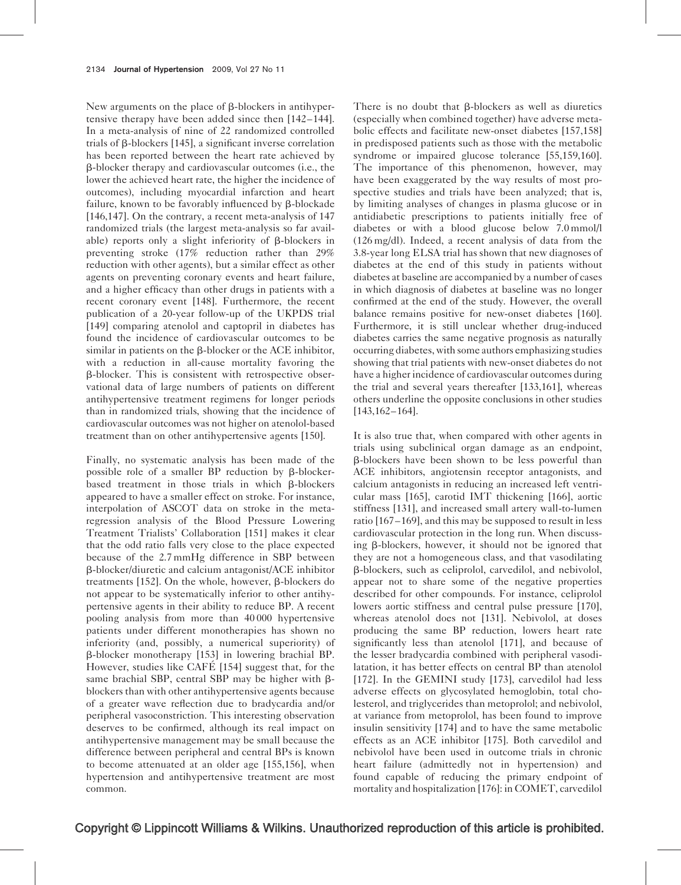New arguments on the place of  $\beta$ -blockers in antihypertensive therapy have been added since then [\[142–144\]](#page-33-0). In a meta-analysis of nine of 22 randomized controlled trials of  $\beta$ -blockers [\[145\],](#page-33-0) a significant inverse correlation has been reported between the heart rate achieved by b-blocker therapy and cardiovascular outcomes (i.e., the lower the achieved heart rate, the higher the incidence of outcomes), including myocardial infarction and heart failure, known to be favorably influenced by  $\beta$ -blockade [\[146,147\].](#page-33-0) On the contrary, a recent meta-analysis of 147 randomized trials (the largest meta-analysis so far available) reports only a slight inferiority of  $\beta$ -blockers in preventing stroke (17% reduction rather than 29% reduction with other agents), but a similar effect as other agents on preventing coronary events and heart failure, and a higher efficacy than other drugs in patients with a recent coronary event [\[148\].](#page-33-0) Furthermore, the recent publication of a 20-year follow-up of the UKPDS trial [\[149\]](#page-33-0) comparing atenolol and captopril in diabetes has found the incidence of cardiovascular outcomes to be similar in patients on the B-blocker or the ACE inhibitor, with a reduction in all-cause mortality favoring the b-blocker. This is consistent with retrospective observational data of large numbers of patients on different antihypertensive treatment regimens for longer periods than in randomized trials, showing that the incidence of cardiovascular outcomes was not higher on atenolol-based treatment than on other antihypertensive agents [\[150\].](#page-33-0)

Finally, no systematic analysis has been made of the possible role of a smaller BP reduction by  $\beta$ -blockerbased treatment in those trials in which  $\beta$ -blockers appeared to have a smaller effect on stroke. For instance, interpolation of ASCOT data on stroke in the metaregression analysis of the Blood Pressure Lowering Treatment Trialists' Collaboration [\[151\]](#page-33-0) makes it clear that the odd ratio falls very close to the place expected because of the 2.7 mmHg difference in SBP between b-blocker/diuretic and calcium antagonist/ACE inhibitor treatments  $[152]$ . On the whole, however,  $\beta$ -blockers do not appear to be systematically inferior to other antihypertensive agents in their ability to reduce BP. A recent pooling analysis from more than 40 000 hypertensive patients under different monotherapies has shown no inferiority (and, possibly, a numerical superiority) of b-blocker monotherapy [\[153\]](#page-33-0) in lowering brachial BP. However, studies like CAFÉ [\[154\]](#page-33-0) suggest that, for the same brachial SBP, central SBP may be higher with  $\beta$ blockers than with other antihypertensive agents because of a greater wave reflection due to bradycardia and/or peripheral vasoconstriction. This interesting observation deserves to be confirmed, although its real impact on antihypertensive management may be small because the difference between peripheral and central BPs is known to become attenuated at an older age [\[155,156\]](#page-33-0), when hypertension and antihypertensive treatment are most common.

There is no doubt that  $\beta$ -blockers as well as diuretics (especially when combined together) have adverse metabolic effects and facilitate new-onset diabetes [\[157,158\]](#page-33-0) in predisposed patients such as those with the metabolic syndrome or impaired glucose tolerance [\[55,159,160\]](#page-31-0). The importance of this phenomenon, however, may have been exaggerated by the way results of most prospective studies and trials have been analyzed; that is, by limiting analyses of changes in plasma glucose or in antidiabetic prescriptions to patients initially free of diabetes or with a blood glucose below 7.0 mmol/l (126 mg/dl). Indeed, a recent analysis of data from the 3.8-year long ELSA trial has shown that new diagnoses of diabetes at the end of this study in patients without diabetes at baseline are accompanied by a number of cases in which diagnosis of diabetes at baseline was no longer confirmed at the end of the study. However, the overall balance remains positive for new-onset diabetes [\[160\]](#page-34-0). Furthermore, it is still unclear whether drug-induced diabetes carries the same negative prognosis as naturally occurring diabetes, with some authors emphasizing studies showing that trial patients with new-onset diabetes do not have a higher incidence of cardiovascular outcomes during the trial and several years thereafter [\[133,161\],](#page-33-0) whereas others underline the opposite conclusions in other studies [\[143,162–164\].](#page-33-0)

It is also true that, when compared with other agents in trials using subclinical organ damage as an endpoint, b-blockers have been shown to be less powerful than ACE inhibitors, angiotensin receptor antagonists, and calcium antagonists in reducing an increased left ventricular mass [\[165\]](#page-34-0), carotid IMT thickening [\[166\],](#page-34-0) aortic stiffness [\[131\]](#page-33-0), and increased small artery wall-to-lumen ratio [\[167–169\],](#page-34-0) and this may be supposed to result in less cardiovascular protection in the long run. When discussing b-blockers, however, it should not be ignored that they are not a homogeneous class, and that vasodilating b-blockers, such as celiprolol, carvedilol, and nebivolol, appear not to share some of the negative properties described for other compounds. For instance, celiprolol lowers aortic stiffness and central pulse pressure [\[170\]](#page-34-0), whereas atenolol does not [\[131\].](#page-33-0) Nebivolol, at doses producing the same BP reduction, lowers heart rate significantly less than atenolol [\[171\],](#page-34-0) and because of the lesser bradycardia combined with peripheral vasodilatation, it has better effects on central BP than atenolol [\[172\]](#page-34-0). In the GEMINI study [\[173\]](#page-34-0), carvedilol had less adverse effects on glycosylated hemoglobin, total cholesterol, and triglycerides than metoprolol; and nebivolol, at variance from metoprolol, has been found to improve insulin sensitivity [\[174\]](#page-34-0) and to have the same metabolic effects as an ACE inhibitor [\[175\].](#page-34-0) Both carvedilol and nebivolol have been used in outcome trials in chronic heart failure (admittedly not in hypertension) and found capable of reducing the primary endpoint of mortality and hospitalization [\[176\]:](#page-34-0) in COMET, carvedilol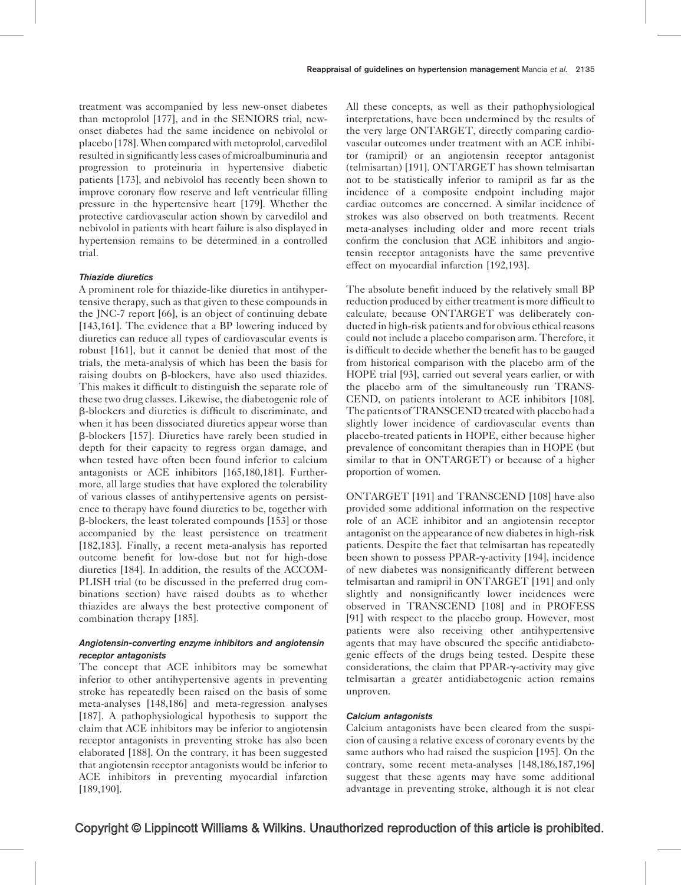treatment was accompanied by less new-onset diabetes than metoprolol [\[177\],](#page-34-0) and in the SENIORS trial, newonset diabetes had the same incidence on nebivolol or placebo [\[178\]](#page-34-0).When compared with metoprolol, carvedilol resulted in significantly less cases of microalbuminuria and progression to proteinuria in hypertensive diabetic patients [\[173\]](#page-34-0), and nebivolol has recently been shown to improve coronary flow reserve and left ventricular filling pressure in the hypertensive heart [\[179\].](#page-34-0) Whether the protective cardiovascular action shown by carvedilol and nebivolol in patients with heart failure is also displayed in hypertension remains to be determined in a controlled trial.

#### Thiazide diuretics

A prominent role for thiazide-like diuretics in antihypertensive therapy, such as that given to these compounds in the JNC-7 report [\[66\],](#page-31-0) is an object of continuing debate [\[143,161\].](#page-33-0) The evidence that a BP lowering induced by diuretics can reduce all types of cardiovascular events is robust [\[161\],](#page-34-0) but it cannot be denied that most of the trials, the meta-analysis of which has been the basis for raising doubts on  $\beta$ -blockers, have also used thiazides. This makes it difficult to distinguish the separate role of these two drug classes. Likewise, the diabetogenic role of b-blockers and diuretics is difficult to discriminate, and when it has been dissociated diuretics appear worse than b-blockers [\[157\]](#page-33-0). Diuretics have rarely been studied in depth for their capacity to regress organ damage, and when tested have often been found inferior to calcium antagonists or ACE inhibitors [\[165,180,181\].](#page-34-0) Furthermore, all large studies that have explored the tolerability of various classes of antihypertensive agents on persistence to therapy have found diuretics to be, together with b-blockers, the least tolerated compounds [\[153\]](#page-33-0) or those accompanied by the least persistence on treatment [\[182,183\].](#page-34-0) Finally, a recent meta-analysis has reported outcome benefit for low-dose but not for high-dose diuretics [\[184\]](#page-34-0). In addition, the results of the ACCOM-PLISH trial (to be discussed in the preferred drug combinations section) have raised doubts as to whether thiazides are always the best protective component of combination therapy [\[185\].](#page-34-0)

## Angiotensin-converting enzyme inhibitors and angiotensin receptor antagonists

The concept that ACE inhibitors may be somewhat inferior to other antihypertensive agents in preventing stroke has repeatedly been raised on the basis of some meta-analyses [\[148,186\]](#page-33-0) and meta-regression analyses [\[187\]](#page-34-0). A pathophysiological hypothesis to support the claim that ACE inhibitors may be inferior to angiotensin receptor antagonists in preventing stroke has also been elaborated [\[188\].](#page-34-0) On the contrary, it has been suggested that angiotensin receptor antagonists would be inferior to ACE inhibitors in preventing myocardial infarction [\[189,190\].](#page-34-0)

All these concepts, as well as their pathophysiological interpretations, have been undermined by the results of the very large ONTARGET, directly comparing cardiovascular outcomes under treatment with an ACE inhibitor (ramipril) or an angiotensin receptor antagonist (telmisartan) [\[191\].](#page-34-0) ONTARGET has shown telmisartan not to be statistically inferior to ramipril as far as the incidence of a composite endpoint including major cardiac outcomes are concerned. A similar incidence of strokes was also observed on both treatments. Recent meta-analyses including older and more recent trials confirm the conclusion that ACE inhibitors and angiotensin receptor antagonists have the same preventive effect on myocardial infarction [\[192,193\].](#page-34-0)

The absolute benefit induced by the relatively small BP reduction produced by either treatment is more difficult to calculate, because ONTARGET was deliberately conducted in high-risk patients and for obvious ethical reasons could not include a placebo comparison arm. Therefore, it is difficult to decide whether the benefit has to be gauged from historical comparison with the placebo arm of the HOPE trial [\[93\],](#page-32-0) carried out several years earlier, or with the placebo arm of the simultaneously run TRANS-CEND, on patients intolerant to ACE inhibitors [\[108\]](#page-32-0). The patients of TRANSCEND treated with placebo had a slightly lower incidence of cardiovascular events than placebo-treated patients in HOPE, either because higher prevalence of concomitant therapies than in HOPE (but similar to that in ONTARGET) or because of a higher proportion of women.

ONTARGET [\[191\]](#page-34-0) and TRANSCEND [\[108\]](#page-32-0) have also provided some additional information on the respective role of an ACE inhibitor and an angiotensin receptor antagonist on the appearance of new diabetes in high-risk patients. Despite the fact that telmisartan has repeatedly been shown to possess PPAR- $\gamma$ -activity [\[194\],](#page-34-0) incidence of new diabetes was nonsignificantly different between telmisartan and ramipril in ONTARGET [\[191\]](#page-34-0) and only slightly and nonsignificantly lower incidences were observed in TRANSCEND [\[108\]](#page-32-0) and in PROFESS [\[91\]](#page-32-0) with respect to the placebo group. However, most patients were also receiving other antihypertensive agents that may have obscured the specific antidiabetogenic effects of the drugs being tested. Despite these considerations, the claim that PPAR- $\gamma$ -activity may give telmisartan a greater antidiabetogenic action remains unproven.

#### Calcium antagonists

Calcium antagonists have been cleared from the suspicion of causing a relative excess of coronary events by the same authors who had raised the suspicion [\[195\].](#page-34-0) On the contrary, some recent meta-analyses [\[148,186,187,196\]](#page-33-0) suggest that these agents may have some additional advantage in preventing stroke, although it is not clear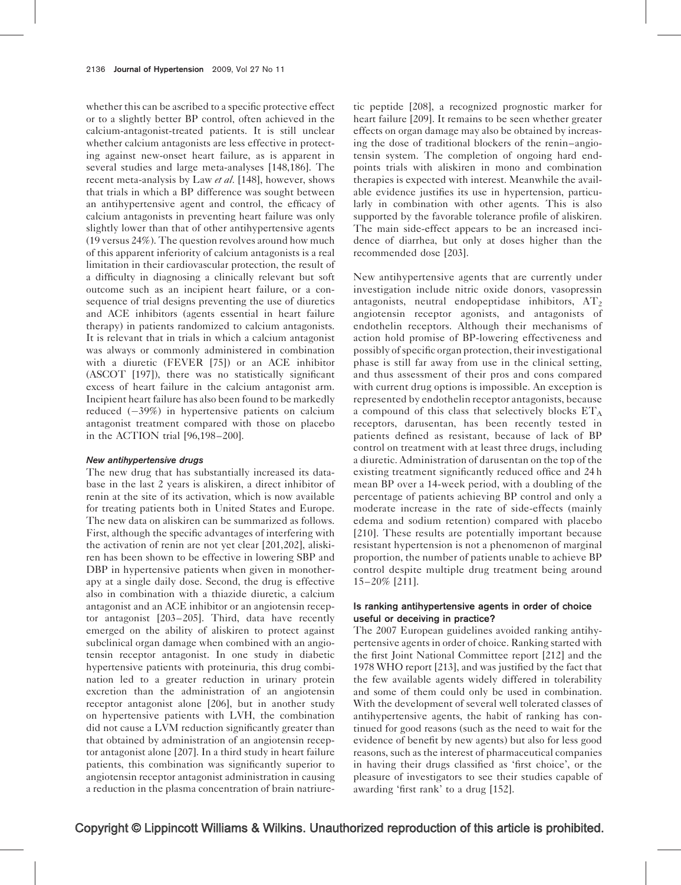whether this can be ascribed to a specific protective effect or to a slightly better BP control, often achieved in the calcium-antagonist-treated patients. It is still unclear whether calcium antagonists are less effective in protecting against new-onset heart failure, as is apparent in several studies and large meta-analyses [\[148,186\]](#page-33-0). The recent meta-analysis by Law et al. [\[148\]](#page-33-0), however, shows that trials in which a BP difference was sought between an antihypertensive agent and control, the efficacy of calcium antagonists in preventing heart failure was only slightly lower than that of other antihypertensive agents (19 versus 24%). The question revolves around how much of this apparent inferiority of calcium antagonists is a real limitation in their cardiovascular protection, the result of a difficulty in diagnosing a clinically relevant but soft outcome such as an incipient heart failure, or a consequence of trial designs preventing the use of diuretics and ACE inhibitors (agents essential in heart failure therapy) in patients randomized to calcium antagonists. It is relevant that in trials in which a calcium antagonist was always or commonly administered in combination with a diuretic (FEVER [\[75\]](#page-31-0)) or an ACE inhibitor (ASCOT [\[197\]](#page-35-0)), there was no statistically significant excess of heart failure in the calcium antagonist arm. Incipient heart failure has also been found to be markedly reduced (-39%) in hypertensive patients on calcium antagonist treatment compared with those on placebo in the ACTION trial [\[96,198–200\]](#page-32-0).

#### New antihypertensive drugs

The new drug that has substantially increased its database in the last 2 years is aliskiren, a direct inhibitor of renin at the site of its activation, which is now available for treating patients both in United States and Europe. The new data on aliskiren can be summarized as follows. First, although the specific advantages of interfering with the activation of renin are not yet clear [\[201,202\],](#page-35-0) aliskiren has been shown to be effective in lowering SBP and DBP in hypertensive patients when given in monotherapy at a single daily dose. Second, the drug is effective also in combination with a thiazide diuretic, a calcium antagonist and an ACE inhibitor or an angiotensin receptor antagonist [\[203–205\].](#page-35-0) Third, data have recently emerged on the ability of aliskiren to protect against subclinical organ damage when combined with an angiotensin receptor antagonist. In one study in diabetic hypertensive patients with proteinuria, this drug combination led to a greater reduction in urinary protein excretion than the administration of an angiotensin receptor antagonist alone [\[206\],](#page-35-0) but in another study on hypertensive patients with LVH, the combination did not cause a LVM reduction significantly greater than that obtained by administration of an angiotensin receptor antagonist alone [\[207\].](#page-35-0) In a third study in heart failure patients, this combination was significantly superior to angiotensin receptor antagonist administration in causing a reduction in the plasma concentration of brain natriuretic peptide [\[208\],](#page-35-0) a recognized prognostic marker for heart failure [\[209\].](#page-35-0) It remains to be seen whether greater effects on organ damage may also be obtained by increasing the dose of traditional blockers of the renin–angiotensin system. The completion of ongoing hard endpoints trials with aliskiren in mono and combination therapies is expected with interest. Meanwhile the available evidence justifies its use in hypertension, particularly in combination with other agents. This is also supported by the favorable tolerance profile of aliskiren. The main side-effect appears to be an increased incidence of diarrhea, but only at doses higher than the recommended dose [\[203\]](#page-35-0).

New antihypertensive agents that are currently under investigation include nitric oxide donors, vasopressin antagonists, neutral endopeptidase inhibitors,  $AT<sub>2</sub>$ angiotensin receptor agonists, and antagonists of endothelin receptors. Although their mechanisms of action hold promise of BP-lowering effectiveness and possibly of specific organ protection, their investigational phase is still far away from use in the clinical setting, and thus assessment of their pros and cons compared with current drug options is impossible. An exception is represented by endothelin receptor antagonists, because a compound of this class that selectively blocks  $ET_A$ receptors, darusentan, has been recently tested in patients defined as resistant, because of lack of BP control on treatment with at least three drugs, including a diuretic. Administration of darusentan on the top of the existing treatment significantly reduced office and 24 h mean BP over a 14-week period, with a doubling of the percentage of patients achieving BP control and only a moderate increase in the rate of side-effects (mainly edema and sodium retention) compared with placebo [\[210\].](#page-35-0) These results are potentially important because resistant hypertension is not a phenomenon of marginal proportion, the number of patients unable to achieve BP control despite multiple drug treatment being around 15–20% [\[211\].](#page-35-0)

## Is ranking antihypertensive agents in order of choice useful or deceiving in practice?

The 2007 European guidelines avoided ranking antihypertensive agents in order of choice. Ranking started with the first Joint National Committee report [\[212\]](#page-35-0) and the 1978 WHO report [\[213\]](#page-35-0), and was justified by the fact that the few available agents widely differed in tolerability and some of them could only be used in combination. With the development of several well tolerated classes of antihypertensive agents, the habit of ranking has continued for good reasons (such as the need to wait for the evidence of benefit by new agents) but also for less good reasons, such as the interest of pharmaceutical companies in having their drugs classified as 'first choice', or the pleasure of investigators to see their studies capable of awarding 'first rank' to a drug [\[152\]](#page-33-0).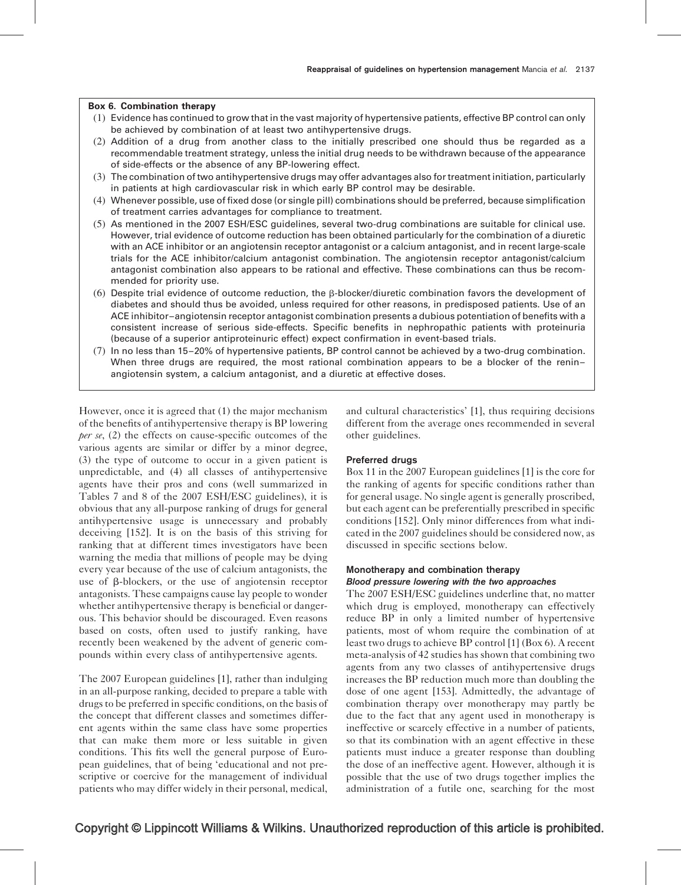#### Box 6. Combination therapy

- (1) Evidence has continued to grow that in the vast majority of hypertensive patients, effective BP control can only be achieved by combination of at least two antihypertensive drugs.
- (2) Addition of a drug from another class to the initially prescribed one should thus be regarded as a recommendable treatment strategy, unless the initial drug needs to be withdrawn because of the appearance of side-effects or the absence of any BP-lowering effect.
- (3) The combination of two antihypertensive drugs may offer advantages also fortreatment initiation, particularly in patients at high cardiovascular risk in which early BP control may be desirable.
- (4) Whenever possible, use of fixed dose (or single pill) combinations should be preferred, because simplification of treatment carries advantages for compliance to treatment.
- (5) As mentioned in the 2007 ESH/ESC guidelines, several two-drug combinations are suitable for clinical use. However, trial evidence of outcome reduction has been obtained particularly for the combination of a diuretic with an ACE inhibitor or an angiotensin receptor antagonist or a calcium antagonist, and in recent large-scale trials for the ACE inhibitor/calcium antagonist combination. The angiotensin receptor antagonist/calcium antagonist combination also appears to be rational and effective. These combinations can thus be recommended for priority use.
- $(6)$  Despite trial evidence of outcome reduction, the  $\beta$ -blocker/diuretic combination favors the development of diabetes and should thus be avoided, unless required for other reasons, in predisposed patients. Use of an ACE inhibitor–angiotensin receptor antagonist combination presents a dubious potentiation of benefits with a consistent increase of serious side-effects. Specific benefits in nephropathic patients with proteinuria (because of a superior antiproteinuric effect) expect confirmation in event-based trials.
- (7) In no less than 15–20% of hypertensive patients, BP control cannot be achieved by a two-drug combination. When three drugs are required, the most rational combination appears to be a blocker of the reninangiotensin system, a calcium antagonist, and a diuretic at effective doses.

However, once it is agreed that (1) the major mechanism of the benefits of antihypertensive therapy is BP lowering per se,  $(2)$  the effects on cause-specific outcomes of the various agents are similar or differ by a minor degree, (3) the type of outcome to occur in a given patient is unpredictable, and (4) all classes of antihypertensive agents have their pros and cons (well summarized in Tables 7 and 8 of the 2007 ESH/ESC guidelines), it is obvious that any all-purpose ranking of drugs for general antihypertensive usage is unnecessary and probably deceiving [\[152\]](#page-33-0). It is on the basis of this striving for ranking that at different times investigators have been warning the media that millions of people may be dying every year because of the use of calcium antagonists, the use of  $\beta$ -blockers, or the use of angiotensin receptor antagonists. These campaigns cause lay people to wonder whether antihypertensive therapy is beneficial or dangerous. This behavior should be discouraged. Even reasons based on costs, often used to justify ranking, have recently been weakened by the advent of generic compounds within every class of antihypertensive agents.

The 2007 European guidelines [\[1\],](#page-29-0) rather than indulging in an all-purpose ranking, decided to prepare a table with drugs to be preferred in specific conditions, on the basis of the concept that different classes and sometimes different agents within the same class have some properties that can make them more or less suitable in given conditions. This fits well the general purpose of European guidelines, that of being 'educational and not prescriptive or coercive for the management of individual patients who may differ widely in their personal, medical,

and cultural characteristics' [\[1\]](#page-29-0), thus requiring decisions different from the average ones recommended in several other guidelines.

### Preferred drugs

Box 11 in the 2007 European guidelines [\[1\]](#page-29-0) is the core for the ranking of agents for specific conditions rather than for general usage. No single agent is generally proscribed, but each agent can be preferentially prescribed in specific conditions [\[152\].](#page-33-0) Only minor differences from what indicated in the 2007 guidelines should be considered now, as discussed in specific sections below.

## Monotherapy and combination therapy Blood pressure lowering with the two approaches

The 2007 ESH/ESC guidelines underline that, no matter which drug is employed, monotherapy can effectively reduce BP in only a limited number of hypertensive patients, most of whom require the combination of at least two drugs to achieve BP control [\[1\]](#page-29-0) (Box 6). A recent meta-analysis of 42 studies has shown that combining two agents from any two classes of antihypertensive drugs increases the BP reduction much more than doubling the dose of one agent [\[153\]](#page-33-0). Admittedly, the advantage of combination therapy over monotherapy may partly be due to the fact that any agent used in monotherapy is ineffective or scarcely effective in a number of patients, so that its combination with an agent effective in these patients must induce a greater response than doubling the dose of an ineffective agent. However, although it is possible that the use of two drugs together implies the administration of a futile one, searching for the most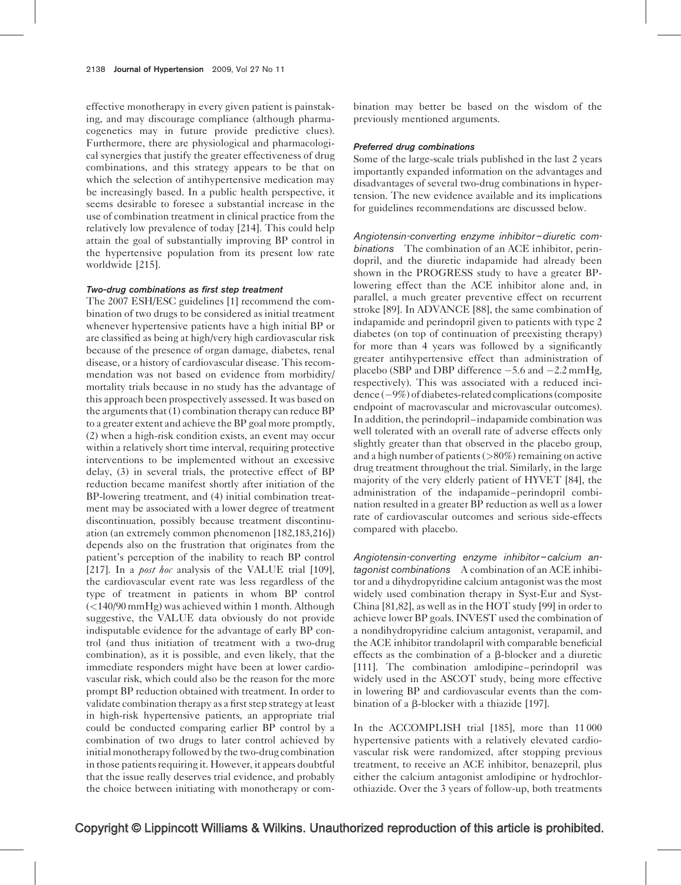effective monotherapy in every given patient is painstaking, and may discourage compliance (although pharmacogenetics may in future provide predictive clues). Furthermore, there are physiological and pharmacological synergies that justify the greater effectiveness of drug combinations, and this strategy appears to be that on which the selection of antihypertensive medication may be increasingly based. In a public health perspective, it seems desirable to foresee a substantial increase in the use of combination treatment in clinical practice from the relatively low prevalence of today [\[214\].](#page-35-0) This could help attain the goal of substantially improving BP control in the hypertensive population from its present low rate worldwide [\[215\]](#page-35-0).

### Two-drug combinations as first step treatment

The 2007 ESH/ESC guidelines [\[1\]](#page-29-0) recommend the combination of two drugs to be considered as initial treatment whenever hypertensive patients have a high initial BP or are classified as being at high/very high cardiovascular risk because of the presence of organ damage, diabetes, renal disease, or a history of cardiovascular disease. This recommendation was not based on evidence from morbidity/ mortality trials because in no study has the advantage of this approach been prospectively assessed.It was based on the arguments that  $(1)$  combination therapy can reduce BP to a greater extent and achieve the BP goal more promptly, (2) when a high-risk condition exists, an event may occur within a relatively short time interval, requiring protective interventions to be implemented without an excessive delay, (3) in several trials, the protective effect of BP reduction became manifest shortly after initiation of the BP-lowering treatment, and (4) initial combination treatment may be associated with a lower degree of treatment discontinuation, possibly because treatment discontinuation (an extremely common phenomenon [\[182,183,216\]\)](#page-34-0) depends also on the frustration that originates from the patient's perception of the inability to reach BP control [\[217\]](#page-35-0). In a *post hoc* analysis of the VALUE trial [\[109\]](#page-32-0), the cardiovascular event rate was less regardless of the type of treatment in patients in whom BP control (<140/90 mmHg) was achieved within 1 month. Although suggestive, the VALUE data obviously do not provide indisputable evidence for the advantage of early BP control (and thus initiation of treatment with a two-drug combination), as it is possible, and even likely, that the immediate responders might have been at lower cardiovascular risk, which could also be the reason for the more prompt BP reduction obtained with treatment. In order to validate combination therapy as a first step strategy at least in high-risk hypertensive patients, an appropriate trial could be conducted comparing earlier BP control by a combination of two drugs to later control achieved by initial monotherapy followed by the two-drug combination in those patients requiring it. However, it appears doubtful that the issue really deserves trial evidence, and probably the choice between initiating with monotherapy or combination may better be based on the wisdom of the previously mentioned arguments.

## Preferred drug combinations

Some of the large-scale trials published in the last 2 years importantly expanded information on the advantages and disadvantages of several two-drug combinations in hypertension. The new evidence available and its implications for guidelines recommendations are discussed below.

Angiotensin-converting enzyme inhibitor–diuretic combinations The combination of an ACE inhibitor, perindopril, and the diuretic indapamide had already been shown in the PROGRESS study to have a greater BPlowering effect than the ACE inhibitor alone and, in parallel, a much greater preventive effect on recurrent stroke [\[89\].](#page-32-0) In ADVANCE [\[88\],](#page-32-0) the same combination of indapamide and perindopril given to patients with type 2 diabetes (on top of continuation of preexisting therapy) for more than 4 years was followed by a significantly greater antihypertensive effect than administration of placebo (SBP and DBP difference  $-5.6$  and  $-2.2$  mmHg, respectively). This was associated with a reduced incidence (-9%) of diabetes-related complications (composite endpoint of macrovascular and microvascular outcomes). In addition, the perindopril–indapamide combination was well tolerated with an overall rate of adverse effects only slightly greater than that observed in the placebo group, and a high number of patients  $(>80\%)$  remaining on active drug treatment throughout the trial. Similarly, in the large majority of the very elderly patient of HYVET [\[84\],](#page-31-0) the administration of the indapamide–perindopril combination resulted in a greater BP reduction as well as a lower rate of cardiovascular outcomes and serious side-effects compared with placebo.

Angiotensin-converting enzyme inhibitor–calcium antagonist combinations A combination of an ACE inhibitor and a dihydropyridine calcium antagonist was the most widely used combination therapy in Syst-Eur and Syst-China [\[81,82\],](#page-31-0) as well as in the HOT study [\[99\]](#page-32-0) in order to achieve lower BP goals. INVEST used the combination of a nondihydropyridine calcium antagonist, verapamil, and the ACE inhibitor trandolapril with comparable beneficial effects as the combination of a  $\beta$ -blocker and a diuretic [\[111\]](#page-32-0). The combination amlodipine–perindopril was widely used in the ASCOT study, being more effective in lowering BP and cardiovascular events than the combination of a  $\beta$ -blocker with a thiazide [\[197\]](#page-35-0).

In the ACCOMPLISH trial [\[185\],](#page-34-0) more than 11 000 hypertensive patients with a relatively elevated cardiovascular risk were randomized, after stopping previous treatment, to receive an ACE inhibitor, benazepril, plus either the calcium antagonist amlodipine or hydrochlorothiazide. Over the 3 years of follow-up, both treatments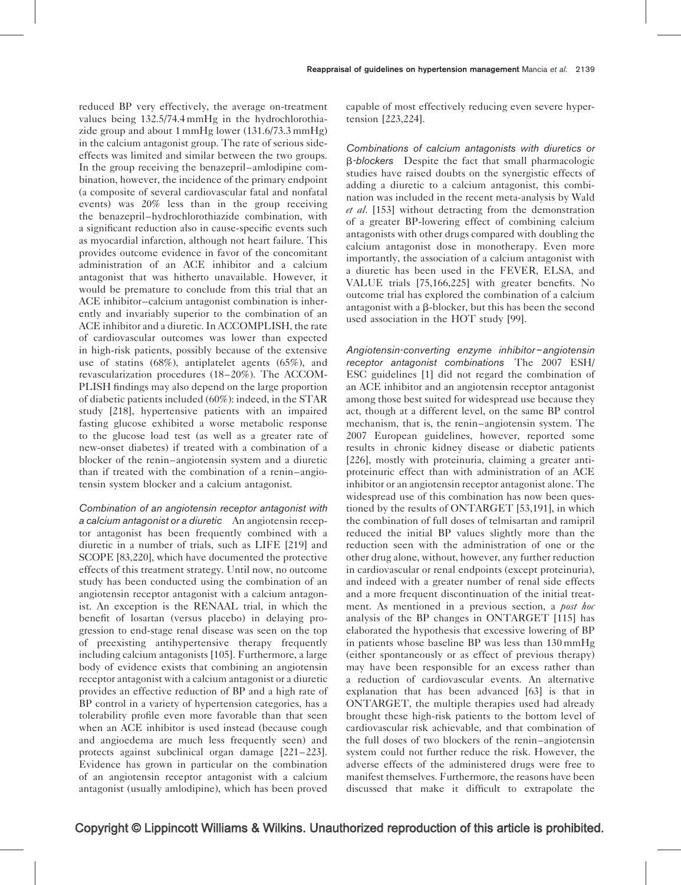reduced BP very effectively, the average on-treatment values being 132.5/74.4 mmHg in the hydrochlorothiazide group and about 1 mmHg lower (131.6/73.3 mmHg) in the calcium antagonist group. The rate of serious sideeffects was limited and similar between the two groups. In the group receiving the benazepril–amlodipine combination, however, the incidence of the primary endpoint (a composite of several cardiovascular fatal and nonfatal events) was 20% less than in the group receiving the benazepril–hydrochlorothiazide combination, with a significant reduction also in cause-specific events such as myocardial infarction, although not heart failure. This provides outcome evidence in favor of the concomitant administration of an ACE inhibitor and a calcium antagonist that was hitherto unavailable. However, it would be premature to conclude from this trial that an ACE inhibitor–calcium antagonist combination is inherently and invariably superior to the combination of an ACE inhibitor and a diuretic.In ACCOMPLISH, the rate of cardiovascular outcomes was lower than expected in high-risk patients, possibly because of the extensive use of statins (68%), antiplatelet agents (65%), and revascularization procedures (18–20%). The ACCOM-PLISH findings may also depend on the large proportion of diabetic patients included (60%): indeed, in the STAR study [\[218\],](#page-35-0) hypertensive patients with an impaired fasting glucose exhibited a worse metabolic response to the glucose load test (as well as a greater rate of new-onset diabetes) if treated with a combination of a blocker of the renin–angiotensin system and a diuretic than if treated with the combination of a renin–angiotensin system blocker and a calcium antagonist.

Combination of an angiotensin receptor antagonist with a calcium antagonist or a diuretic An angiotensin receptor antagonist has been frequently combined with a diuretic in a number of trials, such as LIFE [\[219\]](#page-35-0) and SCOPE [\[83,220\],](#page-31-0) which have documented the protective effects of this treatment strategy. Until now, no outcome study has been conducted using the combination of an angiotensin receptor antagonist with a calcium antagonist. An exception is the RENAAL trial, in which the benefit of losartan (versus placebo) in delaying progression to end-stage renal disease was seen on the top of preexisting antihypertensive therapy frequently including calcium antagonists [\[105\].](#page-32-0) Furthermore, a large body of evidence exists that combining an angiotensin receptor antagonist with a calcium antagonist or a diuretic provides an effective reduction of BP and a high rate of BP control in a variety of hypertension categories, has a tolerability profile even more favorable than that seen when an ACE inhibitor is used instead (because cough and angioedema are much less frequently seen) and protects against subclinical organ damage [\[221–223\]](#page-35-0). Evidence has grown in particular on the combination of an angiotensin receptor antagonist with a calcium antagonist (usually amlodipine), which has been proved capable of most effectively reducing even severe hypertension [\[223,224\]](#page-35-0).

Combinations of calcium antagonists with diuretics or b-blockers Despite the fact that small pharmacologic studies have raised doubts on the synergistic effects of adding a diuretic to a calcium antagonist, this combination was included in the recent meta-analysis by Wald et al. [\[153\]](#page-33-0) without detracting from the demonstration of a greater BP-lowering effect of combining calcium antagonists with other drugs compared with doubling the calcium antagonist dose in monotherapy. Even more importantly, the association of a calcium antagonist with a diuretic has been used in the FEVER, ELSA, and VALUE trials [\[75,166,225\]](#page-31-0) with greater benefits. No outcome trial has explored the combination of a calcium antagonist with a  $\beta$ -blocker, but this has been the second used association in the HOT study [\[99\]](#page-32-0).

Angiotensin-converting enzyme inhibitor–angiotensin receptor antagonist combinations The 2007 ESH/ ESC guidelines [\[1\]](#page-29-0) did not regard the combination of an ACE inhibitor and an angiotensin receptor antagonist among those best suited for widespread use because they act, though at a different level, on the same BP control mechanism, that is, the renin–angiotensin system. The 2007 European guidelines, however, reported some results in chronic kidney disease or diabetic patients [\[226\]](#page-35-0), mostly with proteinuria, claiming a greater antiproteinuric effect than with administration of an ACE inhibitor or an angiotensin receptor antagonist alone. The widespread use of this combination has now been questioned by the results of ONTARGET [\[53,191\]](#page-31-0), in which the combination of full doses of telmisartan and ramipril reduced the initial BP values slightly more than the reduction seen with the administration of one or the other drug alone, without, however, any further reduction in cardiovascular or renal endpoints (except proteinuria), and indeed with a greater number of renal side effects and a more frequent discontinuation of the initial treatment. As mentioned in a previous section, a *post hoc* analysis of the BP changes in ONTARGET [\[115\]](#page-32-0) has elaborated the hypothesis that excessive lowering of BP in patients whose baseline BP was less than 130 mmHg (either spontaneously or as effect of previous therapy) may have been responsible for an excess rather than a reduction of cardiovascular events. An alternative explanation that has been advanced [\[63\]](#page-31-0) is that in ONTARGET, the multiple therapies used had already brought these high-risk patients to the bottom level of cardiovascular risk achievable, and that combination of the full doses of two blockers of the renin–angiotensin system could not further reduce the risk. However, the adverse effects of the administered drugs were free to manifest themselves. Furthermore, the reasons have been discussed that make it difficult to extrapolate the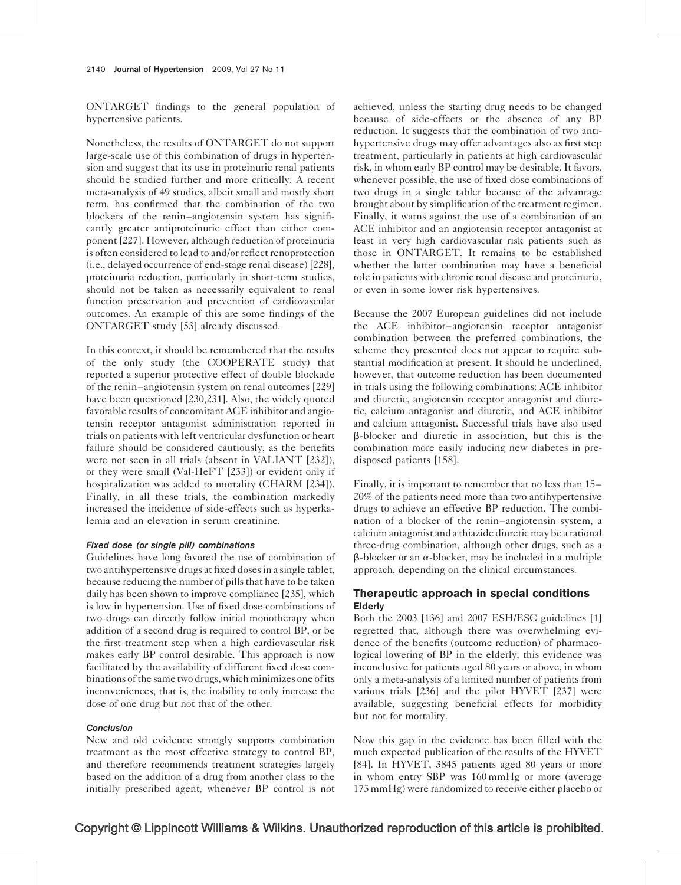ONTARGET findings to the general population of hypertensive patients.

Nonetheless, the results of ONTARGET do not support large-scale use of this combination of drugs in hypertension and suggest that its use in proteinuric renal patients should be studied further and more critically. A recent meta-analysis of 49 studies, albeit small and mostly short term, has confirmed that the combination of the two blockers of the renin–angiotensin system has significantly greater antiproteinuric effect than either component [\[227\]](#page-35-0). However, although reduction of proteinuria is often considered to lead to and/or reflect renoprotection (i.e., delayed occurrence of end-stage renal disease) [\[228\]](#page-35-0), proteinuria reduction, particularly in short-term studies, should not be taken as necessarily equivalent to renal function preservation and prevention of cardiovascular outcomes. An example of this are some findings of the ONTARGET study [\[53\]](#page-31-0) already discussed.

In this context, it should be remembered that the results of the only study (the COOPERATE study) that reported a superior protective effect of double blockade of the renin–angiotensin system on renal outcomes [\[229\]](#page-35-0) have been questioned [\[230,231\]](#page-35-0). Also, the widely quoted favorable results of concomitant ACE inhibitor and angiotensin receptor antagonist administration reported in trials on patients with left ventricular dysfunction or heart failure should be considered cautiously, as the benefits were not seen in all trials (absent in VALIANT [\[232\]](#page-35-0)), or they were small (Val-HeFT [\[233\]\)](#page-35-0) or evident only if hospitalization was added to mortality (CHARM [\[234\]](#page-35-0)). Finally, in all these trials, the combination markedly increased the incidence of side-effects such as hyperkalemia and an elevation in serum creatinine.

#### Fixed dose (or single pill) combinations

Guidelines have long favored the use of combination of two antihypertensive drugs at fixed dosesin a single tablet, because reducing the number of pills that have to be taken daily has been shown to improve compliance [\[235\],](#page-35-0) which is low in hypertension. Use of fixed dose combinations of two drugs can directly follow initial monotherapy when addition of a second drug is required to control BP, or be the first treatment step when a high cardiovascular risk makes early BP control desirable. This approach is now facilitated by the availability of different fixed dose combinations of the same two drugs, which minimizes one of its inconveniences, that is, the inability to only increase the dose of one drug but not that of the other.

#### Conclusion

New and old evidence strongly supports combination treatment as the most effective strategy to control BP, and therefore recommends treatment strategies largely based on the addition of a drug from another class to the initially prescribed agent, whenever BP control is not achieved, unless the starting drug needs to be changed because of side-effects or the absence of any BP reduction. It suggests that the combination of two antihypertensive drugs may offer advantages also as first step treatment, particularly in patients at high cardiovascular risk, in whom early BP control may be desirable. It favors, whenever possible, the use of fixed dose combinations of two drugs in a single tablet because of the advantage brought about by simplification of the treatment regimen. Finally, it warns against the use of a combination of an ACE inhibitor and an angiotensin receptor antagonist at least in very high cardiovascular risk patients such as those in ONTARGET. It remains to be established whether the latter combination may have a beneficial role in patients with chronic renal disease and proteinuria, or even in some lower risk hypertensives.

Because the 2007 European guidelines did not include the ACE inhibitor–angiotensin receptor antagonist combination between the preferred combinations, the scheme they presented does not appear to require substantial modification at present. It should be underlined, however, that outcome reduction has been documented in trials using the following combinations: ACE inhibitor and diuretic, angiotensin receptor antagonist and diuretic, calcium antagonist and diuretic, and ACE inhibitor and calcium antagonist. Successful trials have also used b-blocker and diuretic in association, but this is the combination more easily inducing new diabetes in predisposed patients [\[158\].](#page-33-0)

Finally, it is important to remember that no less than 15– 20% of the patients need more than two antihypertensive drugs to achieve an effective BP reduction. The combination of a blocker of the renin–angiotensin system, a calcium antagonist and a thiazide diuretic may be a rational three-drug combination, although other drugs, such as a  $\beta$ -blocker or an  $\alpha$ -blocker, may be included in a multiple approach, depending on the clinical circumstances.

## Therapeutic approach in special conditions Elderly

Both the 2003 [\[136\]](#page-33-0) and 2007 ESH/ESC guidelines [\[1\]](#page-29-0) regretted that, although there was overwhelming evidence of the benefits (outcome reduction) of pharmacological lowering of BP in the elderly, this evidence was inconclusive for patients aged 80 years or above, in whom only a meta-analysis of a limited number of patients from various trials [\[236\]](#page-36-0) and the pilot HYVET [\[237\]](#page-36-0) were available, suggesting beneficial effects for morbidity but not for mortality.

Now this gap in the evidence has been filled with the much expected publication of the results of the HYVET [\[84\]](#page-31-0). In HYVET, 3845 patients aged 80 years or more in whom entry SBP was 160 mmHg or more (average 173 mmHg) were randomized to receive either placebo or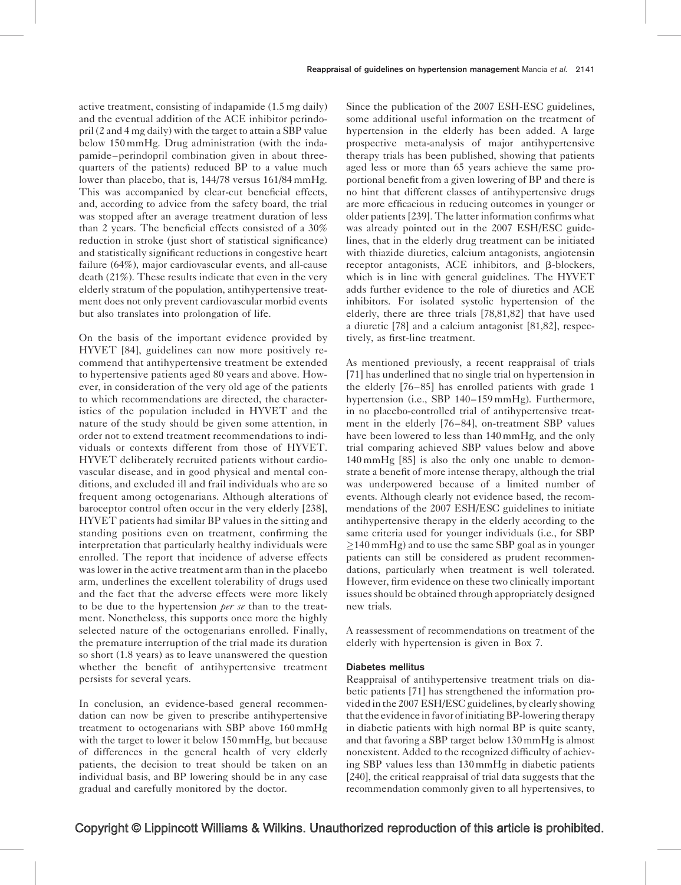active treatment, consisting of indapamide (1.5 mg daily) and the eventual addition of the ACE inhibitor perindopril (2 and 4 mg daily) with the target to attain a SBP value below 150 mmHg. Drug administration (with the indapamide–perindopril combination given in about threequarters of the patients) reduced BP to a value much lower than placebo, that is, 144/78 versus 161/84 mmHg. This was accompanied by clear-cut beneficial effects, and, according to advice from the safety board, the trial was stopped after an average treatment duration of less than 2 years. The beneficial effects consisted of a 30% reduction in stroke (just short of statistical significance) and statistically significant reductions in congestive heart failure (64%), major cardiovascular events, and all-cause death (21%). These results indicate that even in the very elderly stratum of the population, antihypertensive treatment does not only prevent cardiovascular morbid events but also translates into prolongation of life.

On the basis of the important evidence provided by HYVET [\[84\],](#page-31-0) guidelines can now more positively recommend that antihypertensive treatment be extended to hypertensive patients aged 80 years and above. However, in consideration of the very old age of the patients to which recommendations are directed, the characteristics of the population included in HYVET and the nature of the study should be given some attention, in order not to extend treatment recommendations to individuals or contexts different from those of HYVET. HYVET deliberately recruited patients without cardiovascular disease, and in good physical and mental conditions, and excluded ill and frail individuals who are so frequent among octogenarians. Although alterations of baroceptor control often occur in the very elderly [\[238\]](#page-36-0), HYVET patients had similar BP values in the sitting and standing positions even on treatment, confirming the interpretation that particularly healthy individuals were enrolled. The report that incidence of adverse effects waslower in the active treatment arm than in the placebo arm, underlines the excellent tolerability of drugs used and the fact that the adverse effects were more likely to be due to the hypertension *per se* than to the treatment. Nonetheless, this supports once more the highly selected nature of the octogenarians enrolled. Finally, the premature interruption of the trial made its duration so short (1.8 years) as to leave unanswered the question whether the benefit of antihypertensive treatment persists for several years.

In conclusion, an evidence-based general recommendation can now be given to prescribe antihypertensive treatment to octogenarians with SBP above 160 mmHg with the target to lower it below 150 mmHg, but because of differences in the general health of very elderly patients, the decision to treat should be taken on an individual basis, and BP lowering should be in any case gradual and carefully monitored by the doctor.

Since the publication of the 2007 ESH-ESC guidelines, some additional useful information on the treatment of hypertension in the elderly has been added. A large prospective meta-analysis of major antihypertensive therapy trials has been published, showing that patients aged less or more than 65 years achieve the same proportional benefit from a given lowering of BP and there is no hint that different classes of antihypertensive drugs are more efficacious in reducing outcomes in younger or older patients [\[239\].](#page-36-0) The latter information confirms what was already pointed out in the 2007 ESH/ESC guidelines, that in the elderly drug treatment can be initiated with thiazide diuretics, calcium antagonists, angiotensin receptor antagonists, ACE inhibitors, and  $\beta$ -blockers, which is in line with general guidelines. The HYVET adds further evidence to the role of diuretics and ACE inhibitors. For isolated systolic hypertension of the elderly, there are three trials [\[78,81,82\]](#page-31-0) that have used a diuretic [\[78\]](#page-31-0) and a calcium antagonist [\[81,82\],](#page-31-0) respectively, as first-line treatment.

As mentioned previously, a recent reappraisal of trials [\[71\]](#page-31-0) has underlined that no single trial on hypertension in the elderly [\[76–85\]](#page-31-0) has enrolled patients with grade 1 hypertension (i.e., SBP 140–159 mmHg). Furthermore, in no placebo-controlled trial of antihypertensive treatment in the elderly [\[76–84\],](#page-31-0) on-treatment SBP values have been lowered to less than 140 mmHg, and the only trial comparing achieved SBP values below and above 140 mmHg [\[85\]](#page-31-0) is also the only one unable to demonstrate a benefit of more intense therapy, although the trial was underpowered because of a limited number of events. Although clearly not evidence based, the recommendations of the 2007 ESH/ESC guidelines to initiate antihypertensive therapy in the elderly according to the same criteria used for younger individuals (i.e., for SBP  $>140$  mmHg) and to use the same SBP goal as in younger patients can still be considered as prudent recommendations, particularly when treatment is well tolerated. However, firm evidence on these two clinically important issues should be obtained through appropriately designed new trials.

A reassessment of recommendations on treatment of the elderly with hypertension is given in [Box](#page-21-0) 7.

## Diabetes mellitus

Reappraisal of antihypertensive treatment trials on diabetic patients [\[71\]](#page-31-0) has strengthened the information provided in the 2007 ESH/ESC guidelines, by clearly showing that the evidence in favor of initiating BP-lowering therapy in diabetic patients with high normal BP is quite scanty, and that favoring a SBP target below 130 mmHg is almost nonexistent. Added to the recognized difficulty of achieving SBP values less than 130 mmHg in diabetic patients [\[240\]](#page-36-0), the critical reappraisal of trial data suggests that the recommendation commonly given to all hypertensives, to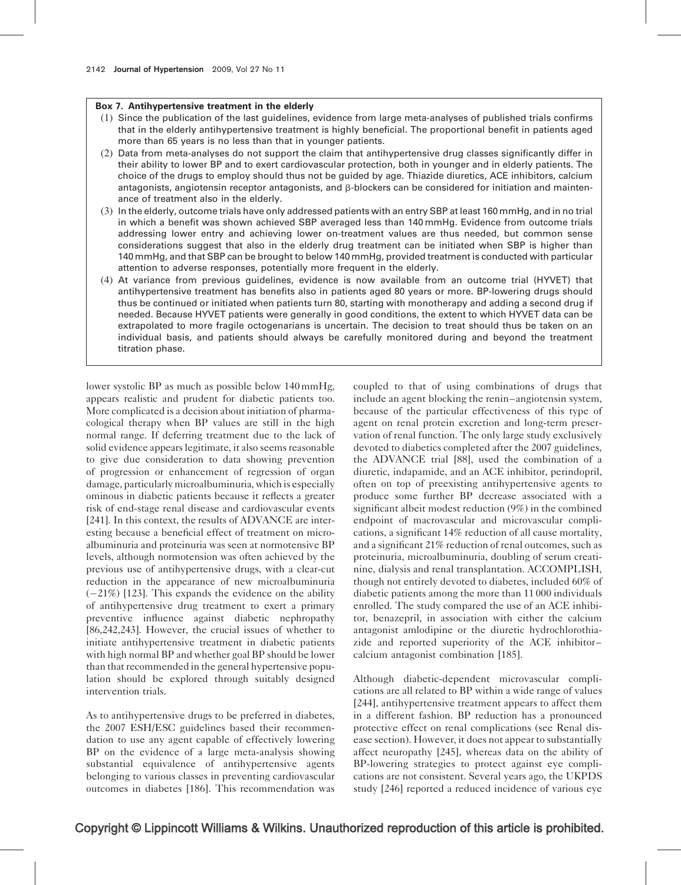#### <span id="page-21-0"></span>Box 7. Antihypertensive treatment in the elderly

- (1) Since the publication of the last guidelines, evidence from large meta-analyses of published trials confirms that in the elderly antihypertensive treatment is highly beneficial. The proportional benefit in patients aged more than 65 years is no less than that in younger patients.
- (2) Data from meta-analyses do not support the claim that antihypertensive drug classes significantly differ in their ability to lower BP and to exert cardiovascular protection, both in younger and in elderly patients. The choice of the drugs to employ should thus not be guided by age. Thiazide diuretics, ACE inhibitors, calcium antagonists, angiotensin receptor antagonists, and b-blockers can be considered for initiation and maintenance of treatment also in the elderly.
- (3) In the elderly, outcome trials have only addressed patients with an entry SBP at least 160 mmHg, and in no trial in which a benefit was shown achieved SBP averaged less than 140 mmHg. Evidence from outcome trials addressing lower entry and achieving lower on-treatment values are thus needed, but common sense considerations suggest that also in the elderly drug treatment can be initiated when SBP is higher than 140 mmHg, and that SBP can be brought to below 140 mmHg, provided treatment is conducted with particular attention to adverse responses, potentially more frequent in the elderly.
- (4) At variance from previous guidelines, evidence is now available from an outcome trial (HYVET) that antihypertensive treatment has benefits also in patients aged 80 years or more. BP-lowering drugs should thus be continued or initiated when patients turn 80, starting with monotherapy and adding a second drug if needed. Because HYVET patients were generally in good conditions, the extent to which HYVET data can be extrapolated to more fragile octogenarians is uncertain. The decision to treat should thus be taken on an individual basis, and patients should always be carefully monitored during and beyond the treatment titration phase.

lower systolic BP as much as possible below 140 mmHg, appears realistic and prudent for diabetic patients too. More complicated is a decision about initiation of pharmacological therapy when BP values are still in the high normal range. If deferring treatment due to the lack of solid evidence appears legitimate, it also seems reasonable to give due consideration to data showing prevention of progression or enhancement of regression of organ damage, particularly microalbuminuria, which is especially ominous in diabetic patients because it reflects a greater risk of end-stage renal disease and cardiovascular events [\[241\]](#page-36-0). In this context, the results of ADVANCE are interesting because a beneficial effect of treatment on microalbuminuria and proteinuria was seen at normotensive BP levels, although normotension was often achieved by the previous use of antihypertensive drugs, with a clear-cut reduction in the appearance of new microalbuminuria  $(-21%)$  [\[123\].](#page-33-0) This expands the evidence on the ability of antihypertensive drug treatment to exert a primary preventive influence against diabetic nephropathy [\[86,242,243\].](#page-31-0) However, the crucial issues of whether to initiate antihypertensive treatment in diabetic patients with high normal BP and whether goal BP should be lower than that recommended in the general hypertensive population should be explored through suitably designed intervention trials.

As to antihypertensive drugs to be preferred in diabetes, the 2007 ESH/ESC guidelines based their recommendation to use any agent capable of effectively lowering BP on the evidence of a large meta-analysis showing substantial equivalence of antihypertensive agents belonging to various classes in preventing cardiovascular outcomes in diabetes [\[186\].](#page-34-0) This recommendation was coupled to that of using combinations of drugs that include an agent blocking the renin–angiotensin system, because of the particular effectiveness of this type of agent on renal protein excretion and long-term preservation of renal function. The only large study exclusively devoted to diabetics completed after the 2007 guidelines, the ADVANCE trial [\[88\],](#page-32-0) used the combination of a diuretic, indapamide, and an ACE inhibitor, perindopril, often on top of preexisting antihypertensive agents to produce some further BP decrease associated with a significant albeit modest reduction (9%) in the combined endpoint of macrovascular and microvascular complications, a significant 14% reduction of all cause mortality, and a significant 21% reduction of renal outcomes, such as proteinuria, microalbuminuria, doubling of serum creatinine, dialysis and renal transplantation. ACCOMPLISH, though not entirely devoted to diabetes, included 60% of diabetic patients among the more than 11 000 individuals enrolled. The study compared the use of an ACE inhibitor, benazepril, in association with either the calcium antagonist amlodipine or the diuretic hydrochlorothiazide and reported superiority of the ACE inhibitor– calcium antagonist combination [\[185\]](#page-34-0).

Although diabetic-dependent microvascular complications are all related to BP within a wide range of values [\[244\]](#page-36-0), antihypertensive treatment appears to affect them in a different fashion. BP reduction has a pronounced protective effect on renal complications (see Renal disease section). However, it does not appear to substantially affect neuropathy [\[245\]](#page-36-0), whereas data on the ability of BP-lowering strategies to protect against eye complications are not consistent. Several years ago, the UKPDS study [\[246\]](#page-36-0) reported a reduced incidence of various eye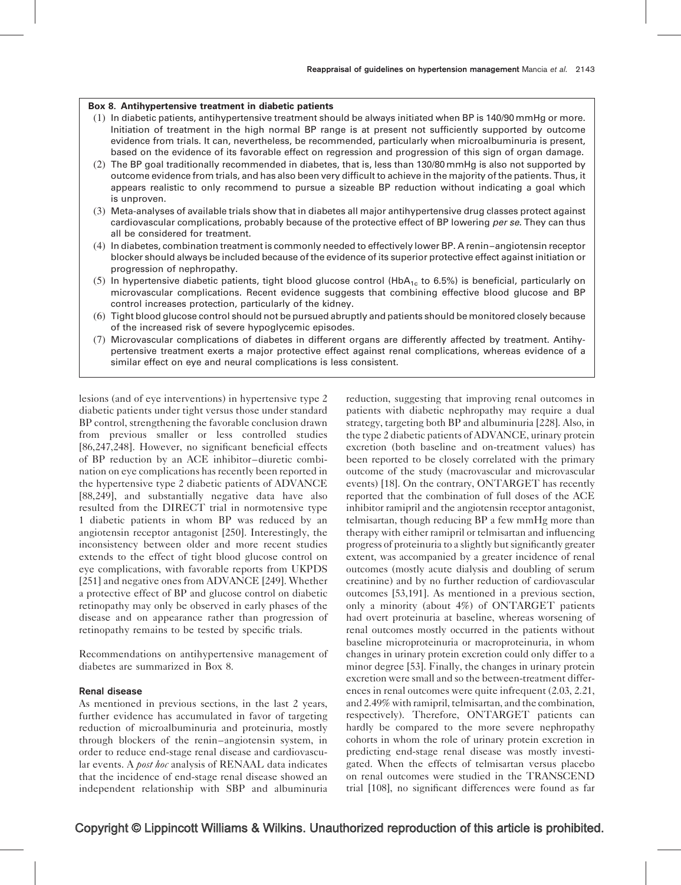#### Box 8. Antihypertensive treatment in diabetic patients

- (1) In diabetic patients, antihypertensive treatment should be always initiated when BP is 140/90 mmHg or more. Initiation of treatment in the high normal BP range is at present not sufficiently supported by outcome evidence from trials. It can, nevertheless, be recommended, particularly when microalbuminuria is present, based on the evidence of its favorable effect on regression and progression of this sign of organ damage.
- (2) The BP goal traditionally recommended in diabetes, that is, less than 130/80 mmHg is also not supported by outcome evidence from trials, and has also been very difficult to achieve in the majority of the patients. Thus, it appears realistic to only recommend to pursue a sizeable BP reduction without indicating a goal which is unproven.
- (3) Meta-analyses of available trials show that in diabetes all major antihypertensive drug classes protect against cardiovascular complications, probably because of the protective effect of BP lowering per se. They can thus all be considered for treatment.
- (4) In diabetes, combination treatment is commonly needed to effectively lower BP. A renin–angiotensin receptor blocker should always be included because of the evidence of its superior protective effect against initiation or progression of nephropathy.
- (5) In hypertensive diabetic patients, tight blood glucose control (HbA<sub>1c</sub> to 6.5%) is beneficial, particularly on microvascular complications. Recent evidence suggests that combining effective blood glucose and BP control increases protection, particularly of the kidney.
- (6) Tight blood glucose control should not be pursued abruptly and patients should be monitored closely because of the increased risk of severe hypoglycemic episodes.
- (7) Microvascular complications of diabetes in different organs are differently affected by treatment. Antihypertensive treatment exerts a major protective effect against renal complications, whereas evidence of a similar effect on eye and neural complications is less consistent.

lesions (and of eye interventions) in hypertensive type 2 diabetic patients under tight versus those under standard BP control, strengthening the favorable conclusion drawn from previous smaller or less controlled studies [\[86,247,248\]](#page-31-0). However, no significant beneficial effects of BP reduction by an ACE inhibitor–diuretic combination on eye complications has recently been reported in the hypertensive type 2 diabetic patients of ADVANCE [\[88,249\],](#page-32-0) and substantially negative data have also resulted from the DIRECT trial in normotensive type 1 diabetic patients in whom BP was reduced by an angiotensin receptor antagonist [\[250\].](#page-36-0) Interestingly, the inconsistency between older and more recent studies extends to the effect of tight blood glucose control on eye complications, with favorable reports from UKPDS [\[251\]](#page-36-0) and negative ones from ADVANCE [\[249\]](#page-36-0). Whether a protective effect of BP and glucose control on diabetic retinopathy may only be observed in early phases of the disease and on appearance rather than progression of retinopathy remains to be tested by specific trials.

Recommendations on antihypertensive management of diabetes are summarized in Box 8.

## Renal disease

As mentioned in previous sections, in the last 2 years, further evidence has accumulated in favor of targeting reduction of microalbuminuria and proteinuria, mostly through blockers of the renin–angiotensin system, in order to reduce end-stage renal disease and cardiovascular events. A *post hoc* analysis of RENAAL data indicates that the incidence of end-stage renal disease showed an independent relationship with SBP and albuminuria

reduction, suggesting that improving renal outcomes in patients with diabetic nephropathy may require a dual strategy, targeting both BP and albuminuria [\[228\].](#page-35-0) Also, in the type 2 diabetic patients of ADVANCE, urinary protein excretion (both baseline and on-treatment values) has been reported to be closely correlated with the primary outcome of the study (macrovascular and microvascular events) [\[18\]](#page-30-0). On the contrary, ONTARGET has recently reported that the combination of full doses of the ACE inhibitor ramipril and the angiotensin receptor antagonist, telmisartan, though reducing BP a few mmHg more than therapy with either ramipril or telmisartan and influencing progress of proteinuria to a slightly but significantly greater extent, was accompanied by a greater incidence of renal outcomes (mostly acute dialysis and doubling of serum creatinine) and by no further reduction of cardiovascular outcomes [\[53,191\]](#page-31-0). As mentioned in a previous section, only a minority (about 4%) of ONTARGET patients had overt proteinuria at baseline, whereas worsening of renal outcomes mostly occurred in the patients without baseline microproteinuria or macroproteinuria, in whom changes in urinary protein excretion could only differ to a minor degree [\[53\]](#page-31-0). Finally, the changes in urinary protein excretion were small and so the between-treatment differences in renal outcomes were quite infrequent (2.03, 2.21, and 2.49% with ramipril, telmisartan, and the combination, respectively). Therefore, ONTARGET patients can hardly be compared to the more severe nephropathy cohorts in whom the role of urinary protein excretion in predicting end-stage renal disease was mostly investigated. When the effects of telmisartan versus placebo on renal outcomes were studied in the TRANSCEND trial [\[108\]](#page-32-0), no significant differences were found as far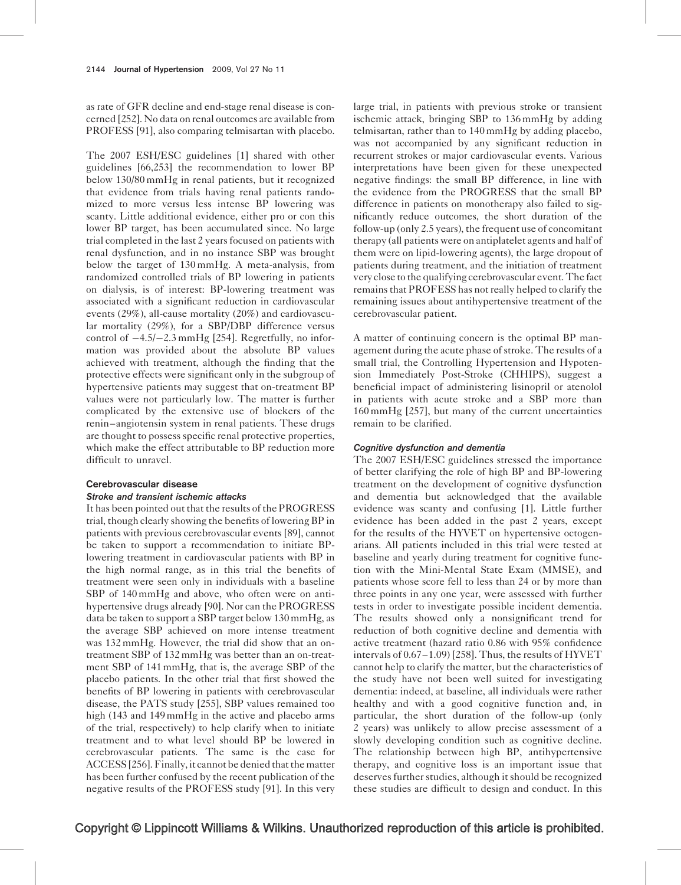as rate of GFR decline and end-stage renal disease is concerned [\[252\]](#page-36-0). No data on renal outcomes are available from PROFESS [\[91\]](#page-32-0), also comparing telmisartan with placebo.

The 2007 ESH/ESC guidelines [\[1\]](#page-29-0) shared with other guidelines [\[66,253\]](#page-31-0) the recommendation to lower BP below 130/80 mmHg in renal patients, but it recognized that evidence from trials having renal patients randomized to more versus less intense BP lowering was scanty. Little additional evidence, either pro or con this lower BP target, has been accumulated since. No large trial completed in the last 2 years focused on patients with renal dysfunction, and in no instance SBP was brought below the target of 130 mmHg. A meta-analysis, from randomized controlled trials of BP lowering in patients on dialysis, is of interest: BP-lowering treatment was associated with a significant reduction in cardiovascular events (29%), all-cause mortality (20%) and cardiovascular mortality (29%), for a SBP/DBP difference versus control of  $-4.5/-2.3$  mmHg [\[254\].](#page-36-0) Regretfully, no information was provided about the absolute BP values achieved with treatment, although the finding that the protective effects were significant only in the subgroup of hypertensive patients may suggest that on-treatment BP values were not particularly low. The matter is further complicated by the extensive use of blockers of the renin–angiotensin system in renal patients. These drugs are thought to possess specific renal protective properties, which make the effect attributable to BP reduction more difficult to unravel.

#### Cerebrovascular disease

#### Stroke and transient ischemic attacks

It has been pointed out that the results of the PROGRESS trial, though clearly showing the benefits of lowering BP in patients with previous cerebrovascular events [\[89\]](#page-32-0), cannot be taken to support a recommendation to initiate BPlowering treatment in cardiovascular patients with BP in the high normal range, as in this trial the benefits of treatment were seen only in individuals with a baseline SBP of 140 mmHg and above, who often were on antihypertensive drugs already [\[90\].](#page-32-0) Nor can the PROGRESS data be taken to support a SBP target below 130 mmHg, as the average SBP achieved on more intense treatment was 132 mmHg. However, the trial did show that an ontreatment SBP of 132 mmHg was better than an on-treatment SBP of 141 mmHg, that is, the average SBP of the placebo patients. In the other trial that first showed the benefits of BP lowering in patients with cerebrovascular disease, the PATS study [\[255\],](#page-36-0) SBP values remained too high (143 and 149 mmHg in the active and placebo arms of the trial, respectively) to help clarify when to initiate treatment and to what level should BP be lowered in cerebrovascular patients. The same is the case for ACCESS [\[256\]](#page-36-0). Finally, it cannot be denied that the matter has been further confused by the recent publication of the negative results of the PROFESS study [\[91\].](#page-32-0) In this very large trial, in patients with previous stroke or transient ischemic attack, bringing SBP to 136 mmHg by adding telmisartan, rather than to 140 mmHg by adding placebo, was not accompanied by any significant reduction in recurrent strokes or major cardiovascular events. Various interpretations have been given for these unexpected negative findings: the small BP difference, in line with the evidence from the PROGRESS that the small BP difference in patients on monotherapy also failed to significantly reduce outcomes, the short duration of the follow-up (only 2.5 years), the frequent use of concomitant therapy (all patients were on antiplatelet agents and half of them were on lipid-lowering agents), the large dropout of patients during treatment, and the initiation of treatment very close to the qualifying cerebrovascular event.The fact remainsthat PROFESS has not really helped to clarify the remaining issues about antihypertensive treatment of the cerebrovascular patient.

A matter of continuing concern is the optimal BP management during the acute phase of stroke. The results of a small trial, the Controlling Hypertension and Hypotension Immediately Post-Stroke (CHHIPS), suggest a beneficial impact of administering lisinopril or atenolol in patients with acute stroke and a SBP more than 160 mmHg [\[257\]](#page-36-0), but many of the current uncertainties remain to be clarified.

#### Cognitive dysfunction and dementia

The 2007 ESH/ESC guidelines stressed the importance of better clarifying the role of high BP and BP-lowering treatment on the development of cognitive dysfunction and dementia but acknowledged that the available evidence was scanty and confusing [\[1\].](#page-29-0) Little further evidence has been added in the past 2 years, except for the results of the HYVET on hypertensive octogenarians. All patients included in this trial were tested at baseline and yearly during treatment for cognitive function with the Mini-Mental State Exam (MMSE), and patients whose score fell to less than 24 or by more than three points in any one year, were assessed with further tests in order to investigate possible incident dementia. The results showed only a nonsignificant trend for reduction of both cognitive decline and dementia with active treatment (hazard ratio 0.86 with 95% confidence intervals of 0.67–1.09) [\[258\]](#page-36-0). Thus, the results of HYVET cannot help to clarify the matter, but the characteristics of the study have not been well suited for investigating dementia: indeed, at baseline, all individuals were rather healthy and with a good cognitive function and, in particular, the short duration of the follow-up (only 2 years) was unlikely to allow precise assessment of a slowly developing condition such as cognitive decline. The relationship between high BP, antihypertensive therapy, and cognitive loss is an important issue that deserves further studies, although it should be recognized these studies are difficult to design and conduct. In this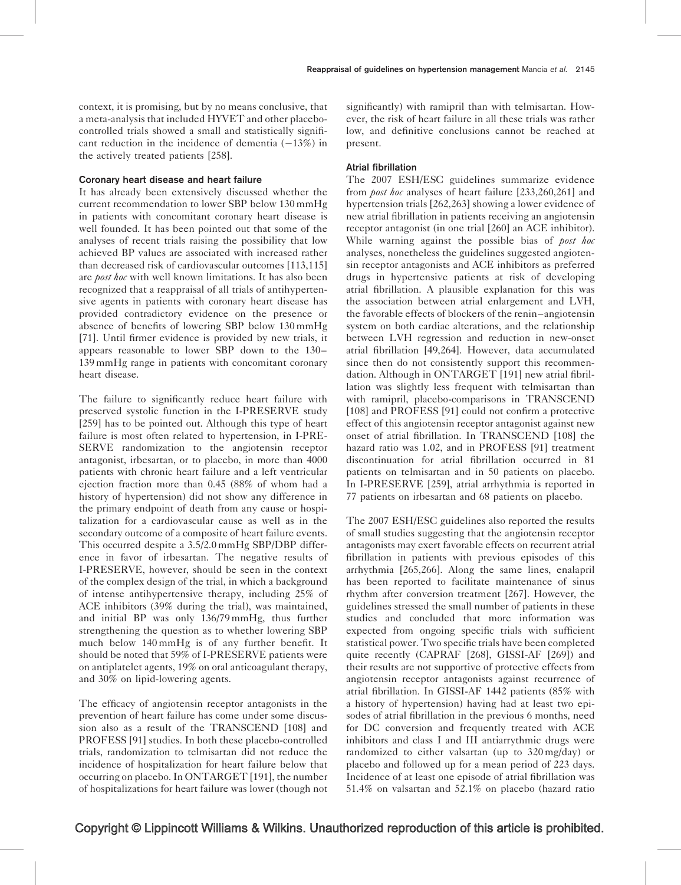context, it is promising, but by no means conclusive, that a meta-analysis that included HYVET and other placebocontrolled trials showed a small and statistically significant reduction in the incidence of dementia  $(-13%)$  in the actively treated patients [\[258\]](#page-36-0).

#### Coronary heart disease and heart failure

It has already been extensively discussed whether the current recommendation to lower SBP below 130 mmHg in patients with concomitant coronary heart disease is well founded. It has been pointed out that some of the analyses of recent trials raising the possibility that low achieved BP values are associated with increased rather than decreased risk of cardiovascular outcomes [\[113,115\]](#page-32-0) are post hoc with well known limitations. It has also been recognized that a reappraisal of all trials of antihypertensive agents in patients with coronary heart disease has provided contradictory evidence on the presence or absence of benefits of lowering SBP below 130 mmHg [\[71\]](#page-31-0). Until firmer evidence is provided by new trials, it appears reasonable to lower SBP down to the 130– 139 mmHg range in patients with concomitant coronary heart disease.

The failure to significantly reduce heart failure with preserved systolic function in the I-PRESERVE study [\[259\]](#page-36-0) has to be pointed out. Although this type of heart failure is most often related to hypertension, in I-PRE-SERVE randomization to the angiotensin receptor antagonist, irbesartan, or to placebo, in more than 4000 patients with chronic heart failure and a left ventricular ejection fraction more than 0.45 (88% of whom had a history of hypertension) did not show any difference in the primary endpoint of death from any cause or hospitalization for a cardiovascular cause as well as in the secondary outcome of a composite of heart failure events. This occurred despite a 3.5/2.0 mmHg SBP/DBP difference in favor of irbesartan. The negative results of I-PRESERVE, however, should be seen in the context of the complex design of the trial, in which a background of intense antihypertensive therapy, including 25% of ACE inhibitors (39% during the trial), was maintained, and initial BP was only 136/79 mmHg, thus further strengthening the question as to whether lowering SBP much below 140 mmHg is of any further benefit. It should be noted that 59% of I-PRESERVE patients were on antiplatelet agents, 19% on oral anticoagulant therapy, and 30% on lipid-lowering agents.

The efficacy of angiotensin receptor antagonists in the prevention of heart failure has come under some discussion also as a result of the TRANSCEND [\[108\]](#page-32-0) and PROFESS [\[91\]](#page-32-0) studies. In both these placebo-controlled trials, randomization to telmisartan did not reduce the incidence of hospitalization for heart failure below that occurring on placebo.In ONTARGET [\[191\],](#page-34-0) the number of hospitalizations for heart failure was lower (though not

significantly) with ramipril than with telmisartan. However, the risk of heart failure in all these trials was rather low, and definitive conclusions cannot be reached at present.

#### Atrial fibrillation

The 2007 ESH/ESC guidelines summarize evidence from *post hoc* analyses of heart failure [\[233,260,261\]](#page-35-0) and hypertension trials [\[262,263\]](#page-36-0) showing a lower evidence of new atrial fibrillation in patients receiving an angiotensin receptor antagonist (in one trial [\[260\]](#page-36-0) an ACE inhibitor). While warning against the possible bias of post hoc analyses, nonetheless the guidelines suggested angiotensin receptor antagonists and ACE inhibitors as preferred drugs in hypertensive patients at risk of developing atrial fibrillation. A plausible explanation for this was the association between atrial enlargement and LVH, the favorable effects of blockers of the renin–angiotensin system on both cardiac alterations, and the relationship between LVH regression and reduction in new-onset atrial fibrillation [\[49,264\].](#page-30-0) However, data accumulated since then do not consistently support this recommendation. Although in ONTARGET [\[191\]](#page-34-0) new atrial fibrillation was slightly less frequent with telmisartan than with ramipril, placebo-comparisons in TRANSCEND [\[108\]](#page-32-0) and PROFESS [\[91\]](#page-32-0) could not confirm a protective effect of this angiotensin receptor antagonist against new onset of atrial fibrillation. In TRANSCEND [\[108\]](#page-32-0) the hazard ratio was 1.02, and in PROFESS [\[91\]](#page-32-0) treatment discontinuation for atrial fibrillation occurred in 81 patients on telmisartan and in 50 patients on placebo. In I-PRESERVE [\[259\],](#page-36-0) atrial arrhythmia is reported in 77 patients on irbesartan and 68 patients on placebo.

The 2007 ESH/ESC guidelines also reported the results of small studies suggesting that the angiotensin receptor antagonists may exert favorable effects on recurrent atrial fibrillation in patients with previous episodes of this arrhythmia [\[265,266\]](#page-36-0). Along the same lines, enalapril has been reported to facilitate maintenance of sinus rhythm after conversion treatment [\[267\].](#page-36-0) However, the guidelines stressed the small number of patients in these studies and concluded that more information was expected from ongoing specific trials with sufficient statistical power. Two specific trials have been completed quite recently (CAPRAF [\[268\]](#page-36-0), GISSI-AF [\[269\]\)](#page-36-0) and their results are not supportive of protective effects from angiotensin receptor antagonists against recurrence of atrial fibrillation. In GISSI-AF 1442 patients (85% with a history of hypertension) having had at least two episodes of atrial fibrillation in the previous 6 months, need for DC conversion and frequently treated with ACE inhibitors and class I and III antiarrythmic drugs were randomized to either valsartan (up to 320 mg/day) or placebo and followed up for a mean period of 223 days. Incidence of at least one episode of atrial fibrillation was 51.4% on valsartan and 52.1% on placebo (hazard ratio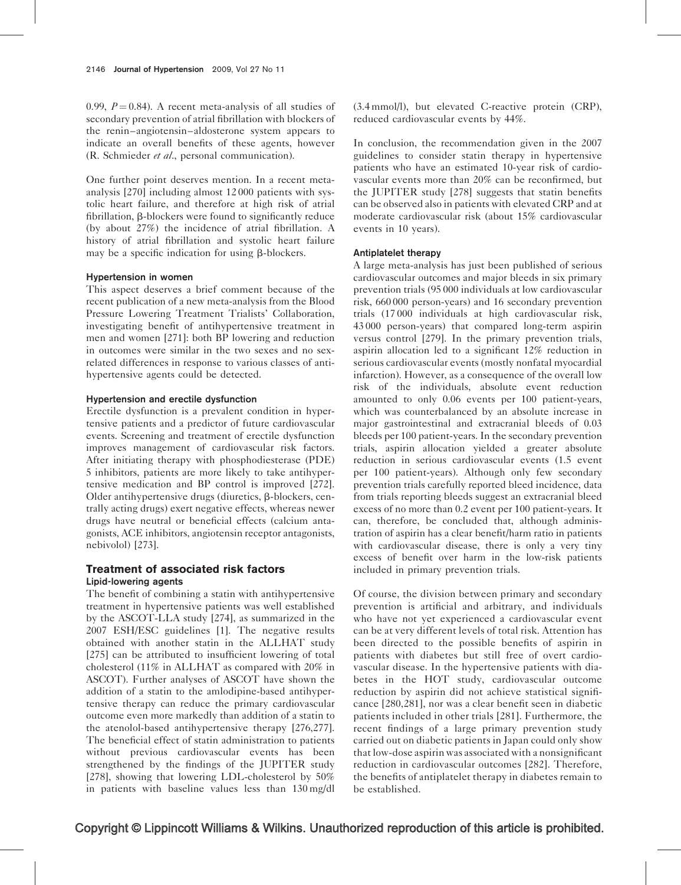0.99,  $P = 0.84$ ). A recent meta-analysis of all studies of secondary prevention of atrial fibrillation with blockers of the renin–angiotensin–aldosterone system appears to indicate an overall benefits of these agents, however (R. Schmieder et al., personal communication).

One further point deserves mention. In a recent metaanalysis [\[270\]](#page-36-0) including almost 12 000 patients with systolic heart failure, and therefore at high risk of atrial fibrillation,  $\beta$ -blockers were found to significantly reduce (by about 27%) the incidence of atrial fibrillation. A history of atrial fibrillation and systolic heart failure may be a specific indication for using  $\beta$ -blockers.

#### Hypertension in women

This aspect deserves a brief comment because of the recent publication of a new meta-analysis from the Blood Pressure Lowering Treatment Trialists' Collaboration, investigating benefit of antihypertensive treatment in men and women [\[271\]](#page-36-0): both BP lowering and reduction in outcomes were similar in the two sexes and no sexrelated differences in response to various classes of antihypertensive agents could be detected.

#### Hypertension and erectile dysfunction

Erectile dysfunction is a prevalent condition in hypertensive patients and a predictor of future cardiovascular events. Screening and treatment of erectile dysfunction improves management of cardiovascular risk factors. After initiating therapy with phosphodiesterase (PDE) 5 inhibitors, patients are more likely to take antihypertensive medication and BP control is improved [\[272\]](#page-36-0). Older antihypertensive drugs (diuretics,  $\beta$ -blockers, centrally acting drugs) exert negative effects, whereas newer drugs have neutral or beneficial effects (calcium antagonists, ACE inhibitors, angiotensin receptor antagonists, nebivolol) [\[273\].](#page-36-0)

## Treatment of associated risk factors Lipid-lowering agents

The benefit of combining a statin with antihypertensive treatment in hypertensive patients was well established by the ASCOT-LLA study [\[274\]](#page-37-0), as summarized in the 2007 ESH/ESC guidelines [\[1\].](#page-29-0) The negative results obtained with another statin in the ALLHAT study [\[275\]](#page-37-0) can be attributed to insufficient lowering of total cholesterol (11% in ALLHAT as compared with 20% in ASCOT). Further analyses of ASCOT have shown the addition of a statin to the amlodipine-based antihypertensive therapy can reduce the primary cardiovascular outcome even more markedly than addition of a statin to the atenolol-based antihypertensive therapy [\[276,277\]](#page-37-0). The beneficial effect of statin administration to patients without previous cardiovascular events has been strengthened by the findings of the JUPITER study [\[278\]](#page-37-0), showing that lowering LDL-cholesterol by 50% in patients with baseline values less than 130 mg/dl (3.4 mmol/l), but elevated C-reactive protein (CRP), reduced cardiovascular events by 44%.

In conclusion, the recommendation given in the 2007 guidelines to consider statin therapy in hypertensive patients who have an estimated 10-year risk of cardiovascular events more than 20% can be reconfirmed, but the JUPITER study [\[278\]](#page-37-0) suggests that statin benefits can be observed also in patients with elevated CRP and at moderate cardiovascular risk (about 15% cardiovascular events in 10 years).

#### Antiplatelet therapy

A large meta-analysis has just been published of serious cardiovascular outcomes and major bleeds in six primary prevention trials (95 000 individuals at low cardiovascular risk, 660 000 person-years) and 16 secondary prevention trials (17 000 individuals at high cardiovascular risk, 43 000 person-years) that compared long-term aspirin versus control [\[279\]](#page-37-0). In the primary prevention trials, aspirin allocation led to a significant 12% reduction in serious cardiovascular events (mostly nonfatal myocardial infarction). However, as a consequence of the overall low risk of the individuals, absolute event reduction amounted to only 0.06 events per 100 patient-years, which was counterbalanced by an absolute increase in major gastrointestinal and extracranial bleeds of 0.03 bleeds per 100 patient-years. In the secondary prevention trials, aspirin allocation yielded a greater absolute reduction in serious cardiovascular events (1.5 event per 100 patient-years). Although only few secondary prevention trials carefully reported bleed incidence, data from trials reporting bleeds suggest an extracranial bleed excess of no more than 0.2 event per 100 patient-years. It can, therefore, be concluded that, although administration of aspirin has a clear benefit/harm ratio in patients with cardiovascular disease, there is only a very tiny excess of benefit over harm in the low-risk patients included in primary prevention trials.

Of course, the division between primary and secondary prevention is artificial and arbitrary, and individuals who have not yet experienced a cardiovascular event can be at very different levels of total risk. Attention has been directed to the possible benefits of aspirin in patients with diabetes but still free of overt cardiovascular disease. In the hypertensive patients with diabetes in the HOT study, cardiovascular outcome reduction by aspirin did not achieve statistical significance [\[280,281\],](#page-37-0) nor was a clear benefit seen in diabetic patients included in other trials [\[281\]](#page-37-0). Furthermore, the recent findings of a large primary prevention study carried out on diabetic patients in Japan could only show that low-dose aspirin was associated with a nonsignificant reduction in cardiovascular outcomes [\[282\].](#page-37-0) Therefore, the benefits of antiplatelet therapy in diabetes remain to be established.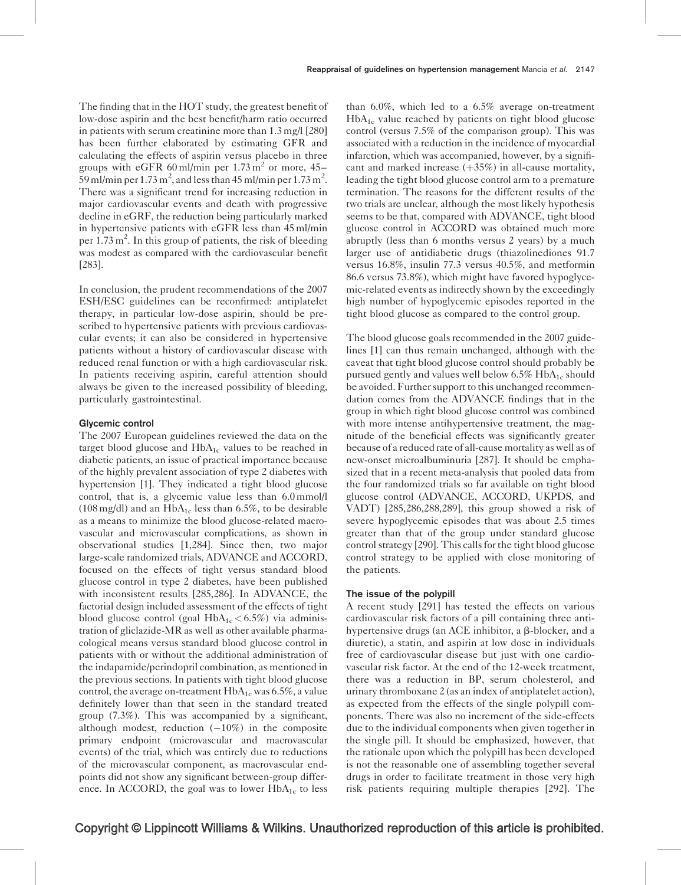The finding that in the HOT study, the greatest benefit of low-dose aspirin and the best benefit/harm ratio occurred in patients with serum creatinine more than 1.3 mg/l [\[280\]](#page-37-0) has been further elaborated by estimating GFR and calculating the effects of aspirin versus placebo in three groups with eGFR 60 ml/min per  $1.73 \text{ m}^2$  or more, 45–  $59$  ml/min per 1.73 m<sup>2</sup>, and less than 45 ml/min per 1.73 m<sup>2</sup>. There was a significant trend for increasing reduction in major cardiovascular events and death with progressive decline in eGRF, the reduction being particularly marked in hypertensive patients with eGFR less than 45 ml/min per  $1.73 \text{ m}^2$ . In this group of patients, the risk of bleeding was modest as compared with the cardiovascular benefit [\[283\]](#page-37-0).

In conclusion, the prudent recommendations of the 2007 ESH/ESC guidelines can be reconfirmed: antiplatelet therapy, in particular low-dose aspirin, should be prescribed to hypertensive patients with previous cardiovascular events; it can also be considered in hypertensive patients without a history of cardiovascular disease with reduced renal function or with a high cardiovascular risk. In patients receiving aspirin, careful attention should always be given to the increased possibility of bleeding, particularly gastrointestinal.

## Glycemic control

The 2007 European guidelines reviewed the data on the target blood glucose and  $HbA_{1c}$  values to be reached in diabetic patients, an issue of practical importance because of the highly prevalent association of type 2 diabetes with hypertension [\[1\]](#page-29-0). They indicated a tight blood glucose control, that is, a glycemic value less than 6.0 mmol/l (108 mg/dl) and an  $HbA_{1c}$  less than 6.5%, to be desirable as a means to minimize the blood glucose-related macrovascular and microvascular complications, as shown in observational studies [\[1,284\]](#page-29-0). Since then, two major large-scale randomized trials, ADVANCE and ACCORD, focused on the effects of tight versus standard blood glucose control in type 2 diabetes, have been published with inconsistent results [\[285,286\]](#page-37-0). In ADVANCE, the factorial design included assessment of the effects of tight blood glucose control (goal  $HbA_{1c} < 6.5\%$ ) via administration of gliclazide-MR as well as other available pharmacological means versus standard blood glucose control in patients with or without the additional administration of the indapamide/perindopril combination, as mentioned in the previous sections. In patients with tight blood glucose control, the average on-treatment  $HbA_{1c}$  was 6.5%, a value definitely lower than that seen in the standard treated group (7.3%). This was accompanied by a significant, although modest, reduction  $(-10\%)$  in the composite primary endpoint (microvascular and macrovascular events) of the trial, which was entirely due to reductions of the microvascular component, as macrovascular endpoints did not show any significant between-group difference. In ACCORD, the goal was to lower  $HbA_{1c}$  to less

than 6.0%, which led to a 6.5% average on-treatment  $HbA_{1c}$  value reached by patients on tight blood glucose control (versus 7.5% of the comparison group). This was associated with a reduction in the incidence of myocardial infarction, which was accompanied, however, by a significant and marked increase  $(+35%)$  in all-cause mortality, leading the tight blood glucose control arm to a premature termination. The reasons for the different results of the two trials are unclear, although the most likely hypothesis seems to be that, compared with ADVANCE, tight blood glucose control in ACCORD was obtained much more abruptly (less than 6 months versus 2 years) by a much larger use of antidiabetic drugs (thiazolinediones 91.7 versus 16.8%, insulin 77.3 versus 40.5%, and metformin 86.6 versus 73.8%), which might have favored hypoglycemic-related events as indirectly shown by the exceedingly high number of hypoglycemic episodes reported in the tight blood glucose as compared to the control group.

The blood glucose goals recommended in the 2007 guidelines [\[1\]](#page-29-0) can thus remain unchanged, although with the caveat that tight blood glucose control should probably be pursued gently and values well below  $6.5\%$  HbA<sub>1c</sub> should be avoided. Further support to this unchanged recommendation comes from the ADVANCE findings that in the group in which tight blood glucose control was combined with more intense antihypertensive treatment, the magnitude of the beneficial effects was significantly greater because of a reduced rate of all-cause mortality as well as of new-onset microalbuminuria [\[287\]](#page-37-0). It should be emphasized that in a recent meta-analysis that pooled data from the four randomized trials so far available on tight blood glucose control (ADVANCE, ACCORD, UKPDS, and VADT) [\[285,286,288,289\],](#page-37-0) this group showed a risk of severe hypoglycemic episodes that was about 2.5 times greater than that of the group under standard glucose control strategy [\[290\].](#page-37-0) This calls for the tight blood glucose control strategy to be applied with close monitoring of the patients.

## The issue of the polypill

A recent study [\[291\]](#page-37-0) has tested the effects on various cardiovascular risk factors of a pill containing three antihypertensive drugs (an ACE inhibitor, a  $\beta$ -blocker, and a diuretic), a statin, and aspirin at low dose in individuals free of cardiovascular disease but just with one cardiovascular risk factor. At the end of the 12-week treatment, there was a reduction in BP, serum cholesterol, and urinary thromboxane 2 (as an index of antiplatelet action), as expected from the effects of the single polypill components. There was also no increment of the side-effects due to the individual components when given together in the single pill. It should be emphasized, however, that the rationale upon which the polypill has been developed is not the reasonable one of assembling together several drugs in order to facilitate treatment in those very high risk patients requiring multiple therapies [\[292\].](#page-37-0) The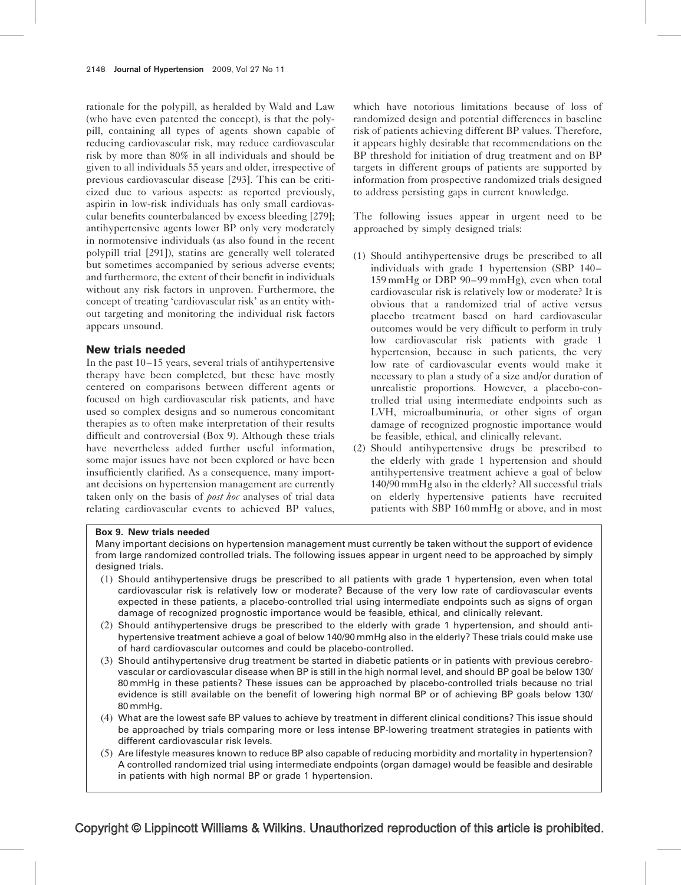rationale for the polypill, as heralded by Wald and Law (who have even patented the concept), is that the polypill, containing all types of agents shown capable of reducing cardiovascular risk, may reduce cardiovascular risk by more than 80% in all individuals and should be given to all individuals 55 years and older, irrespective of previous cardiovascular disease [\[293\].](#page-37-0) This can be criticized due to various aspects: as reported previously, aspirin in low-risk individuals has only small cardiovascular benefits counterbalanced by excess bleeding [\[279\]](#page-37-0); antihypertensive agents lower BP only very moderately in normotensive individuals (as also found in the recent polypill trial [\[291\]\)](#page-37-0), statins are generally well tolerated but sometimes accompanied by serious adverse events; and furthermore, the extent of their benefit in individuals without any risk factors in unproven. Furthermore, the concept of treating 'cardiovascular risk' as an entity without targeting and monitoring the individual risk factors appears unsound.

## New trials needed

In the past 10–15 years, several trials of antihypertensive therapy have been completed, but these have mostly centered on comparisons between different agents or focused on high cardiovascular risk patients, and have used so complex designs and so numerous concomitant therapies as to often make interpretation of their results difficult and controversial (Box 9). Although these trials have nevertheless added further useful information, some major issues have not been explored or have been insufficiently clarified. As a consequence, many important decisions on hypertension management are currently taken only on the basis of *post hoc* analyses of trial data relating cardiovascular events to achieved BP values, which have notorious limitations because of loss of randomized design and potential differences in baseline risk of patients achieving different BP values. Therefore, it appears highly desirable that recommendations on the BP threshold for initiation of drug treatment and on BP targets in different groups of patients are supported by information from prospective randomized trials designed to address persisting gaps in current knowledge.

The following issues appear in urgent need to be approached by simply designed trials:

- (1) Should antihypertensive drugs be prescribed to all individuals with grade 1 hypertension (SBP 140– 159 mmHg or DBP 90–99 mmHg), even when total cardiovascular risk is relatively low or moderate? It is obvious that a randomized trial of active versus placebo treatment based on hard cardiovascular outcomes would be very difficult to perform in truly low cardiovascular risk patients with grade 1 hypertension, because in such patients, the very low rate of cardiovascular events would make it necessary to plan a study of a size and/or duration of unrealistic proportions. However, a placebo-controlled trial using intermediate endpoints such as LVH, microalbuminuria, or other signs of organ damage of recognized prognostic importance would be feasible, ethical, and clinically relevant.
- (2) Should antihypertensive drugs be prescribed to the elderly with grade 1 hypertension and should antihypertensive treatment achieve a goal of below 140/90 mmHg also in the elderly? All successful trials on elderly hypertensive patients have recruited patients with SBP 160 mmHg or above, and in most

#### Box 9. New trials needed

Many important decisions on hypertension management must currently be taken without the support of evidence from large randomized controlled trials. The following issues appear in urgent need to be approached by simply designed trials.

- (1) Should antihypertensive drugs be prescribed to all patients with grade 1 hypertension, even when total cardiovascular risk is relatively low or moderate? Because of the very low rate of cardiovascular events expected in these patients, a placebo-controlled trial using intermediate endpoints such as signs of organ damage of recognized prognostic importance would be feasible, ethical, and clinically relevant.
- (2) Should antihypertensive drugs be prescribed to the elderly with grade 1 hypertension, and should antihypertensive treatment achieve a goal of below 140/90 mmHg also in the elderly? These trials could make use of hard cardiovascular outcomes and could be placebo-controlled.
- (3) Should antihypertensive drug treatment be started in diabetic patients or in patients with previous cerebrovascular or cardiovascular disease when BP is still in the high normal level, and should BP goal be below 130/ 80 mmHg in these patients? These issues can be approached by placebo-controlled trials because no trial evidence is still available on the benefit of lowering high normal BP or of achieving BP goals below 130/ 80 mmHg.
- (4) What are the lowest safe BP values to achieve by treatment in different clinical conditions? This issue should be approached by trials comparing more or less intense BP-lowering treatment strategies in patients with different cardiovascular risk levels.
- (5) Are lifestyle measures known to reduce BP also capable of reducing morbidity and mortality in hypertension? A controlled randomized trial using intermediate endpoints (organ damage) would be feasible and desirable in patients with high normal BP or grade 1 hypertension.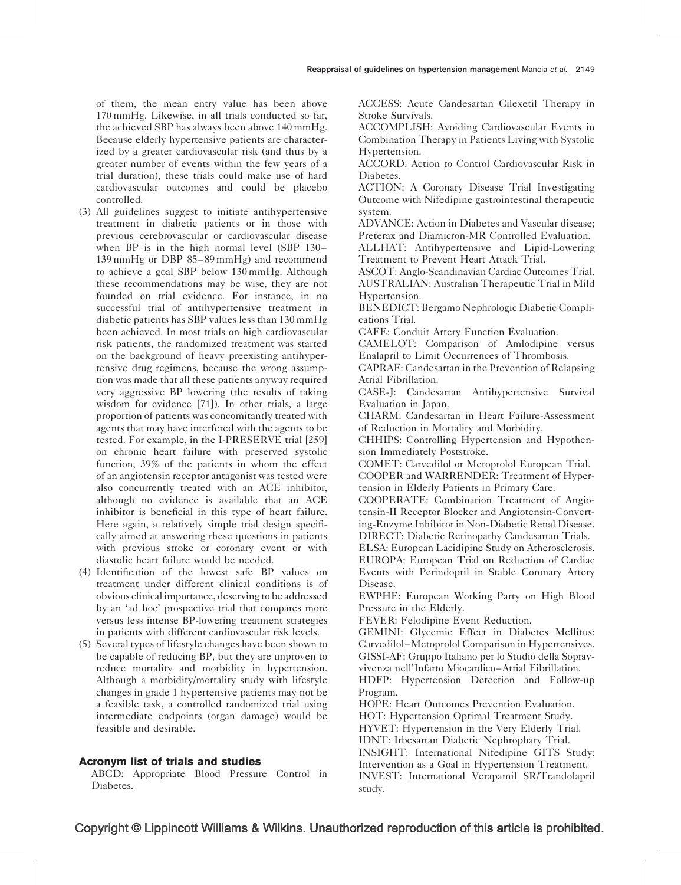of them, the mean entry value has been above 170 mmHg. Likewise, in all trials conducted so far, the achieved SBP has always been above 140 mmHg. Because elderly hypertensive patients are characterized by a greater cardiovascular risk (and thus by a greater number of events within the few years of a trial duration), these trials could make use of hard cardiovascular outcomes and could be placebo controlled.

- (3) All guidelines suggest to initiate antihypertensive treatment in diabetic patients or in those with previous cerebrovascular or cardiovascular disease when BP is in the high normal level (SBP 130– 139 mmHg or DBP 85–89 mmHg) and recommend to achieve a goal SBP below 130 mmHg. Although these recommendations may be wise, they are not founded on trial evidence. For instance, in no successful trial of antihypertensive treatment in diabetic patients has SBP values less than 130 mmHg been achieved. In most trials on high cardiovascular risk patients, the randomized treatment was started on the background of heavy preexisting antihypertensive drug regimens, because the wrong assumption was made that all these patients anyway required very aggressive BP lowering (the results of taking wisdom for evidence [\[71\]\)](#page-31-0). In other trials, a large proportion of patients was concomitantly treated with agents that may have interfered with the agents to be tested. For example, in the I-PRESERVE trial [\[259\]](#page-36-0) on chronic heart failure with preserved systolic function, 39% of the patients in whom the effect of an angiotensin receptor antagonist was tested were also concurrently treated with an ACE inhibitor, although no evidence is available that an ACE inhibitor is beneficial in this type of heart failure. Here again, a relatively simple trial design specifically aimed at answering these questions in patients with previous stroke or coronary event or with diastolic heart failure would be needed.
- (4) Identification of the lowest safe BP values on treatment under different clinical conditions is of obvious clinical importance, deserving to be addressed by an 'ad hoc' prospective trial that compares more versus less intense BP-lowering treatment strategies in patients with different cardiovascular risk levels.
- (5) Several types of lifestyle changes have been shown to be capable of reducing BP, but they are unproven to reduce mortality and morbidity in hypertension. Although a morbidity/mortality study with lifestyle changes in grade 1 hypertensive patients may not be a feasible task, a controlled randomized trial using intermediate endpoints (organ damage) would be feasible and desirable.

## Acronym list of trials and studies

ABCD: Appropriate Blood Pressure Control in Diabetes.

ACCESS: Acute Candesartan Cilexetil Therapy in Stroke Survivals.

ACCOMPLISH: Avoiding Cardiovascular Events in Combination Therapy in Patients Living with Systolic Hypertension.

ACCORD: Action to Control Cardiovascular Risk in Diabetes.

ACTION: A Coronary Disease Trial Investigating Outcome with Nifedipine gastrointestinal therapeutic system.

ADVANCE: Action in Diabetes and Vascular disease; Preterax and Diamicron-MR Controlled Evaluation.

ALLHAT: Antihypertensive and Lipid-Lowering Treatment to Prevent Heart Attack Trial.

ASCOT: Anglo-Scandinavian Cardiac Outcomes Trial. AUSTRALIAN: Australian Therapeutic Trial in Mild Hypertension.

BENEDICT: Bergamo Nephrologic Diabetic Complications Trial.

CAFE: Conduit Artery Function Evaluation.

CAMELOT: Comparison of Amlodipine versus Enalapril to Limit Occurrences of Thrombosis.

CAPRAF: Candesartan in the Prevention of Relapsing Atrial Fibrillation.

CASE-J: Candesartan Antihypertensive Survival Evaluation in Japan.

CHARM: Candesartan in Heart Failure-Assessment of Reduction in Mortality and Morbidity.

CHHIPS: Controlling Hypertension and Hypothension Immediately Poststroke.

COMET: Carvedilol or Metoprolol European Trial. COOPER and WARRENDER: Treatment of Hypertension in Elderly Patients in Primary Care.

COOPERATE: Combination Treatment of Angiotensin-II Receptor Blocker and Angiotensin-Converting-Enzyme Inhibitor in Non-Diabetic Renal Disease.

DIRECT: Diabetic Retinopathy Candesartan Trials. ELSA: European Lacidipine Study on Atherosclerosis.

EUROPA: European Trial on Reduction of Cardiac Events with Perindopril in Stable Coronary Artery Disease.

EWPHE: European Working Party on High Blood Pressure in the Elderly.

FEVER: Felodipine Event Reduction.

GEMINI: Glycemic Effect in Diabetes Mellitus: Carvedilol–Metoprolol Comparison in Hypertensives. GISSI-AF: Gruppo Italiano per lo Studio della Sopravvivenza nell'Infarto Miocardico–Atrial Fibrillation. HDFP: Hypertension Detection and Follow-up

Program. HOPE: Heart Outcomes Prevention Evaluation. HOT: Hypertension Optimal Treatment Study.

HYVET: Hypertension in the Very Elderly Trial.

IDNT: Irbesartan Diabetic Nephrophaty Trial. INSIGHT: International Nifedipine GITS Study: Intervention as a Goal in Hypertension Treatment. INVEST: International Verapamil SR/Trandolapril study.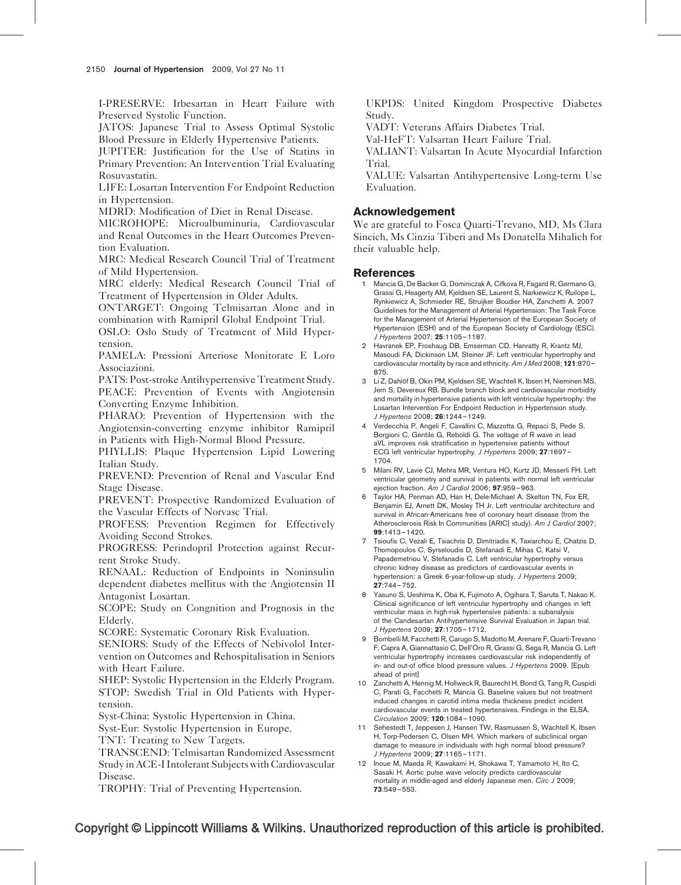<span id="page-29-0"></span>I-PRESERVE: Irbesartan in Heart Failure with Preserved Systolic Function.

JATOS: Japanese Trial to Assess Optimal Systolic Blood Pressure in Elderly Hypertensive Patients.

JUPITER: Justification for the Use of Statins in Primary Prevention: An Intervention Trial Evaluating Rosuvastatin.

LIFE: Losartan Intervention For Endpoint Reduction in Hypertension.

MDRD: Modification of Diet in Renal Disease.

MICROHOPE: Microalbuminuria, Cardiovascular and Renal Outcomes in the Heart Outcomes Prevention Evaluation.

MRC: Medical Research Council Trial of Treatment of Mild Hypertension.

MRC elderly: Medical Research Council Trial of Treatment of Hypertension in Older Adults.

ONTARGET: Ongoing Telmisartan Alone and in combination with Ramipril Global Endpoint Trial.

OSLO: Oslo Study of Treatment of Mild Hypertension.

PAMELA: Pressioni Arteriose Monitorate E Loro Associazioni.

PATS: Post-stroke Antihypertensive Treatment Study. PEACE: Prevention of Events with Angiotensin Converting Enzyme Inhibition.

PHARAO: Prevention of Hypertension with the Angiotensin-converting enzyme inhibitor Ramipril in Patients with High-Normal Blood Pressure.

PHYLLIS: Plaque Hypertension Lipid Lowering Italian Study.

PREVEND: Prevention of Renal and Vascular End Stage Disease.

PREVENT: Prospective Randomized Evaluation of the Vascular Effects of Norvasc Trial.

PROFESS: Prevention Regimen for Effectively Avoiding Second Strokes.

PROGRESS: Perindopril Protection against Recurrent Stroke Study.

RENAAL: Reduction of Endpoints in Noninsulin dependent diabetes mellitus with the Angiotensin II Antagonist Losartan.

SCOPE: Study on Congnition and Prognosis in the Elderly.

SCORE: Systematic Coronary Risk Evaluation.

SENIORS: Study of the Effects of Nebivolol Intervention on Outcomes and Rehospitalisation in Seniors with Heart Failure.

SHEP: Systolic Hypertension in the Elderly Program. STOP: Swedish Trial in Old Patients with Hypertension.

Syst-China: Systolic Hypertension in China.

Syst-Eur: Systolic Hypertension in Europe.

TNT: Treating to New Targets.

TRANSCEND: Telmisartan Randomized Assessment Study inACE-IIntolerant Subjects with Cardiovascular Disease.

TROPHY: Trial of Preventing Hypertension.

UKPDS: United Kingdom Prospective Diabetes Study.

VADT: Veterans Affairs Diabetes Trial.

Val-HeFT: Valsartan Heart Failure Trial.

VALIANT: Valsartan In Acute Myocardial Infarction Trial.

VALUE: Valsartan Antihypertensive Long-term Use Evaluation.

## Acknowledgement

We are grateful to Fosca Quarti-Trevano, MD, Ms Clara Sincich, Ms Cinzia Tiberi and Ms Donatella Mihalich for their valuable help.

## References

- 1 Mancia G, De Backer G, Dominiczak A, Cifkova R, Fagard R, Germano G, Grassi G, Heagerty AM, Kjeldsen SE, Laurent S, Narkiewicz K, Ruilope L, Rynkiewicz A, Schmieder RE, Struijker Boudier HA, Zanchetti A. 2007 Guidelines for the Management of Arterial Hypertension: The Task Force for the Management of Arterial Hypertension of the European Society of Hypertension (ESH) and of the European Society of Cardiology (ESC). J Hypertens 2007; 25:1105–1187.
- 2 Havranek EP, Froshaug DB, Emserman CD, Hanratty R, Krantz MJ, Masoudi FA, Dickinson LM, Steiner JF. Left ventricular hypertrophy and cardiovascular mortality by race and ethnicity. Am J Med 2008; 121:870– 875.
- 3 Li Z, Dahlöf B, Okin PM, Kjeldsen SE, Wachtell K, Ibsen H, Nieminen MS, Jern S, Devereux RB. Bundle branch block and cardiovascular morbidity and mortality in hypertensive patients with left ventricular hypertrophy: the Losartan Intervention For Endpoint Reduction in Hypertension study. J Hypertens 2008; 26:1244–1249.
- 4 Verdecchia P, Angeli F, Cavallini C, Mazzotta G, Repaci S, Pede S, Borgioni C, Gentile G, Reboldi G. The voltage of R wave in lead aVL improves risk stratification in hypertensive patients without ECG left ventricular hypertrophy. J Hypertens 2009; 27:1697– 1704.
- 5 Milani RV, Lavie CJ, Mehra MR, Ventura HO, Kurtz JD, Messerli FH. Left ventricular geometry and survival in patients with normal left ventricular ejection fraction. Am J Cardiol 2006; 97:959-963.
- Taylor HA, Penman AD, Han H, Dele-Michael A, Skelton TN, Fox ER, Benjamin EJ, Arnett DK, Mosley TH Jr. Left ventricular architecture and survival in African-Americans free of coronary heart disease (from the Atherosclerosis Risk In Communities [ARIC] study). Am J Cardiol 2007; 99:1413–1420.
- 7 Tsioufis C, Vezali E, Tsiachris D, Dimitriadis K, Taxiarchou E, Chatzis D, Thomopoulos C, Syrseloudis D, Stefanadi E, Mihas C, Katsi V, Papademetriou V, Stefanadis C. Left ventricular hypertrophy versus chronic kidney disease as predictors of cardiovascular events in hypertension: a Greek 6-year-follow-up study. J Hypertens 2009: 27:744–752.
- 8 Yasuno S, Ueshima K, Oba K, Fujimoto A, Ogihara T, Saruta T, Nakao K. Clinical significance of left ventricular hypertrophy and changes in left ventricular mass in high-risk hypertensive patients: a subanalysis of the Candesartan Antihypertensive Survival Evaluation in Japan trial. J Hypertens 2009; 27:1705–1712.
- 9 Bombelli M, Facchetti R, Carugo S, Madotto M, Arenare F, Quarti-Trevano F, Capra A, Giannattasio C, Dell'Oro R, Grassi G, Sega R, Mancia G. Left ventricular hypertrophy increases cardiovascular risk independently of in- and out-of office blood pressure values. J Hypertens 2009. [Epub ahead of print]
- 10 Zanchetti A, Hennig M, Hollweck R, Baurecht H, Bond G, Tang R, Cuspidi C, Parati G, Facchetti R, Mancia G. Baseline values but not treatment induced changes in carotid intima media thickness predict incident cardiovascular events in treated hypertensives. Findings in the ELSA. Circulation 2009; 120:1084–1090.
- 11 Sehestedt T, Jeppesen J, Hansen TW, Rasmussen S, Wachtell K, Ibsen H, Torp-Pedersen C, Olsen MH. Which markers of subclinical organ damage to measure in individuals with high normal blood pressure? J Hypertens 2009; 27:1165–1171.
- 12 Inoue M, Maeda R, Kawakami H, Shokawa T, Yamamoto H, Ito C, Sasaki H. Aortic pulse wave velocity predicts cardiovascular mortality in middle-aged and elderly Japanese men. Circ J 2009; 73:549–553.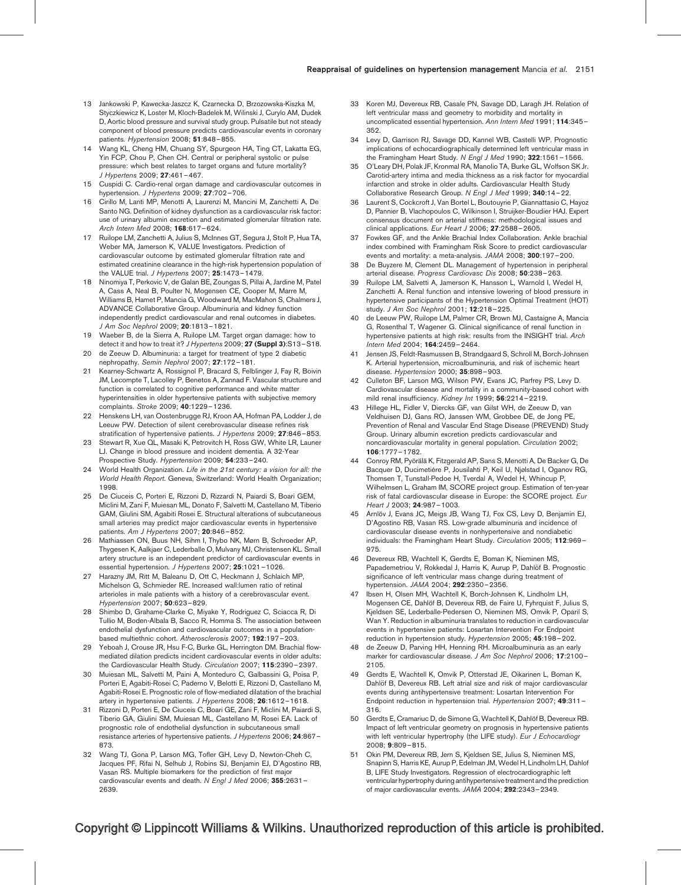- <span id="page-30-0"></span>13 Jankowski P, Kawecka-Jaszcz K, Czarnecka D, Brzozowska-Kiszka M, Styczkiewicz K, Loster M, Kloch-Badelek M, Wilinski J, Curylo AM, Dudek D, Aortic blood pressure and survival study group. Pulsatile but not steady component of blood pressure predicts cardiovascular events in coronary patients. Hypertension 2008; 51:848–855.
- 14 Wang KL, Cheng HM, Chuang SY, Spurgeon HA, Ting CT, Lakatta EG, Yin FCP, Chou P, Chen CH. Central or peripheral systolic or pulse pressure: which best relates to target organs and future mortality? J Hypertens 2009; 27:461-467.
- 15 Cuspidi C. Cardio-renal organ damage and cardiovascular outcomes in hypertension. J Hypertens 2009; 27:702–706.
- 16 Cirillo M, Lanti MP, Menotti A, Laurenzi M, Mancini M, Zanchetti A, De Santo NG. Definition of kidney dysfunction as a cardiovascular risk factor: use of urinary albumin excretion and estimated glomerular filtration rate. Arch Intern Med 2008; 168:617–624.
- 17 Ruilope LM, Zanchetti A, Julius S, McInnes GT, Segura J, Stolt P, Hua TA, Weber MA, Jamerson K, VALUE Investigators. Prediction of cardiovascular outcome by estimated glomerular filtration rate and estimated creatinine clearance in the high-risk hypertension population of the VALUE trial. J Hypertens 2007; 25:1473–1479.
- Ninomiya T, Perkovic V, de Galan BE, Zoungas S, Pillai A, Jardine M, Patel A, Cass A, Neal B, Poulter N, Mogensen CE, Cooper M, Marre M, Williams B, Hamet P, Mancia G, Woodward M, MacMahon S, Chalmers J, ADVANCE Collaborative Group. Albuminuria and kidney function independently predict cardiovascular and renal outcomes in diabetes. J Am Soc Nephrol 2009; 20:1813–1821.
- 19 Waeber B, de la Sierra A, Ruilope LM. Target organ damage: how to detect it and how to treat it? J Hypertens 2009; 27 (Suppl 3):S13-S18.
- de Zeeuw D. Albuminuria: a target for treatment of type 2 diabetic nephropathy. Semin Nephrol 2007; 27:172–181.
- 21 Kearney-Schwartz A, Rossignol P, Bracard S, Felblinger J, Fay R, Boivin JM, Lecompte T, Lacolley P, Benetos A, Zannad F. Vascular structure and function is correlated to cognitive performance and white matter hyperintensities in older hypertensive patients with subjective memory complaints. Stroke 2009; 40:1229–1236.
- 22 Henskens LH, van Oostenbrugge RJ, Kroon AA, Hofman PA, Lodder J, de Leeuw PW. Detection of silent cerebrovascular disease refines risk stratification of hypertensive patients. J Hypertens 2009; 27:846-853.
- Stewart R, Xue QL, Masaki K, Petrovitch H, Ross GW, White LR, Launer LJ. Change in blood pressure and incident dementia. A 32-Year Prospective Study. Hypertension 2009; 54:233–240.
- 24 World Health Organization. Life in the 21st century: a vision for all: the World Health Report. Geneva, Switzerland: World Health Organization; 1998.
- 25 De Ciuceis C, Porteri E, Rizzoni D, Rizzardi N, Paiardi S, Boari GEM, Miclini M, Zani F, Muiesan ML, Donato F, Salvetti M, Castellano M, Tiberio GAM, Giulini SM, Agabiti Rosei E. Structural alterations of subcutaneous small arteries may predict major cardiovascular events in hypertensive patients. Am J Hypertens 2007; 20:846–852.
- 26 Mathiassen ON, Buus NH, Sihm I, Thybo NK, Mørn B, Schroeder AP, Thygesen K, Aalkjaer C, Lederballe O, Mulvany MJ, Christensen KL. Small artery structure is an independent predictor of cardiovascular events in essential hypertension. J Hypertens 2007; 25:1021-1026.
- 27 Harazny JM, Ritt M, Baleanu D, Ott C, Heckmann J, Schlaich MP, Michelson G, Schmieder RE. Increased wall:lumen ratio of retinal arterioles in male patients with a history of a cerebrovascular event. Hypertension 2007; 50:623–829.
- 28 Shimbo D, Grahame-Clarke C, Miyake Y, Rodriguez C, Sciacca R, Di Tullio M, Boden-Albala B, Sacco R, Homma S. The association between endothelial dysfunction and cardiovascular outcomes in a populationbased multiethnic cohort. Atherosclerosis 2007; 192:197–203.
- 29 Yeboah J, Crouse JR, Hsu F-C, Burke GL, Herrington DM. Brachial flowmediated dilation predicts incident cardiovascular events in older adults: the Cardiovascular Health Study. Circulation 2007; 115:2390–2397.
- 30 Muiesan ML, Salvetti M, Paini A, Monteduro C, Galbassini G, Poisa P, Porteri E, Agabiti-Rosei C, Paderno V, Belotti E, Rizzoni D, Castellano M, Agabiti-Rosei E. Prognostic role of flow-mediated dilatation of the brachial artery in hypertensive patients. J Hypertens 2008; 26:1612-1618.
- 31 Rizzoni D, Porteri E, De Ciuceis C, Boari GE, Zani F, Miclini M, Paiardi S, Tiberio GA, Giulini SM, Muiesan ML, Castellano M, Rosei EA. Lack of prognostic role of endothelial dysfunction in subcutaneous small resistance arteries of hypertensive patients. J Hypertens 2006; 24:867– 873.
- 32 Wang TJ, Gona P, Larson MG, Tofler GH, Levy D, Newton-Cheh C, Jacques PF, Rifai N, Selhub J, Robins SJ, Benjamin EJ, D'Agostino RB, Vasan RS. Multiple biomarkers for the prediction of first major cardiovascular events and death. N Engl J Med 2006; 355:2631-2639.
- 33 Koren MJ, Devereux RB, Casale PN, Savage DD, Laragh JH. Relation of left ventricular mass and geometry to morbidity and mortality in uncomplicated essential hypertension. Ann Intern Med 1991; 114:345– 352.
- 34 Levy D, Garrison RJ, Savage DD, Kannel WB, Castelli WP. Prognostic implications of echocardiographically determined left ventricular mass in the Framingham Heart Study. N Engl J Med 1990; 322:1561-1566.
- 35 O'Leary DH, Polak JF, Kronmal RA, Manolio TA, Burke GL, Wolfson SK Jr. Carotid-artery intima and media thickness as a risk factor for myocardial infarction and stroke in older adults. Cardiovascular Health Study Collaborative Research Group. N Engl J Med 1999; 340:14-22.
- 36 Laurent S, Cockcroft J, Van Bortel L, Boutouyrie P, Giannattasio C, Hayoz D, Pannier B, Vlachopoulos C, Wilkinson I, Struijker-Boudier HAJ. Expert consensus document on arterial stiffness: methodological issues and clinical applications. Eur Heart J 2006; 27:2588-2605.
- 37 Fowkes GF, and the Ankle Brachial Index Collaboration. Ankle brachial index combined with Framingham Risk Score to predict cardiovascular events and mortality: a meta-analysis. JAMA 2008; 300:197–200.
- 38 De Buyzere M, Clement DL. Management of hypertension in peripheral arterial disease. Progress Cardiovasc Dis 2008; 50:238-263.
- 39 Ruilope LM, Salvetti A, Jamerson K, Hansson L, Warnold I, Wedel H, Zanchetti A. Renal function and intensive lowering of blood pressure in hypertensive participants of the Hypertension Optimal Treatment (HOT) study. J Am Soc Nephrol 2001; 12:218–225.
- 40 de Leeuw PW, Ruilope LM, Palmer CR, Brown MJ, Castaigne A, Mancia G, Rosenthal T, Wagener G. Clinical significance of renal function in hypertensive patients at high risk: results from the INSIGHT trial. Arch Intern Med 2004: 164:2459-2464
- 41 Jensen JS, Feldt-Rasmussen B, Strandgaard S, Schroll M, Borch-Johnsen K. Arterial hypertension, microalbuminuria, and risk of ischemic heart disease. Hypertension 2000; 35:898-903.
- 42 Culleton BF, Larson MG, Wilson PW, Evans JC, Parfrey PS, Levy D. Cardiovascular disease and mortality in a community-based cohort with mild renal insufficiency. Kidney Int 1999; 56:2214-2219.
- 43 Hillege HL, Fidler V, Diercks GF, van Gilst WH, de Zeeuw D, van Veldhuisen DJ, Gans RO, Janssen WM, Grobbee DE, de Jong PE, Prevention of Renal and Vascular End Stage Disease (PREVEND) Study Group. Urinary albumin excretion predicts cardiovascular and noncardiovascular mortality in general population. Circulation 2002; 106:1777–1782.
- 44 Conroy RM, Pyörälä K, Fitzgerald AP, Sans S, Menotti A, De Backer G, De Bacquer D, Ducimetière P, Jousilahti P, Keil U, Njølstad I, Oganov RG, Thomsen T, Tunstall-Pedoe H, Tverdal A, Wedel H, Whincup P, Wilhelmsen L, Graham IM, SCORE project group. Estimation of ten-year risk of fatal cardiovascular disease in Europe: the SCORE project. Eur Heart J 2003; 24:987-1003.
- 45 Arnlöv J, Evans JC, Meigs JB, Wang TJ, Fox CS, Levy D, Benjamin EJ, D'Agostino RB, Vasan RS. Low-grade albuminuria and incidence of cardiovascular disease events in nonhypertensive and nondiabetic individuals: the Framingham Heart Study. Circulation 2005; 112:969– 975.
- 46 Devereux RB, Wachtell K, Gerdts E, Boman K, Nieminen MS, Papademetriou V, Rokkedal J, Harris K, Aurup P, Dahlöf B. Prognostic significance of left ventricular mass change during treatment of hypertension. JAMA 2004; 292:2350–2356.
- Ibsen H, Olsen MH, Wachtell K, Borch-Johnsen K, Lindholm LH, Mogensen CE, Dahlöf B, Devereux RB, de Faire U, Fyhrquist F, Julius S, Kjeldsen SE, Lederballe-Pedersen O, Nieminen MS, Omvik P, Oparil S, Wan Y. Reduction in albuminuria translates to reduction in cardiovascular events in hypertensive patients: Losartan Intervention For Endpoint reduction in hypertension study. Hypertension 2005; 45:198–202.
- 48 de Zeeuw D, Parving HH, Henning RH. Microalbuminuria as an early marker for cardiovascular disease. J Am Soc Nephrol 2006; 17:2100– 2105.
- 49 Gerdts E, Wachtell K, Omvik P, Otterstad JE, Oikarinen L, Boman K, Dahlöf B, Devereux RB. Left atrial size and risk of major cardiovascular events during antihypertensive treatment: Losartan Intervention For Endpoint reduction in hypertension trial. Hypertension 2007; 49:311– 316.
- 50 Gerdts E, Cramariuc D, de Simone G, Wachtell K, Dahlöf B, Devereux RB. Impact of left ventricular geometry on prognosis in hypertensive patients with left ventricular hypertrophy (the LIFE study). Eur J Echocardiogr 2008; 9:809–815.
- 51 Okin PM, Devereux RB, Jern S, Kjeldsen SE, Julius S, Nieminen MS, Snapinn S, Harris KE, Aurup P, Edelman JM, Wedel H, Lindholm LH, Dahlof B, LIFE Study Investigators. Regression of electrocardiographic left ventricular hypertrophy during antihypertensive treatment and the prediction of major cardiovascular events. JAMA 2004; 292:2343–2349.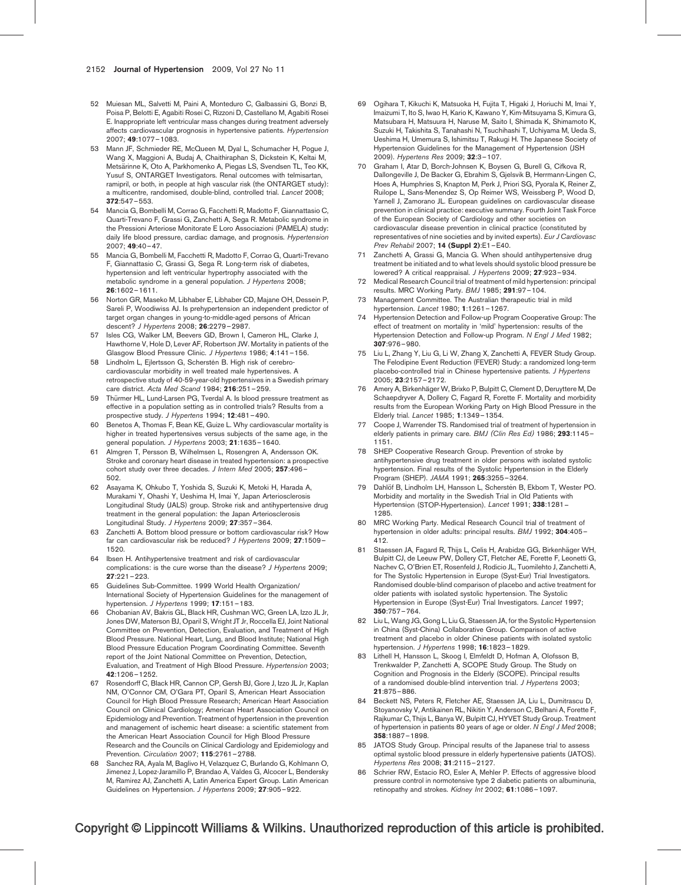- <span id="page-31-0"></span>52 Muiesan ML, Salvetti M, Paini A, Monteduro C, Galbassini G, Bonzi B, Poisa P, Belotti E, Agabiti Rosei C, Rizzoni D, Castellano M, Agabiti Rosei E. Inappropriate left ventricular mass changes during treatment adversely affects cardiovascular prognosis in hypertensive patients. Hypertension 2007; 49:1077–1083.
- 53 Mann JF, Schmieder RE, McQueen M, Dyal L, Schumacher H, Pogue J, Wang X, Maggioni A, Budaj A, Chaithiraphan S, Dickstein K, Keltai M, Metsärinne K, Oto A, Parkhomenko A, Piegas LS, Svendsen TL, Teo KK, Yusuf S, ONTARGET Investigators. Renal outcomes with telmisartan, ramipril, or both, in people at high vascular risk (the ONTARGET study): a multicentre, randomised, double-blind, controlled trial. Lancet 2008; 372:547–553.
- 54 Mancia G, Bombelli M, Corrao G, Facchetti R, Madotto F, Giannattasio C, Quarti-Trevano F, Grassi G, Zanchetti A, Sega R. Metabolic syndrome in the Pressioni Arteriose Monitorate E Loro Associazioni (PAMELA) study: daily life blood pressure, cardiac damage, and prognosis. Hypertension 2007; 49:40–47.
- 55 Mancia G, Bombelli M, Facchetti R, Madotto F, Corrao G, Quarti-Trevano F, Giannattasio C, Grassi G, Sega R. Long-term risk of diabetes, hypertension and left ventricular hypertrophy associated with the metabolic syndrome in a general population. J Hypertens 2008; 26:1602–1611.
- 56 Norton GR, Maseko M, Libhaber E, Libhaber CD, Majane OH, Dessein P, Sareli P, Woodiwiss AJ. Is prehypertension an independent predictor of target organ changes in young-to-middle-aged persons of African descent? J Hypertens 2008; 26:2279–2987.
- 57 Isles CG, Walker LM, Beevers GD, Brown L Cameron HL, Clarke L Hawthorne V, Hole D, Lever AF, Robertson JW. Mortality in patients of the Glasgow Blood Pressure Clinic. J Hypertens 1986; 4:141–156.
- 58 Lindholm L, Ejlertsson G, Scherstén B. High risk of cerebrocardiovascular morbidity in well treated male hypertensives. A retrospective study of 40-59-year-old hypertensives in a Swedish primary care district. Acta Med Scand 1984: 216:251-259.
- 59 Thürmer HL, Lund-Larsen PG, Tverdal A. Is blood pressure treatment as effective in a population setting as in controlled trials? Results from a prospective study. J Hypertens 1994; 12:481–490.
- 60 Benetos A, Thomas F, Bean KE, Guize L. Why cardiovascular mortality is higher in treated hypertensives versus subjects of the same age, in the general population. J Hypertens 2003; 21:1635-1640.
- 61 Almgren T, Persson B, Wilhelmsen L, Rosengren A, Andersson OK. Stroke and coronary heart disease in treated hypertension: a prospective cohort study over three decades. J Intern Med 2005; 257:496-502.
- 62 Asayama K, Ohkubo T, Yoshida S, Suzuki K, Metoki H, Harada A, Murakami Y, Ohashi Y, Ueshima H, Imai Y, Japan Arteriosclerosis Longitudinal Study (JALS) group. Stroke risk and antihypertensive drug treatment in the general population: the Japan Arteriosclerosis Longitudinal Study. J Hypertens 2009; 27:357-364.
- 63 Zanchetti A. Bottom blood pressure or bottom cardiovascular risk? How far can cardiovascular risk be reduced? J Hypertens 2009; 27:1509-1520.
- 64 Ibsen H. Antihypertensive treatment and risk of cardiovascular complications: is the cure worse than the disease? *J Hypertens* 2009:  $27:221 - 223$ .
- 65 Guidelines Sub-Committee. 1999 World Health Organization/ International Society of Hypertension Guidelines for the management of hypertension. J Hypertens 1999; 17:151-183.
- 66 Chobanian AV, Bakris GL, Black HR, Cushman WC, Green LA, Izzo JL Jr, Jones DW, Materson BJ, Oparil S, Wright JT Jr, Roccella EJ, Joint National Committee on Prevention, Detection, Evaluation, and Treatment of High Blood Pressure. National Heart, Lung, and Blood Institute; National High Blood Pressure Education Program Coordinating Committee. Seventh report of the Joint National Committee on Prevention, Detection, Evaluation, and Treatment of High Blood Pressure. Hypertension 2003; 42:1206–1252.
- 67 Rosendorff C, Black HR, Cannon CP, Gersh BJ, Gore J, Izzo JL Jr, Kaplan NM, O'Connor CM, O'Gara PT, Oparil S, American Heart Association Council for High Blood Pressure Research; American Heart Association Council on Clinical Cardiology; American Heart Association Council on Epidemiology and Prevention. Treatment of hypertension in the prevention and management of ischemic heart disease: a scientific statement from the American Heart Association Council for High Blood Pressure Research and the Councils on Clinical Cardiology and Epidemiology and Prevention. Circulation 2007; 115:2761–2788.
- 68 Sanchez RA, Ayala M, Baglivo H, Velazquez C, Burlando G, Kohlmann O, Jimenez J, Lopez-Jaramillo P, Brandao A, Valdes G, Alcocer L, Bendersky M, Ramirez AJ, Zanchetti A, Latin America Expert Group. Latin American Guidelines on Hypertension. J Hypertens 2009; 27:905–922.
- 69 Ogihara T, Kikuchi K, Matsuoka H, Fujita T, Higaki J, Horiuchi M, Imai Y, Imaizumi T, Ito S, Iwao H, Kario K, Kawano Y, Kim-Mitsuyama S, Kimura G, Matsubara H, Matsuura H, Naruse M, Saito I, Shimada K, Shimamoto K, Suzuki H, Takishita S, Tanahashi N, Tsuchihashi T, Uchiyama M, Ueda S, Ueshima H, Umemura S, Ishimitsu T, Rakugi H. The Japanese Society of Hypertension Guidelines for the Management of Hypertension (JSH 2009). Hypertens Res 2009; 32:3–107.
- 70 Graham I, Atar D, Borch-Johnsen K, Boysen G, Burell G, Cifkova R, Dallongeville J, De Backer G, Ebrahim S, Gjelsvik B, Herrmann-Lingen C, Hoes A, Humphries S, Knapton M, Perk J, Priori SG, Pyorala K, Reiner Z, Ruilope L, Sans-Menendez S, Op Reimer WS, Weissberg P, Wood D, Yarnell J, Zamorano JL. European guidelines on cardiovascular disease prevention in clinical practice: executive summary. Fourth Joint Task Force of the European Society of Cardiology and other societies on cardiovascular disease prevention in clinical practice (constituted by representatives of nine societies and by invited experts). Eur J Cardiovasc Prev Rehabil 2007; 14 (Suppl 2):E1–E40.
- 71 Zanchetti A, Grassi G, Mancia G. When should antihypertensive drug treatment be initiated and to what levels should systolic blood pressure be lowered? A critical reappraisal. J Hypertens 2009; 27:923-934.
- 72 Medical Research Council trial of treatment of mild hypertension: principal results. MRC Working Party. BMJ 1985; 291:97–104.
- 73 Management Committee. The Australian therapeutic trial in mild hypertension. Lancet 1980; 1:1261–1267.
- 74 Hypertension Detection and Follow-up Program Cooperative Group: The effect of treatment on mortality in 'mild' hypertension: results of the Hypertension Detection and Follow-up Program. N Engl J Med 1982; 307:976–980.
- 75 Liu L, Zhang Y, Liu G, Li W, Zhang X, Zanchetti A, FEVER Study Group. The Felodipine Event Reduction (FEVER) Study: a randomized long-term placebo-controlled trial in Chinese hypertensive patients. J Hypertens 2005; 23:2157–2172.
- 76 Amery A, Birkenhäger W, Brixko P, Bulpitt C, Clement D, Deruyttere M, De Schaepdryver A, Dollery C, Fagard R, Forette F. Mortality and morbidity results from the European Working Party on High Blood Pressure in the Elderly trial. Lancet 1985; 1:1349–1354.
- 77 Coope J, Warrender TS. Randomised trial of treatment of hypertension in elderly patients in primary care. BMJ (Clin Res Ed) 1986; 293:1145-1151.
- 78 SHEP Cooperative Research Group. Prevention of stroke by antihypertensive drug treatment in older persons with isolated systolic hypertension. Final results of the Systolic Hypertension in the Elderly Program (SHEP). JAMA 1991; 265:3255-3264.
- Dahlöf B, Lindholm LH, Hansson L, Scherstén B, Ekbom T, Wester PO. Morbidity and mortality in the Swedish Trial in Old Patients with Hypertension (STOP-Hypertension). Lancet 1991; 338:1281– 1285.
- 80 MRC Working Party. Medical Research Council trial of treatment of hypertension in older adults: principal results. BMJ 1992; 304:405– 412.
- 81 Staessen JA, Fagard R, Thijs L, Celis H, Arabidze GG, Birkenhäger WH, Bulpitt CJ, de Leeuw PW, Dollery CT, Fletcher AE, Forette F, Leonetti G, Nachev C, O'Brien ET, Rosenfeld J, Rodicio JL, Tuomilehto J, Zanchetti A, for The Systolic Hypertension in Europe (Syst-Eur) Trial Investigators. Randomised double-blind comparison of placebo and active treatment for older patients with isolated systolic hypertension. The Systolic Hypertension in Europe (Syst-Eur) Trial Investigators. Lancet 1997; 350:757–764.
- 82 Liu L, Wang JG, Gong L, Liu G, Staessen JA, for the Systolic Hypertension in China (Syst-China) Collaborative Group. Comparison of active treatment and placebo in older Chinese patients with isolated systolic hypertension. J Hypertens 1998; 16:1823–1829.
- Lithell H, Hansson L, Skoog I, Elmfeldt D, Hofman A, Olofsson B, Trenkwalder P, Zanchetti A, SCOPE Study Group. The Study on Cognition and Prognosis in the Elderly (SCOPE). Principal results of a randomised double-blind intervention trial. J Hypertens 2003; 21:875–886.
- 84 Beckett NS, Peters R, Fletcher AE, Staessen JA, Liu L, Dumitrascu D, Stoyanovsky V, Antikainen RL, Nikitin Y, Anderson C, Belhani A, Forette F, Rajkumar C, Thijs L, Banya W, Bulpitt CJ, HYVET Study Group. Treatment of hypertension in patients 80 years of age or older. N Engl J Med 2008; 358:1887–1898.
- 85 JATOS Study Group. Principal results of the Japanese trial to assess optimal systolic blood pressure in elderly hypertensive patients (JATOS). Hypertens Res 2008; 31:2115–2127.
- 86 Schrier RW, Estacio RO, Esler A, Mehler P. Effects of aggressive blood pressure control in normotensive type 2 diabetic patients on albuminuria, retinopathy and strokes. Kidney Int 2002; 61:1086–1097.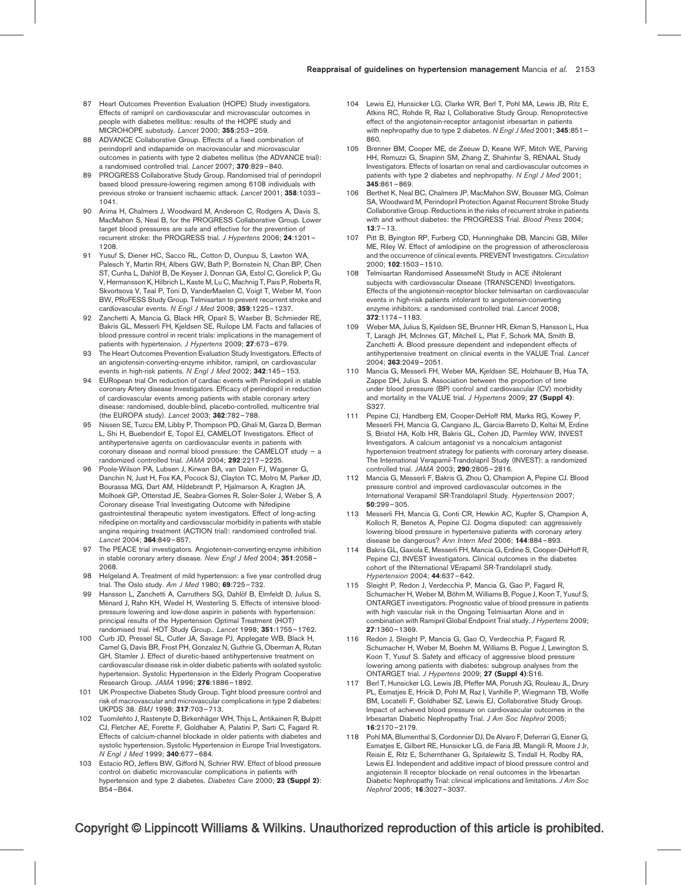- <span id="page-32-0"></span>87 Heart Outcomes Prevention Evaluation (HOPE) Study investigators. Effects of ramipril on cardiovascular and microvascular outcomes in people with diabetes mellitus: results of the HOPE study and MICROHOPE substudy. Lancet 2000; 355:253–259.
- 88 ADVANCE Collaborative Group. Effects of a fixed combination of perindopril and indapamide on macrovascular and microvascular outcomes in patients with type 2 diabetes mellitus (the ADVANCE trial): a randomised controlled trial. Lancet 2007; 370:829–840.
- 89 PROGRESS Collaborative Study Group. Randomised trial of perindopril based blood pressure-lowering regimen among 6108 individuals with previous stroke or transient ischaemic attack. Lancet 2001; 358:1033– 1041.
- 90 Arima H, Chalmers J, Woodward M, Anderson C, Rodgers A, Davis S, MacMahon S, Neal B, for the PROGRESS Collaborative Group. Lower target blood pressures are safe and effective for the prevention of recurrent stroke: the PROGRESS trial. J Hypertens 2006; 24:1201– 1208.
- 91 Yusuf S, Diener HC, Sacco RL, Cotton D, Ounpuu S, Lawton WA, Palesch Y, Martin RH, Albers GW, Bath P, Bornstein N, Chan BP, Chen ST, Cunha L, Dahlöf B, De Keyser J, Donnan GA, Estol C, Gorelick P, Gu V, Hermansson K, Hilbrich L, Kaste M, Lu C, Machnig T, Pais P, Roberts R, Skvortsova V, Teal P, Toni D, VanderMaelen C, Voigt T, Weber M, Yoon BW, PRoFESS Study Group. Telmisartan to prevent recurrent stroke and cardiovascular events. N Engl J Med 2008; 359:1225-1237.
- 92 Zanchetti A, Mancia G, Black HR, Oparil S, Waeber B, Schmieder RE, Bakris GL, Messerli FH, Kjeldsen SE, Ruilope LM. Facts and fallacies of blood pressure control in recent trials: implications in the management of patients with hypertension. J Hypertens 2009; 27:673–679.
- The Heart Outcomes Prevention Evaluation Study Investigators. Effects of an angiotensin-converting-enzyme inhibitor, ramipril, on cardiovascular events in high-risk patients. N Engl J Med 2002; 342:145-153.
- EURopean trial On reduction of cardiac events with Perindopril in stable coronary Artery disease Investigators. Efficacy of perindopril in reduction of cardiovascular events among patients with stable coronary artery disease: randomised, double-blind, placebo-controlled, multicentre trial (the EUROPA study). Lancet 2003; 362:782–788.
- 95 Nissen SE, Tuzcu EM, Libby P, Thompson PD, Ghali M, Garza D, Berman L, Shi H, Buebendorf E, Topol EJ, CAMELOT Investigators. Effect of antihypertensive agents on cardiovascular events in patients with coronary disease and normal blood pressure: the CAMELOT study – a randomized controlled trial. JAMA 2004; 292:2217–2225.
- 96 Poole-Wilson PA, Lubsen J, Kirwan BA, van Dalen FJ, Wagener G, Danchin N, Just H, Fox KA, Pocock SJ, Clayton TC, Motro M, Parker JD, Bourassa MG, Dart AM, Hildebrandt P, Hjalmarson A, Kragten JA, Molhoek GP, Otterstad JE, Seabra-Gomes R, Soler-Soler J, Weber S, A Coronary disease Trial Investigating Outcome with Nifedipine gastrointestinal therapeutic system investigators. Effect of long-acting nifedipine on mortality and cardiovascular morbidity in patients with stable angina requiring treatment (ACTION trial): randomised controlled trial. Lancet 2004; 364:849–857.
- 97 The PEACE trial investigators. Angiotensin-converting-enzyme inhibition in stable coronary artery disease. New Engl J Med 2004; 351:2058– 2068.
- 98 Helgeland A. Treatment of mild hypertension: a five year controlled drug trial. The Oslo study. Am J Med 1980; 69:725–732.
- Hansson L, Zanchetti A, Carruthers SG, Dahlöf B, Elmfeldt D, Julius S, Ménard J, Rahn KH, Wedel H, Westerling S. Effects of intensive bloodpressure lowering and low-dose aspirin in patients with hypertension: principal results of the Hypertension Optimal Treatment (HOT) randomised trial. HOT Study Group.. Lancet 1998; 351:1755–1762.
- 100 Curb JD, Pressel SL, Cutler JA, Savage PJ, Applegate WB, Black H, Camel G, Davis BR, Frost PH, Gonzalez N, Guthrie G, Oberman A, Rutan GH, Stamler J. Effect of diuretic-based antihypertensive treatment on cardiovascular disease risk in older diabetic patients with isolated systolic hypertension. Systolic Hypertension in the Elderly Program Cooperative Research Group. JAMA 1996; 276:1886–1892.
- 101 UK Prospective Diabetes Study Group. Tight blood pressure control and risk of macrovascular and microvascular complications in type 2 diabetes: UKPDS 38. BMJ 1998; 317:703–713.
- 102 Tuomilehto J, Rastenyte D, Birkenhäger WH, Thijs L, Antikainen R, Bulpitt CJ, Fletcher AE, Forette F, Goldhaber A, Palatini P, Sarti C, Fagard R. Effects of calcium-channel blockade in older patients with diabetes and systolic hypertension. Systolic Hypertension in Europe Trial Investigators. N Engl J Med 1999; 340:677–684.
- 103 Estacio RO, Jeffers BW, Gifford N, Schrier RW. Effect of blood pressure control on diabetic microvascular complications in patients with hypertension and type 2 diabetes. Diabetes Care 2000; 23 (Suppl 2): B54–B64.
- 104 Lewis EJ, Hunsicker LG, Clarke WR, Berl T, Pohl MA, Lewis JB, Ritz E, Atkins RC, Rohde R, Raz I, Collaborative Study Group. Renoprotective effect of the angiotensin-receptor antagonist irbesartan in patients with nephropathy due to type 2 diabetes. N Engl J Med 2001; 345:851-860.
- 105 Brenner BM, Cooper ME, de Zeeuw D, Keane WF, Mitch WE, Parving HH, Remuzzi G, Snapinn SM, Zhang Z, Shahinfar S, RENAAL Study Investigators. Effects of losartan on renal and cardiovascular outcomes in patients with type 2 diabetes and nephropathy. N Engl J Med 2001; 345:861–869.
- 106 Berthet K, Neal BC, Chalmers JP, MacMahon SW, Bousser MG, Colman SA, Woodward M, Perindopril Protection Against Recurrent Stroke Study Collaborative Group. Reductions in the risks of recurrent stroke in patients with and without diabetes: the PROGRESS Trial. Blood Press 2004; 13:7–13.
- 107 Pitt B, Byington RP, Furberg CD, Hunninghake DB, Mancini GB, Miller ME, Riley W. Effect of amlodipine on the progression of atherosclerosis and the occurrence of clinical events. PREVENT Investigators. Circulation 2000; 102:1503–1510.
- 108 Telmisartan Randomised AssessmeNt Study in ACE iNtolerant subjects with cardiovascular Disease (TRANSCEND) Investigators. Effects of the angiotensin-receptor blocker telmisartan on cardiovascular events in high-risk patients intolerant to angiotensin-converting enzyme inhibitors: a randomised controlled trial. Lancet 2008; 372:1174–1183.
- 109 Weber MA, Julius S, Kjeldsen SE, Brunner HR, Ekman S, Hansson L, Hua T, Laragh JH, McInnes GT, Mitchell L, Plat F, Schork MA, Smith B, Zanchetti A. Blood pressure dependent and independent effects of antihypertensive treatment on clinical events in the VALUE Trial. Lancet 2004; 363:2049–2051.
- 110 Mancia G, Messerli FH, Weber MA, Kjeldsen SE, Holzhauer B, Hua TA, Zappe DH, Julius S. Association between the proportion of time under blood pressure (BP) control and cardiovascular (CV) morbidity and mortality in the VALUE trial. J Hypertens 2009; 27 (Suppl 4): S327.
- 111 Pepine CJ, Handberg EM, Cooper-DeHoff RM, Marks RG, Kowey P, Messerli FH, Mancia G, Cangiano JL, Garcia-Barreto D, Keltai M, Erdine S, Bristol HA, Kolb HR, Bakris GL, Cohen JD, Parmley WW, INVEST Investigators. A calcium antagonist vs a noncalcium antagonist hypertension treatment strategy for patients with coronary artery disease. The International Verapamil-Trandolapril Study (INVEST): a randomized controlled trial. JAMA 2003; 290:2805–2816.
- 112 Mancia G, Messerli F, Bakris G, Zhou Q, Champion A, Pepine CJ. Blood pressure control and improved cardiovascular outcomes in the International Verapamil SR-Trandolapril Study. Hypertension 2007; 50:299–305.
- 113 Messerli FH, Mancia G, Conti CR, Hewkin AC, Kupfer S, Champion A, Kolloch R, Benetos A, Pepine CJ. Dogma disputed: can aggressively lowering blood pressure in hypertensive patients with coronary artery disease be dangerous? Ann Intern Med 2006; 144:884–893.
- 114 Bakris GL, Gaxiola E, Messerli FH, Mancia G, Erdine S, Cooper-DeHoff R, Pepine CJ, INVEST Investigators. Clinical outcomes in the diabetes cohort of the INternational VErapamil SR-Trandolapril study. Hypertension 2004; 44:637–642.
- 115 Sleight P, Redon J, Verdecchia P, Mancia G, Gao P, Fagard R, Schumacher H, Weber M, Böhm M, Williams B, Pogue J, Koon T, Yusuf S, ONTARGET investigators. Prognostic value of blood pressure in patients with high vascular risk in the Ongoing Telmisartan Alone and in combination with Ramipril Global Endpoint Trial study. J Hypertens 2009; 27:1360–1369.
- 116 Redon J, Sleight P, Mancia G, Gao O, Verdecchia P, Fagard R, Schumacher H, Weber M, Boehm M, Williams B, Pogue J, Lewington S, Koon T, Yusuf S. Safety and efficacy of aggressive blood pressure lowering among patients with diabetes: subgroup analyses from the ONTARGET trial. J Hypertens 2009; 27 (Suppl 4):S16.
- 117 Berl T, Hunsicker LG, Lewis JB, Pfeffer MA, Porush JG, Rouleau JL, Drury PL, Esmatjes E, Hricik D, Pohl M, Raz I, Vanhille P, Wiegmann TB, Wolfe BM, Locatelli F, Goldhaber SZ, Lewis EJ, Collaborative Study Group. Impact of achieved blood pressure on cardiovascular outcomes in the Irbesartan Diabetic Nephropathy Trial. J Am Soc Nephrol 2005; 16:2170–2179.
- 118 Pohl MA, Blumenthal S, Cordonnier DJ, De Alvaro F, Deferrari G, Eisner G, Esmatjes E, Gilbert RE, Hunsicker LG, de Faria JB, Mangili R, Moore J Jr, Reisin E, Ritz E, Schernthaner G, Spitalewitz S, Tindall H, Rodby RA, Lewis EJ. Independent and additive impact of blood pressure control and angiotensin II receptor blockade on renal outcomes in the Irbesartan Diabetic Nephropathy Trial: clinical implications and limitations. J Am Soc Nephrol 2005; 16:3027–3037.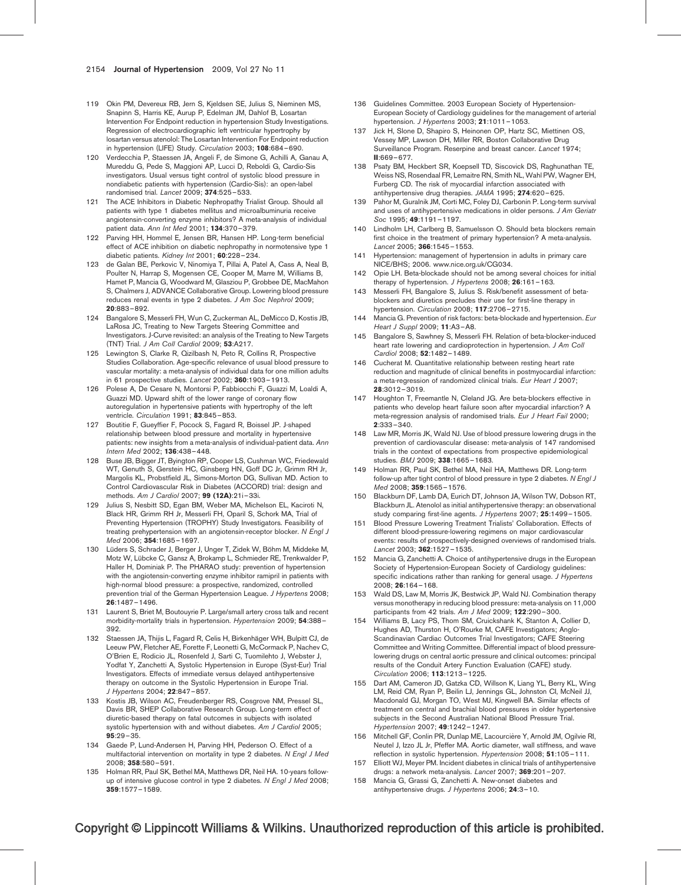- <span id="page-33-0"></span>119 Okin PM, Devereux RB, Jern S, Kjeldsen SE, Julius S, Nieminen MS, Snapinn S, Harris KE, Aurup P, Edelman JM, Dahlof B, Losartan Intervention For Endpoint reduction in hypertension Study Investigations. Regression of electrocardiographic left ventricular hypertrophy by losartan versus atenolol: The Losartan Intervention For Endpoint reduction in hypertension (LIFE) Study. Circulation 2003; 108:684–690.
- 120 Verdecchia P, Staessen JA, Angeli F, de Simone G, Achilli A, Ganau A, Mureddu G, Pede S, Maggioni AP, Lucci D, Reboldi G, Cardio-Sis investigators. Usual versus tight control of systolic blood pressure in nondiabetic patients with hypertension (Cardio-Sis): an open-label randomised trial. Lancet 2009; 374:525-533.
- 121 The ACE Inhibitors in Diabetic Nephropathy Trialist Group. Should all patients with type 1 diabetes mellitus and microalbuminuria receive angiotensin-converting enzyme inhibitors? A meta-analysis of individual patient data. Ann Int Med 2001; 134:370–379.
- 122 Parving HH, Hommel E, Jensen BR, Hansen HP. Long-term beneficial effect of ACE inhibition on diabetic nephropathy in normotensive type 1 diabetic patients. Kidney Int 2001; 60:228-234.
- 123 de Galan BE, Perkovic V, Ninomiya T, Pillai A, Patel A, Cass A, Neal B, Poulter N, Harrap S, Mogensen CE, Cooper M, Marre M, Williams B, Hamet P, Mancia G, Woodward M, Glasziou P, Grobbee DE, MacMahon S, Chalmers J, ADVANCE Collaborative Group. Lowering blood pressure reduces renal events in type 2 diabetes. J Am Soc Nephrol 2009; 20:883–892.
- 124 Bangalore S, Messerli FH, Wun C, Zuckerman AL, DeMicco D, Kostis JB, LaRosa JC, Treating to New Targets Steering Committee and Investigators. J-Curve revisited: an analysis of the Treating to New Targets (TNT) Trial. J Am Coll Cardiol 2009; 53:A217.
- 125 Lewington S, Clarke R, Qizilbash N, Peto R, Collins R, Prospective Studies Collaboration. Age-specific relevance of usual blood pressure to vascular mortality: a meta-analysis of individual data for one million adults in 61 prospective studies. Lancet 2002; 360:1903–1913.
- 126 Polese A, De Cesare N, Montorsi P, Fabbiocchi F, Guazzi M, Loaldi A, Guazzi MD. Upward shift of the lower range of coronary flow autoregulation in hypertensive patients with hypertrophy of the left ventricle. Circulation 1991; 83:845-853.
- 127 Boutitie F, Gueyffier F, Pocock S, Fagard R, Boissel JP. J-shaped relationship between blood pressure and mortality in hypertensive patients: new insights from a meta-analysis of individual-patient data. Ann Intern Med 2002; 136:438–448.
- 128 Buse JB, Bigger JT, Byington RP, Cooper LS, Cushman WC, Friedewald WT, Genuth S, Gerstein HC, Ginsberg HN, Goff DC Jr, Grimm RH Jr, Margolis KL, Probstfield JL, Simons-Morton DG, Sullivan MD. Action to Control Cardiovascular Risk in Diabetes (ACCORD) trial: design and methods. Am J Cardiol 2007; 99 (12A):21i–33i.
- 129 Julius S, Nesbitt SD, Egan BM, Weber MA, Michelson EL, Kaciroti N, Black HR, Grimm RH Jr, Messerli FH, Oparil S, Schork MA, Trial of Preventing Hypertension (TROPHY) Study Investigators. Feasibility of treating prehypertension with an angiotensin-receptor blocker. N Engl J Med 2006; 354:1685–1697.
- 130 Lüders S, Schrader J, Berger J, Unger T, Zidek W, Böhm M, Middeke M, Motz W, Lübcke C, Gansz A, Brokamp L, Schmieder RE, Trenkwalder P, Haller H, Dominiak P. The PHARAO study: prevention of hypertension with the angiotensin-converting enzyme inhibitor ramipril in patients with high-normal blood pressure: a prospective, randomized, controlled prevention trial of the German Hypertension League. J Hypertens 2008; 26:1487–1496.
- 131 Laurent S, Briet M, Boutouyrie P. Large/small artery cross talk and recent morbidity-mortality trials in hypertension. Hypertension 2009; 54:388-392.
- 132 Staessen JA, Thijis L, Fagard R, Celis H, Birkenhäger WH, Bulpitt CJ, de Leeuw PW, Fletcher AE, Forette F, Leonetti G, McCormack P, Nachev C, O'Brien E, Rodicio JL, Rosenfeld J, Sarti C, Tuomilehto J, Webster J, Yodfat Y, Zanchetti A, Systolic Hypertension in Europe (Syst-Eur) Trial Investigators. Effects of immediate versus delayed antihypertensive therapy on outcome in the Systolic Hypertension in Europe Trial. J Hypertens 2004; 22:847-857.
- 133 Kostis JB, Wilson AC, Freudenberger RS, Cosgrove NM, Pressel SL, Davis BR, SHEP Collaborative Research Group. Long-term effect of diuretic-based therapy on fatal outcomes in subjects with isolated systolic hypertension with and without diabetes. Am J Cardiol 2005:  $95:29-35.$
- 134 Gaede P, Lund-Andersen H, Parving HH, Pederson O. Effect of a multifactorial intervention on mortality in type 2 diabetes. N Engl J Med 2008; 358:580–591.
- 135 Holman RR, Paul SK, Bethel MA, Matthews DR, Neil HA. 10-years followup of intensive glucose control in type 2 diabetes. N Engl J Med 2008; 359:1577–1589.
- 136 Guidelines Committee. 2003 European Society of Hypertension-European Society of Cardiology guidelines for the management of arterial hypertension. J Hypertens 2003; 21:1011–1053.
- Jick H, Slone D, Shapiro S, Heinonen OP, Hartz SC, Miettinen OS, Vessey MP, Lawson DH, Miller RR, Boston Collaborative Drug Surveillance Program. Reserpine and breast cancer. Lancet 1974; II:669–677.
- 138 Psaty BM, Heckbert SR, Koepsell TD, Siscovick DS, Raghunathan TE, Weiss NS, Rosendaal FR, Lemaitre RN, Smith NL, Wahl PW, Wagner EH, Furberg CD. The risk of myocardial infarction associated with antihypertensive drug therapies. JAMA 1995; 274:620–625.
- 139 Pahor M, Guralnik JM, Corti MC, Foley DJ, Carbonin P. Long-term survival and uses of antihypertensive medications in older persons. J Am Geriatr Soc 1995; 49:1191–1197.
- 140 Lindholm LH, Carlberg B, Samuelsson O. Should beta blockers remain first choice in the treatment of primary hypertension? A meta-analysis. Lancet 2005; 366:1545–1553.
- 141 Hypertension: management of hypertension in adults in primary care NICE/BHS; 2006. [www.nice.org.uk/CG034](http://www.nice.org.uk/CG034).
- 142 Opie LH. Beta-blockade should not be among several choices for initial therapy of hypertension. J Hypertens 2008; 26:161-163.
- 143 Messerli FH, Bangalore S, Julius S. Risk/benefit assessment of betablockers and diuretics precludes their use for first-line therapy in hypertension. Circulation 2008; 117:2706–2715.
- 144 Mancia G. Prevention of risk factors: beta-blockade and hypertension. Eur Heart J Suppl 2009; **11**:A3-A8.
- 145 Bangalore S, Sawhney S, Messerli FH. Relation of beta-blocker-induced heart rate lowering and cardioprotection in hypertension. J Am Coll Cardiol 2008; 52:1482–1489.
- 146 Cucherat M. Quantitative relationship between resting heart rate reduction and magnitude of clinical benefits in postmyocardial infarction: a meta-regression of randomized clinical trials. Eur Heart J 2007; 28:3012–3019.
- Houghton T, Freemantle N, Cleland JG. Are beta-blockers effective in patients who develop heart failure soon after myocardial infarction? A meta-regression analysis of randomised trials. Eur J Heart Fail 2000; 2:333–340.
- 148 Law MR, Morris JK, Wald NJ. Use of blood pressure lowering drugs in the prevention of cardiovascular disease: meta-analysis of 147 randomised trials in the context of expectations from prospective epidemiological studies. BMJ 2009; 338:1665–1683.
- 149 Holman RR, Paul SK, Bethel MA, Neil HA, Matthews DR. Long-term follow-up after tight control of blood pressure in type 2 diabetes. N Engl J Med 2008; 359:1565–1576.
- Blackburn DF, Lamb DA, Eurich DT, Johnson JA, Wilson TW, Dobson RT, Blackburn JL. Atenolol as initial antihypertensive therapy: an observational study comparing first-line agents. J Hypertens 2007; 25:1499-1505.
- 151 Blood Pressure Lowering Treatment Trialists' Collaboration. Effects of different blood-pressure-lowering regimens on major cardiovascular events: results of prospectively-designed overviews of randomised trials. Lancet 2003; 362:1527-1535.
- 152 Mancia G, Zanchetti A. Choice of antihypertensive drugs in the European Society of Hypertension-European Society of Cardiology guidelines: specific indications rather than ranking for general usage. J Hypertens 2008; 26:164–168.
- 153 Wald DS, Law M, Morris JK, Bestwick JP, Wald NJ. Combination therapy versus monotherapy in reducing blood pressure: meta-analysis on 11,000 participants from 42 trials. Am J Med 2009; 122:290–300.
- 154 Williams B, Lacy PS, Thom SM, Cruickshank K, Stanton A, Collier D, Hughes AD, Thurston H, O'Rourke M, CAFE Investigators; Anglo-Scandinavian Cardiac Outcomes Trial Investigators; CAFE Steering Committee and Writing Committee. Differential impact of blood pressurelowering drugs on central aortic pressure and clinical outcomes: principal results of the Conduit Artery Function Evaluation (CAFE) study. Circulation 2006; 113:1213–1225.
- 155 Dart AM, Cameron JD, Gatzka CD, Willson K, Liang YL, Berry KL, Wing LM, Reid CM, Ryan P, Beilin LJ, Jennings GL, Johnston CI, McNeil JJ, Macdonald GJ, Morgan TO, West MJ, Kingwell BA. Similar effects of treatment on central and brachial blood pressures in older hypertensive subjects in the Second Australian National Blood Pressure Trial. Hypertension 2007; 49:1242–1247.
- 156 Mitchell GF, Conlin PR, Dunlap ME, Lacourcière Y, Arnold JM, Ogilvie RI, Neutel J, Izzo JL Jr, Pfeffer MA. Aortic diameter, wall stiffness, and wave reflection in systolic hypertension. Hypertension 2008; 51:105–111.
- 157 Elliott WJ, Meyer PM. Incident diabetes in clinical trials of antihypertensive drugs: a network meta-analysis. Lancet 2007; 369:201–207.
- 158 Mancia G, Grassi G, Zanchetti A. New-onset diabetes and antihypertensive drugs. J Hypertens 2006; 24:3–10.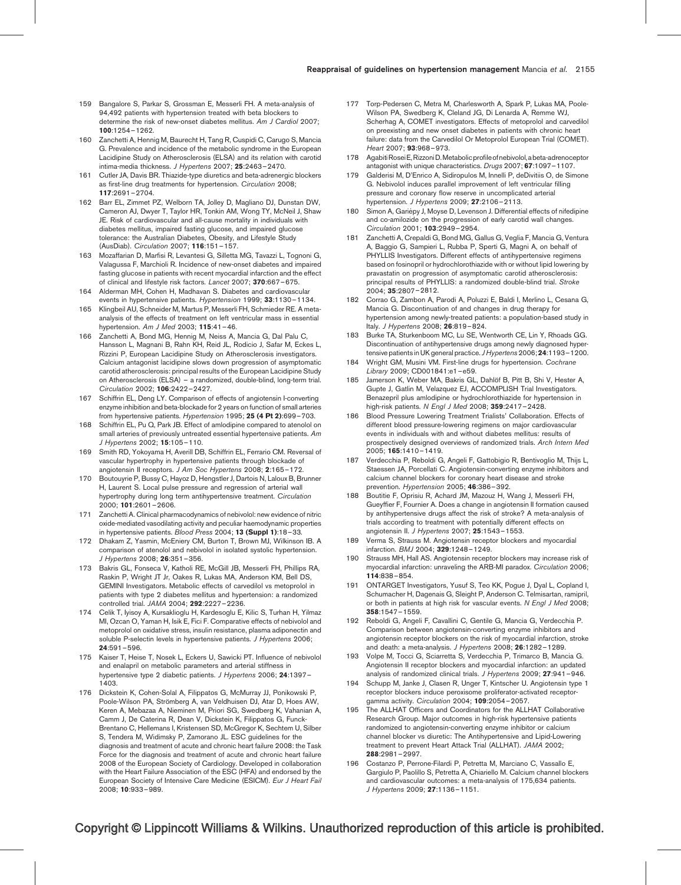- <span id="page-34-0"></span>159 Bangalore S, Parkar S, Grossman E, Messerli FH. A meta-analysis of 94,492 patients with hypertension treated with beta blockers to determine the risk of new-onset diabetes mellitus. Am J Cardiol 2007; 100:1254–1262.
- 160 Zanchetti A, Hennig M, Baurecht H, Tang R, Cuspidi C, Carugo S, Mancia G. Prevalence and incidence of the metabolic syndrome in the European Lacidipine Study on Atherosclerosis (ELSA) and its relation with carotid intima-media thickness. J Hypertens 2007; 25:2463–2470.
- 161 Cutler JA, Davis BR. Thiazide-type diuretics and beta-adrenergic blockers as first-line drug treatments for hypertension. Circulation 2008; 117:2691–2704.
- 162 Barr EL, Zimmet PZ, Welborn TA, Jolley D, Magliano DJ, Dunstan DW, Cameron AJ, Dwyer T, Taylor HR, Tonkin AM, Wong TY, McNeil J, Shaw JE. Risk of cardiovascular and all-cause mortality in individuals with diabetes mellitus, impaired fasting glucose, and impaired glucose tolerance: the Australian Diabetes, Obesity, and Lifestyle Study (AusDiab). Circulation 2007; 116:151–157.
- 163 Mozaffarian D, Marfisi R, Levantesi G, Silletta MG, Tavazzi L, Tognoni G, Valagussa F, Marchioli R. Incidence of new-onset diabetes and impaired fasting glucose in patients with recent myocardial infarction and the effect of clinical and lifestyle risk factors. Lancet 2007; 370:667–675.
- 164 Alderman MH, Cohen H, Madhavan S. Diabetes and cardiovascular events in hypertensive patients. Hypertension 1999; 33:1130–1134.
- 165 Klingbeil AU, Schneider M, Martus P, Messerli FH, Schmieder RE. A metaanalysis of the effects of treatment on left ventricular mass in essential hypertension. Am J Med 2003; 115:41–46.
- 166 Zanchetti A, Bond MG, Hennig M, Neiss A, Mancia G, Dal Palu C, Hansson L, Magnani B, Rahn KH, Reid JL, Rodicio J, Safar M, Eckes L, Rizzini P, European Lacidipine Study on Atherosclerosis investigators. Calcium antagonist lacidipine slows down progression of asymptomatic carotid atherosclerosis: principal results of the European Lacidipine Study on Atherosclerosis (ELSA) – a randomized, double-blind, long-term trial. Circulation 2002; 106:2422–2427.
- 167 Schiffrin EL, Deng LY. Comparison of effects of angiotensin I-converting enzyme inhibition and beta-blockade for 2 years on function of small arteries from hypertensive patients. Hypertension 1995; 25 (4 Pt 2):699–703.
- 168 Schiffrin EL, Pu Q, Park JB. Effect of amlodipine compared to atenolol on small arteries of previously untreated essential hypertensive patients. Am J Hypertens 2002; 15:105-110.
- 169 Smith RD, Yokoyama H, Averill DB, Schiffrin EL, Ferrario CM. Reversal of vascular hypertrophy in hypertensive patients through blockade of angiotensin II receptors. J Am Soc Hypertens 2008; 2:165–172.
- 170 Boutouyrie P, Bussy C, Hayoz D, Hengstler J, Dartois N, Laloux B, Brunner H, Laurent S. Local pulse pressure and regression of arterial wall hypertrophy during long term antihypertensive treatment. Circulation 2000; 101:2601–2606.
- 171 Zanchetti A. Clinical pharmacodynamics of nebivolol: new evidence of nitric oxide-mediated vasodilating activity and peculiar haemodynamic properties in hypertensive patients. Blood Press 2004; 13 (Suppl 1):18–33.
- 172 Dhakam Z, Yasmin, McEniery CM, Burton T, Brown MJ, Wilkinson IB. A comparison of atenolol and nebivolol in isolated systolic hypertension. J Hypertens 2008; 26:351–356.
- 173 Bakris GL, Fonseca V, Katholi RE, McGill JB, Messerli FH, Phillips RA, Raskin P, Wright JT Jr, Oakes R, Lukas MA, Anderson KM, Bell DS, GEMINI Investigators. Metabolic effects of carvedilol vs metoprolol in patients with type 2 diabetes mellitus and hypertension: a randomized controlled trial. JAMA 2004; 292:2227–2236.
- 174 Celik T, Iyisoy A, Kursaklioglu H, Kardesoglu E, Kilic S, Turhan H, Yilmaz MI, Ozcan O, Yaman H, Isik E, Fici F. Comparative effects of nebivolol and metoprolol on oxidative stress, insulin resistance, plasma adiponectin and soluble P-selectin levels in hypertensive patients. J Hypertens 2006; 24:591–596.
- 175 Kaiser T, Heise T, Nosek L, Eckers U, Sawicki PT. Influence of nebivolol and enalapril on metabolic parameters and arterial stiffness in hypertensive type 2 diabetic patients. J Hypertens 2006; 24:1397-1403.
- 176 Dickstein K, Cohen-Solal A, Filippatos G, McMurray JJ, Ponikowski P, Poole-Wilson PA, Strömberg A, van Veldhuisen DJ, Atar D, Hoes AW, Keren A, Mebazaa A, Nieminen M, Priori SG, Swedberg K, Vahanian A, Camm J, De Caterina R, Dean V, Dickstein K, Filippatos G, Funck-Brentano C, Hellemans I, Kristensen SD, McGregor K, Sechtem U, Silber S, Tendera M, Widimsky P, Zamorano JL. ESC guidelines for the diagnosis and treatment of acute and chronic heart failure 2008: the Task Force for the diagnosis and treatment of acute and chronic heart failure 2008 of the European Society of Cardiology. Developed in collaboration with the Heart Failure Association of the ESC (HFA) and endorsed by the European Society of Intensive Care Medicine (ESICM). Eur J Heart Fail 2008; 10:933–989.
- 177 Torp-Pedersen C, Metra M, Charlesworth A, Spark P, Lukas MA, Poole-Wilson PA, Swedberg K, Cleland JG, Di Lenarda A, Remme WJ, Scherhag A, COMET investigators. Effects of metoprolol and carvedilol on preexisting and new onset diabetes in patients with chronic heart failure: data from the Carvedilol Or Metoprolol European Trial (COMET). Heart 2007; 93:968–973.
- 178 AgabitiRoseiE,RizzoniD.Metabolicprofileofnebivolol,abeta-adrenoceptor antagonist with unique characteristics. Drugs 2007; 67:1097–1107.
- 179 Galderisi M, D'Enrico A, Sidiropulos M, Innelli P, deDivitiis O, de Simone G. Nebivolol induces parallel improvement of left ventricular filling pressure and coronary flow reserve in uncomplicated arterial hypertension. J Hypertens 2009; 27:2106–2113.
- 180 Simon A, Gariépy J, Moyse D, Levenson J. Differential effects of nifedipine and co-amilozide on the progression of early carotid wall changes. Circulation 2001; 103:2949–2954.
- 181 Zanchetti A, Crepaldi G, Bond MG, Gallus G, Veglia F, Mancia G, Ventura A, Baggio G, Sampieri L, Rubba P, Sperti G, Magni A, on behalf of PHYLLIS Investigators. Different effects of antihypertensive regimens based on fosinopril or hydrochlorothiazide with or without lipid lowering by pravastatin on progression of asymptomatic carotid atherosclerosis: principal results of PHYLLIS: a randomized double-blind trial. Stroke 2004; 35:2807–2812.
- 182 Corrao G, Zambon A, Parodi A, Poluzzi E, Baldi I, Merlino L, Cesana G, Mancia G. Discontinuation of and changes in drug therapy for hypertension among newly-treated patients: a population-based study in Italy. J Hypertens 2008; 26:819-824.
- 183 Burke TA, Sturkenboom MC, Lu SE, Wentworth CE, Lin Y, Rhoads GG. Discontinuation of antihypertensive drugs among newly diagnosed hypertensive patients in UK general practice. J Hypertens 2006; 24:1193-1200.
- 184 Wright GM, Musini VM. First-line drugs for hypertension. Cochrane Library 2009; CD001841:e1–e59.
- 185 Jamerson K, Weber MA, Bakris GL, Dahlöf B, Pitt B, Shi V, Hester A, Gupte J, Gatlin M, Velazquez EJ, ACCOMPLISH Trial Investigators. Benazepril plus amlodipine or hydrochlorothiazide for hypertension in high-risk patients. N Engl J Med 2008; 359:2417–2428.
- 186 Blood Pressure Lowering Treatment Trialists' Collaboration. Effects of different blood pressure-lowering regimens on major cardiovascular events in individuals with and without diabetes mellitus: results of prospectively designed overviews of randomized trials. Arch Intern Med 2005; 165:1410–1419.
- 187 Verdecchia P, Reboldi G, Angeli F, Gattobigio R, Bentivoglio M, Thijs L, Staessen JA, Porcellati C. Angiotensin-converting enzyme inhibitors and calcium channel blockers for coronary heart disease and stroke prevention. Hypertension 2005; 46:386–392.
- 188 Boutitie F, Oprisiu R, Achard JM, Mazouz H, Wang J, Messerli FH, Gueyffier F, Fournier A. Does a change in angiotensin II formation caused by antihypertensive drugs affect the risk of stroke? A meta-analysis of trials according to treatment with potentially different effects on angiotensin II. J Hypertens 2007; 25:1543-1553.
- 189 Verma S, Strauss M. Angiotensin receptor blockers and myocardial infarction. BMJ 2004; 329:1248–1249.
- 190 Strauss MH, Hall AS. Angiotensin receptor blockers may increase risk of myocardial infarction: unraveling the ARB-MI paradox. Circulation 2006; 114:838–854.
- 191 ONTARGET Investigators, Yusuf S, Teo KK, Pogue J, Dyal L, Copland I, Schumacher H, Dagenais G, Sleight P, Anderson C. Telmisartan, ramipril, or both in patients at high risk for vascular events. N Engl J Med 2008; 358:1547–1559.
- 192 Reboldi G, Angeli F, Cavallini C, Gentile G, Mancia G, Verdecchia P. Comparison between angiotensin-converting enzyme inhibitors and angiotensin receptor blockers on the risk of myocardial infarction, stroke and death: a meta-analysis. J Hypertens 2008; 26:1282-1289.
- 193 Volpe M, Tocci G, Sciarretta S, Verdecchia P, Trimarco B, Mancia G. Angiotensin II receptor blockers and myocardial infarction: an updated analysis of randomized clinical trials. J Hypertens 2009; 27:941-946.
- 194 Schupp M, Janke J, Clasen R, Unger T, Kintscher U. Angiotensin type 1 receptor blockers induce peroxisome proliferator-activated receptorgamma activity. Circulation 2004; 109:2054-2057.
- 195 The ALLHAT Officers and Coordinators for the ALLHAT Collaborative Research Group. Major outcomes in high-risk hypertensive patients randomized to angiotensin-converting enzyme inhibitor or calcium channel blocker vs diuretic: The Antihypertensive and Lipid-Lowering treatment to prevent Heart Attack Trial (ALLHAT). JAMA 2002; 288:2981–2997.
- 196 Costanzo P, Perrone-Filardi P, Petretta M, Marciano C, Vassallo E, Gargiulo P, Paolillo S, Petretta A, Chiariello M. Calcium channel blockers and cardiovascular outcomes: a meta-analysis of 175,634 patients. J Hypertens 2009; 27:1136–1151.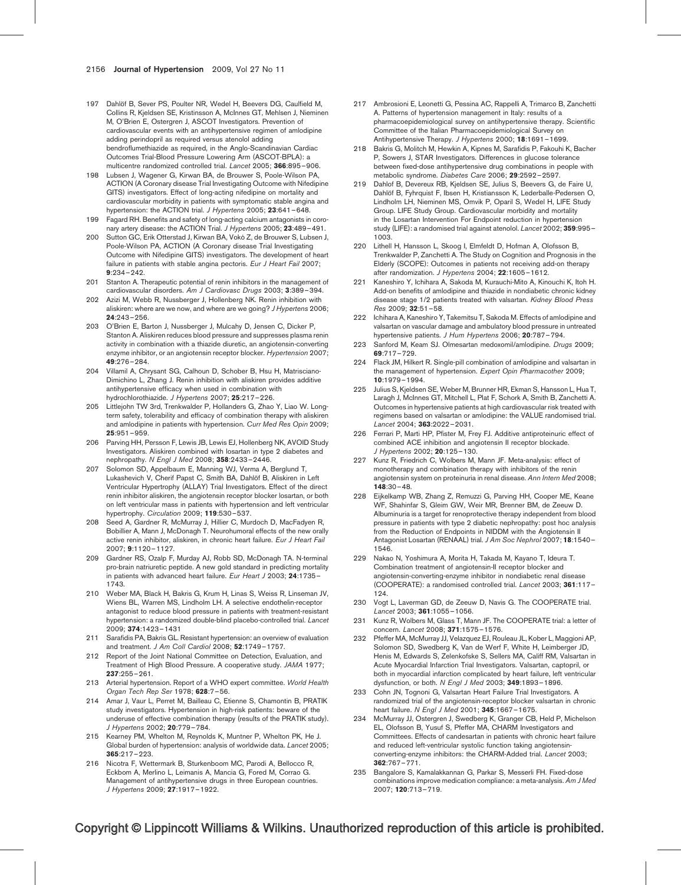- <span id="page-35-0"></span>197 Dahlöf B, Sever PS, Poulter NR, Wedel H, Beevers DG, Caulfield M, Collins R, Kjeldsen SE, Kristinsson A, McInnes GT, Mehlsen J, Nieminen M, O'Brien E, Ostergren J, ASCOT Investigators. Prevention of cardiovascular events with an antihypertensive regimen of amlodipine adding perindopril as required versus atenolol adding bendroflumethiazide as required, in the Anglo-Scandinavian Cardiac Outcomes Trial-Blood Pressure Lowering Arm (ASCOT-BPLA): a multicentre randomized controlled trial. Lancet 2005; 366:895–906.
- 198 Lubsen J, Wagener G, Kirwan BA, de Brouwer S, Poole-Wilson PA, ACTION (A Coronary disease Trial Investigating Outcome with Nifedipine GITS) investigators. Effect of long-acting nifedipine on mortality and cardiovascular morbidity in patients with symptomatic stable angina and hypertension: the ACTION trial. J Hypertens 2005; 23:641-648.
- 199 Fagard RH. Benefits and safety of long-acting calcium antagonists in coronary artery disease: the ACTION Trial. J Hypertens 2005; 23:489-491.
- 200 Sutton GC, Erik Otterstad J, Kirwan BA, Vokó Z, de Brouwer S, Lubsen J, Poole-Wilson PA, ACTION (A Coronary disease Trial Investigating Outcome with Nifedipine GITS) investigators. The development of heart failure in patients with stable angina pectoris. Eur J Heart Fail 2007;  $9:234-242$ .
- 201 Stanton A. Therapeutic potential of renin inhibitors in the management of cardiovascular disorders. Am J Cardiovasc Drugs 2003; 3:389–394.
- 202 Azizi M, Webb R, Nussberger J, Hollenberg NK. Renin inhibition with aliskiren: where are we now, and where are we going? J Hypertens 2006; 24:243–256.
- 203 O'Brien E, Barton J, Nussberger J, Mulcahy D, Jensen C, Dicker P, Stanton A. Aliskiren reduces blood pressure and suppresses plasma renin activity in combination with a thiazide diuretic, an angiotensin-converting enzyme inhibitor, or an angiotensin receptor blocker. Hypertension 2007;  $49.276 - 284$
- 204 Villamil A, Chrysant SG, Calhoun D, Schober B, Hsu H, Matrisciano-Dimichino L, Zhang J. Renin inhibition with aliskiren provides additive antihypertensive efficacy when used in combination with hydrochlorothiazide. J Hypertens 2007; 25:217-226.
- 205 Littlejohn TW 3rd, Trenkwalder P, Hollanders G, Zhao Y, Liao W. Longterm safety, tolerability and efficacy of combination therapy with aliskiren and amlodipine in patients with hypertension. Curr Med Res Opin 2009; 25:951–959.
- 206 Parving HH, Persson F, Lewis JB, Lewis EJ, Hollenberg NK, AVOID Study Investigators. Aliskiren combined with losartan in type 2 diabetes and nephropathy. N Engl J Med 2008; 358:2433-2446.
- 207 Solomon SD, Appelbaum E, Manning WJ, Verma A, Berglund T, Lukashevich V, Cherif Papst C, Smith BA, Dahlöf B, Aliskiren in Left Ventricular Hypertrophy (ALLAY) Trial Investigators. Effect of the direct renin inhibitor aliskiren, the angiotensin receptor blocker losartan, or both on left ventricular mass in patients with hypertension and left ventricular hypertrophy. Circulation 2009; 119:530-537.
- 208 Seed A, Gardner R, McMurray J, Hillier C, Murdoch D, MacFadyen R, Bobillier A, Mann J, McDonagh T. Neurohumoral effects of the new orally active renin inhibitor, aliskiren, in chronic heart failure. Eur J Heart Fail 2007; 9:1120–1127.
- 209 Gardner RS, Ozalp F, Murday AJ, Robb SD, McDonagh TA. N-terminal pro-brain natriuretic peptide. A new gold standard in predicting mortality in patients with advanced heart failure. Eur Heart J 2003; 24:1735-1743.
- 210 Weber MA, Black H, Bakris G, Krum H, Linas S, Weiss R, Linseman JV, Wiens BL, Warren MS, Lindholm LH. A selective endothelin-receptor antagonist to reduce blood pressure in patients with treatment-resistant hypertension: a randomized double-blind placebo-controlled trial. Lancet 2009; 374:1423–1431
- Sarafidis PA, Bakris GL. Resistant hypertension: an overview of evaluation and treatment. J Am Coll Cardiol 2008; 52:1749–1757.
- 212 Report of the Joint National Committee on Detection, Evaluation, and Treatment of High Blood Pressure. A cooperative study. JAMA 1977; 237:255–261.
- 213 Arterial hypertension. Report of a WHO expert committee. World Health Organ Tech Rep Ser 1978; 628:7-56
- 214 Amar J, Vaur L, Perret M, Bailleau C, Etienne S, Chamontin B, PRATIK study investigators. Hypertension in high-risk patients: beware of the underuse of effective combination therapy (results of the PRATIK study). J Hypertens 2002; 20:779-784.
- 215 Kearney PM, Whelton M, Reynolds K, Muntner P, Whelton PK, He J. Global burden of hypertension: analysis of worldwide data. Lancet 2005; 365:217–223.
- 216 Nicotra F, Wettermark B, Sturkenboom MC, Parodi A, Bellocco R, Eckbom A, Merlino L, Leimanis A, Mancia G, Fored M, Corrao G. Management of antihypertensive drugs in three European countries. J Hypertens 2009; 27:1917–1922.
- 217 Ambrosioni E, Leonetti G, Pessina AC, Rappelli A, Trimarco B, Zanchetti A. Patterns of hypertension management in Italy: results of a pharmacoepidemiological survey on antihypertensive therapy. Scientific Committee of the Italian Pharmacoepidemiological Survey on Antihypertensive Therapy. J Hypertens 2000; 18:1691–1699.
- 218 Bakris G, Molitch M, Hewkin A, Kipnes M, Sarafidis P, Fakouhi K, Bacher P, Sowers J, STAR Investigators. Differences in glucose tolerance between fixed-dose antihypertensive drug combinations in people with metabolic syndrome. Diabetes Care 2006; 29:2592–2597.
- Dahlof B, Devereux RB, Kjeldsen SE, Julius S, Beevers G, de Faire U, Dahlöf B, Fyhrquist F, Ibsen H, Kristiansson K, Lederballe-Pedersen O, Lindholm LH, Nieminen MS, Omvik P, Oparil S, Wedel H, LIFE Study Group. LIFE Study Group. Cardiovascular morbidity and mortality in the Losartan Intervention For Endpoint reduction in hypertension study (LIFE): a randomised trial against atenolol. Lancet 2002; 359:995-1003.
- 220 Lithell H, Hansson L, Skoog I, Elmfeldt D, Hofman A, Olofsson B, Trenkwalder P, Zanchetti A. The Study on Cognition and Prognosis in the Elderly (SCOPE): Outcomes in patients not receiving add-on therapy after randomization. J Hypertens 2004; 22:1605–1612.
- Kaneshiro Y, Ichihara A, Sakoda M, Kurauchi-Mito A, Kinouchi K, Itoh H. Add-on benefits of amlodipine and thiazide in nondiabetic chronic kidney disease stage 1/2 patients treated with valsartan. Kidney Blood Press Res 2009; 32:51–58.
- 222 Ichihara A, Kaneshiro Y, Takemitsu T, Sakoda M. Effects of amlodipine and valsartan on vascular damage and ambulatory blood pressure in untreated hypertensive patients. J Hum Hypertens 2006; 20:787-794.
- 223 Sanford M, Keam SJ. Olmesartan medoxomil/amlodipine. Drugs 2009; 69:717–729.
- 224 Flack JM, Hilkert R. Single-pill combination of amlodipine and valsartan in the management of hypertension. Expert Opin Pharmacother 2009; 10:1979–1994.
- 225 Julius S, Kieldsen SE, Weber M, Brunner HR, Ekman S, Hansson L, Hua T, Laragh J, McInnes GT, Mitchell L, Plat F, Schork A, Smith B, Zanchetti A. Outcomes in hypertensive patients at high cardiovascular risk treated with regimens based on valsartan or amlodipine: the VALUE randomised trial. Lancet 2004; 363:2022–2031.
- 226 Ferrari P, Marti HP, Pfister M, Frey FJ. Additive antiproteinuric effect of combined ACE inhibition and angiotensin II receptor blockade. J Hypertens 2002: 20:125-130.
- 227 Kunz R, Friedrich C, Wolbers M, Mann JF. Meta-analysis: effect of monotherapy and combination therapy with inhibitors of the renin angiotensin system on proteinuria in renal disease. Ann Intern Med 2008; 148:30–48.
- 228 Eijkelkamp WB, Zhang Z, Remuzzi G, Parving HH, Cooper ME, Keane WF, Shahinfar S, Gleim GW, Weir MR, Brenner BM, de Zeeuw D. Albuminuria is a target for renoprotective therapy independent from blood pressure in patients with type 2 diabetic nephropathy: post hoc analysis from the Reduction of Endpoints in NIDDM with the Angiotensin II Antagonist Losartan (RENAAL) trial. J Am Soc Nephrol 2007; 18:1540– 1546.
- 229 Nakao N, Yoshimura A, Morita H, Takada M, Kayano T, Ideura T. Combination treatment of angiotensin-II receptor blocker and angiotensin-converting-enzyme inhibitor in nondiabetic renal disease (COOPERATE): a randomised controlled trial. Lancet 2003; 361:117– 124.
- 230 Vogt L, Laverman GD, de Zeeuw D, Navis G. The COOPERATE trial. Lancet 2003; 361:1055–1056.
- 231 Kunz R, Wolbers M, Glass T, Mann JF. The COOPERATE trial: a letter of concern. Lancet 2008; 371:1575–1576.
- 232 Pfeffer MA, McMurray JJ, Velazquez EJ, Rouleau JL, Kober L, Maggioni AP, Solomon SD, Swedberg K, Van de Werf F, White H, Leimberger JD, Henis M, Edwards S, Zelenkofske S, Sellers MA, Califf RM, Valsartan in Acute Myocardial Infarction Trial Investigators. Valsartan, captopril, or both in myocardial infarction complicated by heart failure, left ventricular dysfunction, or both. N Engl J Med 2003; 349:1893-1896.
- 233 Cohn JN, Tognoni G, Valsartan Heart Failure Trial Investigators. A randomized trial of the angiotensin-receptor blocker valsartan in chronic heart failure. N Engl J Med 2001; 345:1667-1675.
- 234 McMurray JJ, Ostergren J, Swedberg K, Granger CB, Held P, Michelson EL, Olofsson B, Yusuf S, Pfeffer MA, CHARM Investigators and Committees. Effects of candesartan in patients with chronic heart failure and reduced left-ventricular systolic function taking angiotensinconverting-enzyme inhibitors: the CHARM-Added trial. Lancet 2003; 362:767–771.
- 235 Bangalore S, Kamalakkannan G, Parkar S, Messerli FH. Fixed-dose combinations improve medication compliance: a meta-analysis. Am J Med 2007; 120:713–719.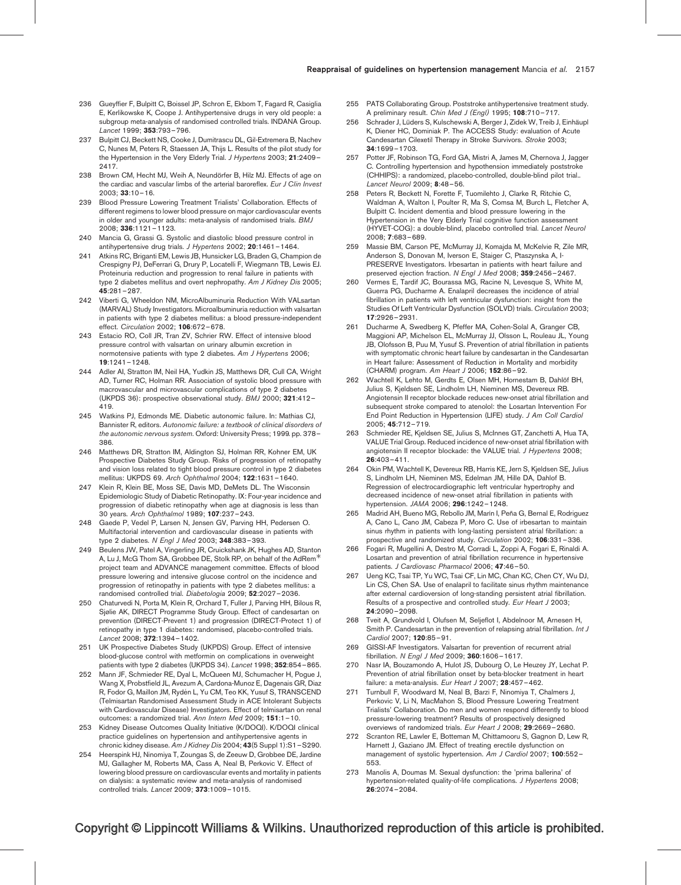- <span id="page-36-0"></span>236 Gueyffier F, Bulpitt C, Boissel JP, Schron E, Ekbom T, Fagard R, Casiglia E, Kerlikowske K, Coope J. Antihypertensive drugs in very old people: a subgroup meta-analysis of randomised controlled trials. INDANA Group. Lancet 1999; 353:793–796.
- 237 Bulpitt CJ, Beckett NS, Cooke J, Dumitrascu DL, Gil-Extremera B, Nachev C, Nunes M, Peters R, Staessen JA, Thijs L. Results of the pilot study for the Hypertension in the Very Elderly Trial. J Hypertens 2003; 21:2409-2417.
- 238 Brown CM, Hecht MJ, Weih A, Neundörfer B, Hilz MJ, Effects of age on the cardiac and vascular limbs of the arterial baroreflex. Eur J Clin Invest 2003; 33:10–16.
- 239 Blood Pressure Lowering Treatment Trialists' Collaboration. Effects of different regimens to lower blood pressure on major cardiovascular events in older and younger adults: meta-analysis of randomised trials. BMJ 2008; 336:1121–1123.
- 240 Mancia G, Grassi G. Systolic and diastolic blood pressure control in antihypertensive drug trials. J Hypertens 2002; 20:1461–1464.
- 241 Atkins RC, Briganti EM, Lewis JB, Hunsicker LG, Braden G, Champion de Crespigny PJ, DeFerrari G, Drury P, Locatelli F, Wiegmann TB, Lewis EJ. Proteinuria reduction and progression to renal failure in patients with type 2 diabetes mellitus and overt nephropathy. Am J Kidney Dis 2005; 45:281–287.
- 242 Viberti G, Wheeldon NM, MicroAlbuminuria Reduction With VALsartan (MARVAL) Study Investigators. Microalbuminuria reduction with valsartan in patients with type 2 diabetes mellitus: a blood pressure-independent effect. Circulation 2002; 106:672–678.
- 243 Estacio RO, Coll JR, Tran ZV, Schrier RW. Effect of intensive blood pressure control with valsartan on urinary albumin excretion in normotensive patients with type 2 diabetes. Am J Hypertens 2006; 19:1241–1248.
- 244 Adler AI, Stratton IM, Neil HA, Yudkin JS, Matthews DR, Cull CA, Wright AD, Turner RC, Holman RR. Association of systolic blood pressure with macrovascular and microvascular complications of type 2 diabetes (UKPDS 36): prospective observational study. BMJ 2000; 321:412– 419.
- 245 Watkins PJ, Edmonds ME. Diabetic autonomic failure. In: Mathias CJ, Bannister R, editors. Autonomic failure: a textbook of clinical disorders of the autonomic nervous system. Oxford: University Press; 1999. pp. 378– 386.
- 246 Matthews DR, Stratton IM, Aldington SJ, Holman RR, Kohner EM, UK Prospective Diabetes Study Group. Risks of progression of retinopathy and vision loss related to tight blood pressure control in type 2 diabetes mellitus: UKPDS 69. Arch Ophthalmol 2004; 122:1631–1640.
- 247 Klein R, Klein BE, Moss SE, Davis MD, DeMets DL. The Wisconsin Epidemiologic Study of Diabetic Retinopathy. IX: Four-year incidence and progression of diabetic retinopathy when age at diagnosis is less than 30 years. Arch Ophthalmol 1989; 107:237–243.
- 248 Gaede P, Vedel P, Larsen N, Jensen GV, Parving HH, Pedersen O. Multifactorial intervention and cardiovascular disease in patients with type 2 diabetes. N Engl J Med 2003; 348:383-393.
- 249 Beulens JW, Patel A, Vingerling JR, Cruickshank JK, Hughes AD, Stanton A, Lu J, McG Thom SA, Grobbee DE, Stolk RP, on behalf of the AdRem project team and ADVANCE management committee. Effects of blood pressure lowering and intensive glucose control on the incidence and progression of retinopathy in patients with type 2 diabetes mellitus: a randomised controlled trial. Diabetologia 2009; 52:2027–2036.
- 250 Chaturvedi N, Porta M, Klein R, Orchard T, Fuller J, Parving HH, Bilous R, Sjølie AK, DIRECT Programme Study Group. Effect of candesartan on prevention (DIRECT-Prevent 1) and progression (DIRECT-Protect 1) of retinopathy in type 1 diabetes: randomised, placebo-controlled trials. Lancet 2008; 372:1394–1402.
- 251 UK Prospective Diabetes Study (UKPDS) Group. Effect of intensive blood-glucose control with metformin on complications in overweight patients with type 2 diabetes (UKPDS 34). Lancet 1998; 352:854-865.
- 252 Mann JF, Schmieder RE, Dyal L, McQueen MJ, Schumacher H, Pogue J, Wang X, Probstfield JL, Avezum A, Cardona-Munoz E, Dagenais GR, Diaz R, Fodor G, Maillon JM, Rydén L, Yu CM, Teo KK, Yusuf S, TRANSCEND (Telmisartan Randomised Assessment Study in ACE Intolerant Subjects with Cardiovascular Disease) Investigators. Effect of telmisartan on renal outcomes: a randomized trial. Ann Intern Med 2009; 151:1-10.
- 253 Kidney Disease Outcomes Quality Initiative (K/DOQI). K/DOQI clinical practice guidelines on hypertension and antihypertensive agents in chronic kidney disease. Am J Kidney Dis 2004; 43(5 Suppl 1):S1-S290.
- 254 Heerspink HJ, Ninomiya T, Zoungas S, de Zeeuw D, Grobbee DE, Jardine MJ, Gallagher M, Roberts MA, Cass A, Neal B, Perkovic V. Effect of lowering blood pressure on cardiovascular events and mortality in patients on dialysis: a systematic review and meta-analysis of randomised controlled trials. Lancet 2009; 373:1009–1015.
- 255 PATS Collaborating Group. Poststroke antihypertensive treatment study. A preliminary result. Chin Med J (Engl) 1995; 108:710–717.
- 256 Schrader J, Lüders S, Kulschewski A, Berger J, Zidek W, Treib J, Einhäupl K, Diener HC, Dominiak P. The ACCESS Study: evaluation of Acute Candesartan Cilexetil Therapy in Stroke Survivors. Stroke 2003; 34:1699–1703.
- 257 Potter JF, Robinson TG, Ford GA, Mistri A, James M, Chernova J, Jagger C. Controlling hypertension and hypothension immediately poststroke (CHHIPS): a randomized, placebo-controlled, double-blind pilot trial.. Lancet Neurol 2009; 8:48–56.
- 258 Peters R, Beckett N, Forette F, Tuomilehto J, Clarke R, Ritchie C, Waldman A, Walton I, Poulter R, Ma S, Comsa M, Burch L, Fletcher A, Bulpitt C. Incident dementia and blood pressure lowering in the Hypertension in the Very Elderly Trial cognitive function assessment (HYVET-COG): a double-blind, placebo controlled trial. Lancet Neurol 2008; 7:683–689.
- 259 Massie BM, Carson PE, McMurray JJ, Komajda M, McKelvie R, Zile MR, Anderson S, Donovan M, Iverson E, Staiger C, Ptaszynska A, I-PRESERVE Investigators. Irbesartan in patients with heart failure and preserved ejection fraction. N Engl J Med 2008; 359:2456–2467.
- 260 Vermes E, Tardif JC, Bourassa MG, Racine N, Levesque S, White M, Guerra PG, Ducharme A. Enalapril decreases the incidence of atrial fibrillation in patients with left ventricular dysfunction: insight from the Studies Of Left Ventricular Dysfunction (SOLVD) trials. Circulation 2003; 17:2926–2931.
- 261 Ducharme A, Swedberg K, Pfeffer MA, Cohen-Solal A, Granger CB, Maggioni AP, Michelson EL, McMurray JJ, Olsson L, Rouleau JL, Young JB, Olofsson B, Puu M, Yusuf S. Prevention of atrial fibrillation in patients with symptomatic chronic heart failure by candesartan in the Candesartan in Heart failure: Assessment of Reduction in Mortality and morbidity (CHARM) program. Am Heart J 2006; 152:86-92.
- 262 Wachtell K, Lehto M, Gerdts E, Olsen MH, Hornestam B, Dahlöf BH, Julius S, Kjeldsen SE, Lindholm LH, Nieminen MS, Devereux RB. Angiotensin II receptor blockade reduces new-onset atrial fibrillation and subsequent stroke compared to atenolol: the Losartan Intervention For End Point Reduction in Hypertension (LIFE) study. J Am Coll Cardiol 2005; 45:712–719.
- 263 Schmieder RE, Kjeldsen SE, Julius S, McInnes GT, Zanchetti A, Hua TA, VALUE Trial Group. Reduced incidence of new-onset atrial fibrillation with angiotensin II receptor blockade: the VALUE trial. J Hypertens 2008; 26:403–411.
- 264 Okin PM, Wachtell K, Devereux RB, Harris KE, Jern S, Kjeldsen SE, Julius S, Lindholm LH, Nieminen MS, Edelman JM, Hille DA, Dahlof B. Regression of electrocardiographic left ventricular hypertrophy and decreased incidence of new-onset atrial fibrillation in patients with hypertension. JAMA 2006; 296:1242–1248.
- 265 Madrid AH, Bueno MG, Rebollo JM, Marín I, Peña G, Bernal E, Rodriguez A, Cano L, Cano JM, Cabeza P, Moro C. Use of irbesartan to maintain sinus rhythm in patients with long-lasting persistent atrial fibrillation: a prospective and randomized study. Circulation 2002; 106:331–336.
- 266 Fogari R, Mugellini A, Destro M, Corradi L, Zoppi A, Fogari E, Rinaldi A. Losartan and prevention of atrial fibrillation recurrence in hypertensive patients. J Cardiovasc Pharmacol 2006; 47:46-50.
- 267 Ueng KC, Tsai TP, Yu WC, Tsai CF, Lin MC, Chan KC, Chen CY, Wu DJ, Lin CS, Chen SA. Use of enalapril to facilitate sinus rhythm maintenance after external cardioversion of long-standing persistent atrial fibrillation. Results of a prospective and controlled study. Eur Heart J 2003; 24:2090–2098.
- 268 Tveit A, Grundvold I, Olufsen M, Seljeflot I, Abdelnoor M, Arnesen H, Smith P. Candesartan in the prevention of relapsing atrial fibrillation. Int J Cardiol 2007; 120:85–91.
- 269 GISSI-AF Investigators. Valsartan for prevention of recurrent atrial fibrillation. N Engl J Med 2009; 360:1606–1617.
- 270 Nasr IA, Bouzamondo A, Hulot JS, Dubourg O, Le Heuzey JY, Lechat P. Prevention of atrial fibrillation onset by beta-blocker treatment in heart failure: a meta-analysis. Eur Heart J 2007: 28:457-462.
- 271 Turnbull F, Woodward M, Neal B, Barzi F, Ninomiya T, Chalmers J, Perkovic V, Li N, MacMahon S, Blood Pressure Lowering Treatment Trialists' Collaboration. Do men and women respond differently to blood pressure-lowering treatment? Results of prospectively designed overviews of randomized trials. Eur Heart J 2008; 29:2669–2680.
- 272 Scranton RE, Lawler E, Botteman M, Chittamooru S, Gagnon D, Lew R Harnett J, Gaziano JM. Effect of treating erectile dysfunction on management of systolic hypertension. Am J Cardiol 2007; 100:552-553.
- 273 Manolis A, Doumas M. Sexual dysfunction: the 'prima ballerina' of hypertension-related quality-of-life complications. J Hypertens 2008; 26:2074–2084.